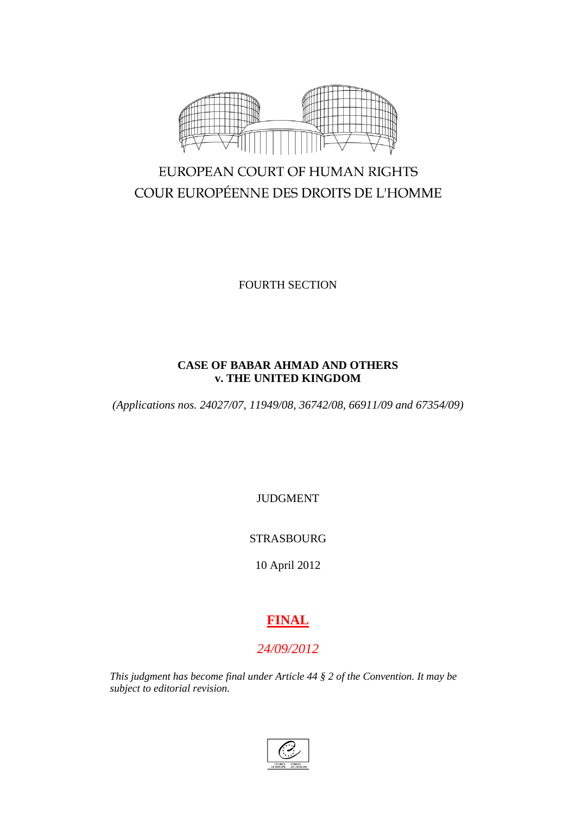

# EUROPEAN COURT OF HUMAN RIGHTS COUR EUROPÉENNE DES DROITS DE L'HOMME

FOURTH SECTION

# **CASE OF BABAR AHMAD AND OTHERS v. THE UNITED KINGDOM**

*(Applications nos. 24027/07, 11949/08, 36742/08, 66911/09 and 67354/09)*

JUDGMENT

STRASBOURG

10 April 2012

# **FINAL**

# *24/09/2012*

*This judgment has become final under Article 44 § 2 of the Convention. It may be subject to editorial revision.*

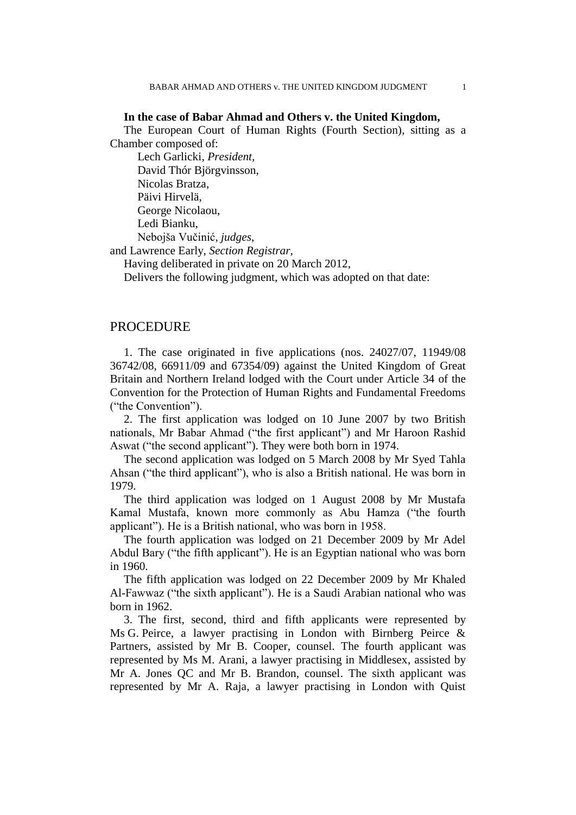## **In the case of Babar Ahmad and Others v. the United Kingdom,**

The European Court of Human Rights (Fourth Section), sitting as a Chamber composed of:

Lech Garlicki, *President,* David Thór Björgvinsson, Nicolas Bratza, Päivi Hirvelä, George Nicolaou, Ledi Bianku, Nebojša Vučinić, *judges,*

and Lawrence Early, *Section Registrar,*

Having deliberated in private on 20 March 2012,

Delivers the following judgment, which was adopted on that date:

# PROCEDURE

1. The case originated in five applications (nos. 24027/07, 11949/08 36742/08, 66911/09 and 67354/09) against the United Kingdom of Great Britain and Northern Ireland lodged with the Court under Article 34 of the Convention for the Protection of Human Rights and Fundamental Freedoms ("the Convention").

2. The first application was lodged on 10 June 2007 by two British nationals, Mr Babar Ahmad ("the first applicant") and Mr Haroon Rashid Aswat ("the second applicant"). They were both born in 1974.

The second application was lodged on 5 March 2008 by Mr Syed Tahla Ahsan ("the third applicant"), who is also a British national. He was born in 1979.

The third application was lodged on 1 August 2008 by Mr Mustafa Kamal Mustafa, known more commonly as Abu Hamza ("the fourth applicant"). He is a British national, who was born in 1958.

The fourth application was lodged on 21 December 2009 by Mr Adel Abdul Bary ("the fifth applicant"). He is an Egyptian national who was born in 1960.

The fifth application was lodged on 22 December 2009 by Mr Khaled Al-Fawwaz ("the sixth applicant"). He is a Saudi Arabian national who was born in 1962.

3. The first, second, third and fifth applicants were represented by Ms G. Peirce, a lawyer practising in London with Birnberg Peirce & Partners, assisted by Mr B. Cooper, counsel. The fourth applicant was represented by Ms M. Arani, a lawyer practising in Middlesex, assisted by Mr A. Jones QC and Mr B. Brandon, counsel. The sixth applicant was represented by Mr A. Raja, a lawyer practising in London with Quist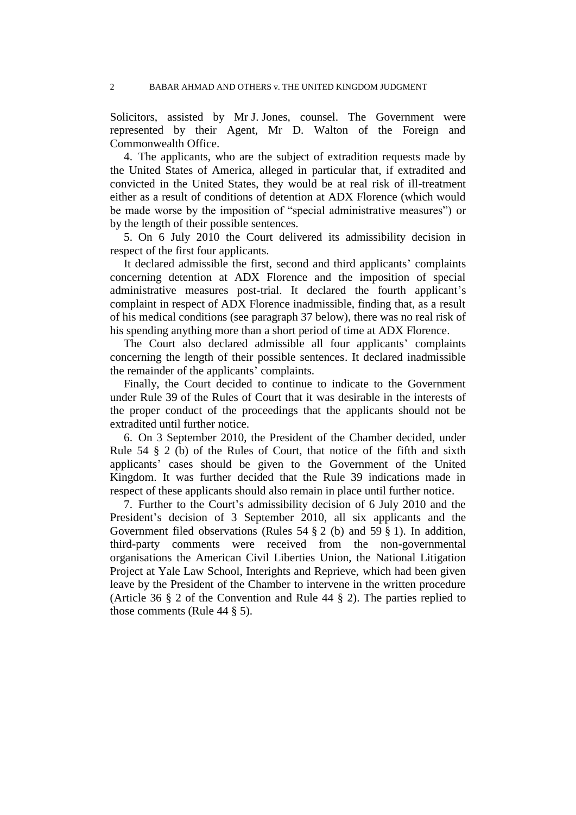Solicitors, assisted by Mr J. Jones, counsel. The Government were represented by their Agent, Mr D. Walton of the Foreign and Commonwealth Office.

4. The applicants, who are the subject of extradition requests made by the United States of America, alleged in particular that, if extradited and convicted in the United States, they would be at real risk of ill-treatment either as a result of conditions of detention at ADX Florence (which would be made worse by the imposition of "special administrative measures") or by the length of their possible sentences.

5. On 6 July 2010 the Court delivered its admissibility decision in respect of the first four applicants.

It declared admissible the first, second and third applicants' complaints concerning detention at ADX Florence and the imposition of special administrative measures post-trial. It declared the fourth applicant's complaint in respect of ADX Florence inadmissible, finding that, as a result of his medical conditions (see paragraph 37 below), there was no real risk of his spending anything more than a short period of time at ADX Florence.

The Court also declared admissible all four applicants' complaints concerning the length of their possible sentences. It declared inadmissible the remainder of the applicants' complaints.

Finally, the Court decided to continue to indicate to the Government under Rule 39 of the Rules of Court that it was desirable in the interests of the proper conduct of the proceedings that the applicants should not be extradited until further notice.

6. On 3 September 2010, the President of the Chamber decided, under Rule 54 § 2 (b) of the Rules of Court, that notice of the fifth and sixth applicants' cases should be given to the Government of the United Kingdom. It was further decided that the Rule 39 indications made in respect of these applicants should also remain in place until further notice.

7. Further to the Court's admissibility decision of 6 July 2010 and the President's decision of 3 September 2010, all six applicants and the Government filed observations (Rules 54 § 2 (b) and 59 § 1). In addition, third-party comments were received from the non-governmental organisations the American Civil Liberties Union, the National Litigation Project at Yale Law School, Interights and Reprieve, which had been given leave by the President of the Chamber to intervene in the written procedure (Article 36 § 2 of the Convention and Rule 44 § 2). The parties replied to those comments (Rule 44 § 5).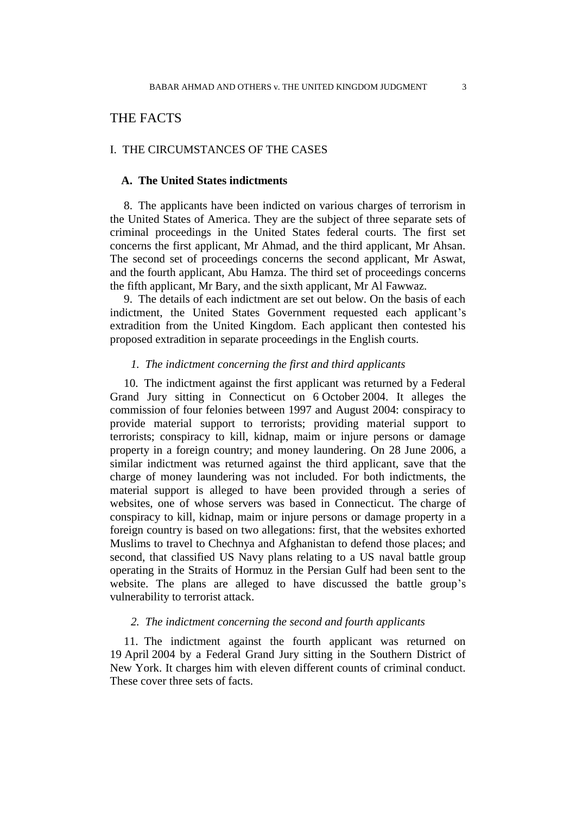# THE FACTS

# I. THE CIRCUMSTANCES OF THE CASES

# **A. The United States indictments**

8. The applicants have been indicted on various charges of terrorism in the United States of America. They are the subject of three separate sets of criminal proceedings in the United States federal courts. The first set concerns the first applicant, Mr Ahmad, and the third applicant, Mr Ahsan. The second set of proceedings concerns the second applicant, Mr Aswat, and the fourth applicant, Abu Hamza. The third set of proceedings concerns the fifth applicant, Mr Bary, and the sixth applicant, Mr Al Fawwaz.

9. The details of each indictment are set out below. On the basis of each indictment, the United States Government requested each applicant's extradition from the United Kingdom. Each applicant then contested his proposed extradition in separate proceedings in the English courts.

# *1. The indictment concerning the first and third applicants*

10. The indictment against the first applicant was returned by a Federal Grand Jury sitting in Connecticut on 6 October 2004. It alleges the commission of four felonies between 1997 and August 2004: conspiracy to provide material support to terrorists; providing material support to terrorists; conspiracy to kill, kidnap, maim or injure persons or damage property in a foreign country; and money laundering. On 28 June 2006, a similar indictment was returned against the third applicant, save that the charge of money laundering was not included. For both indictments, the material support is alleged to have been provided through a series of websites, one of whose servers was based in Connecticut. The charge of conspiracy to kill, kidnap, maim or injure persons or damage property in a foreign country is based on two allegations: first, that the websites exhorted Muslims to travel to Chechnya and Afghanistan to defend those places; and second, that classified US Navy plans relating to a US naval battle group operating in the Straits of Hormuz in the Persian Gulf had been sent to the website. The plans are alleged to have discussed the battle group's vulnerability to terrorist attack.

## *2. The indictment concerning the second and fourth applicants*

11. The indictment against the fourth applicant was returned on 19 April 2004 by a Federal Grand Jury sitting in the Southern District of New York. It charges him with eleven different counts of criminal conduct. These cover three sets of facts.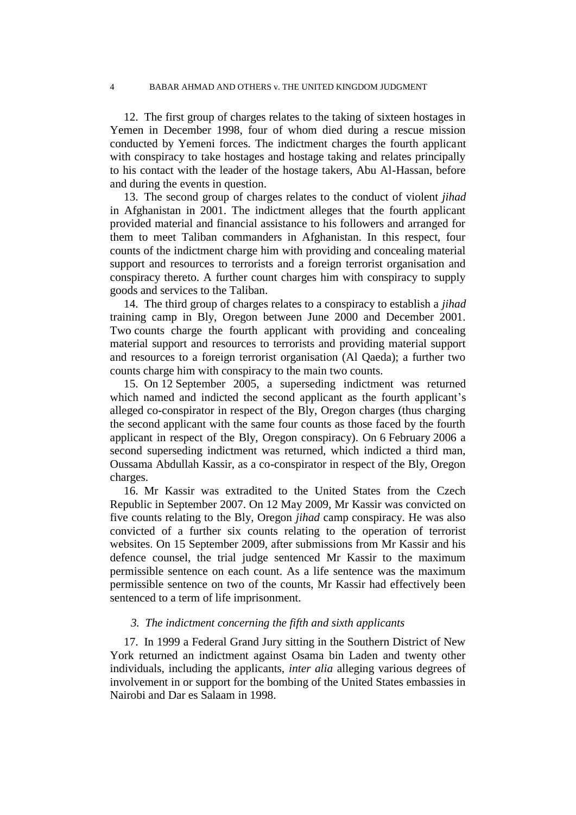12. The first group of charges relates to the taking of sixteen hostages in Yemen in December 1998, four of whom died during a rescue mission conducted by Yemeni forces. The indictment charges the fourth applicant with conspiracy to take hostages and hostage taking and relates principally to his contact with the leader of the hostage takers, Abu Al-Hassan, before and during the events in question.

13. The second group of charges relates to the conduct of violent *jihad* in Afghanistan in 2001. The indictment alleges that the fourth applicant provided material and financial assistance to his followers and arranged for them to meet Taliban commanders in Afghanistan. In this respect, four counts of the indictment charge him with providing and concealing material support and resources to terrorists and a foreign terrorist organisation and conspiracy thereto. A further count charges him with conspiracy to supply goods and services to the Taliban.

14. The third group of charges relates to a conspiracy to establish a *jihad* training camp in Bly, Oregon between June 2000 and December 2001. Two counts charge the fourth applicant with providing and concealing material support and resources to terrorists and providing material support and resources to a foreign terrorist organisation (Al Qaeda); a further two counts charge him with conspiracy to the main two counts.

15. On 12 September 2005, a superseding indictment was returned which named and indicted the second applicant as the fourth applicant's alleged co-conspirator in respect of the Bly, Oregon charges (thus charging the second applicant with the same four counts as those faced by the fourth applicant in respect of the Bly, Oregon conspiracy). On 6 February 2006 a second superseding indictment was returned, which indicted a third man, Oussama Abdullah Kassir, as a co-conspirator in respect of the Bly, Oregon charges.

16. Mr Kassir was extradited to the United States from the Czech Republic in September 2007. On 12 May 2009, Mr Kassir was convicted on five counts relating to the Bly, Oregon *jihad* camp conspiracy. He was also convicted of a further six counts relating to the operation of terrorist websites. On 15 September 2009, after submissions from Mr Kassir and his defence counsel, the trial judge sentenced Mr Kassir to the maximum permissible sentence on each count. As a life sentence was the maximum permissible sentence on two of the counts, Mr Kassir had effectively been sentenced to a term of life imprisonment.

# *3. The indictment concerning the fifth and sixth applicants*

17. In 1999 a Federal Grand Jury sitting in the Southern District of New York returned an indictment against Osama bin Laden and twenty other individuals, including the applicants, *inter alia* alleging various degrees of involvement in or support for the bombing of the United States embassies in Nairobi and Dar es Salaam in 1998.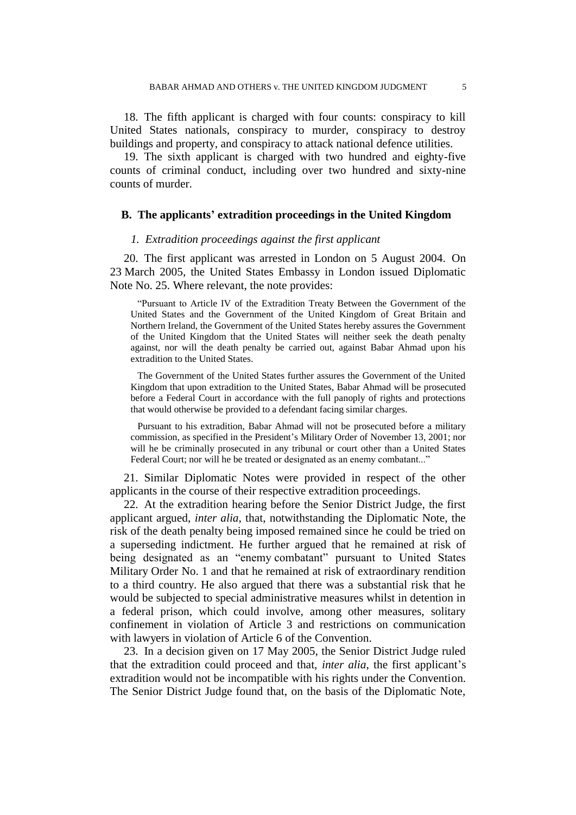18. The fifth applicant is charged with four counts: conspiracy to kill United States nationals, conspiracy to murder, conspiracy to destroy buildings and property, and conspiracy to attack national defence utilities.

19. The sixth applicant is charged with two hundred and eighty-five counts of criminal conduct, including over two hundred and sixty-nine counts of murder.

#### **B. The applicants' extradition proceedings in the United Kingdom**

## *1. Extradition proceedings against the first applicant*

20. The first applicant was arrested in London on 5 August 2004. On 23 March 2005, the United States Embassy in London issued Diplomatic Note No. 25. Where relevant, the note provides:

"Pursuant to Article IV of the Extradition Treaty Between the Government of the United States and the Government of the United Kingdom of Great Britain and Northern Ireland, the Government of the United States hereby assures the Government of the United Kingdom that the United States will neither seek the death penalty against, nor will the death penalty be carried out, against Babar Ahmad upon his extradition to the United States.

The Government of the United States further assures the Government of the United Kingdom that upon extradition to the United States, Babar Ahmad will be prosecuted before a Federal Court in accordance with the full panoply of rights and protections that would otherwise be provided to a defendant facing similar charges.

Pursuant to his extradition, Babar Ahmad will not be prosecuted before a military commission, as specified in the President's Military Order of November 13, 2001; nor will he be criminally prosecuted in any tribunal or court other than a United States Federal Court; nor will he be treated or designated as an enemy combatant..."

21. Similar Diplomatic Notes were provided in respect of the other applicants in the course of their respective extradition proceedings.

22. At the extradition hearing before the Senior District Judge, the first applicant argued, *inter alia*, that, notwithstanding the Diplomatic Note, the risk of the death penalty being imposed remained since he could be tried on a superseding indictment. He further argued that he remained at risk of being designated as an "enemy combatant" pursuant to United States Military Order No. 1 and that he remained at risk of extraordinary rendition to a third country. He also argued that there was a substantial risk that he would be subjected to special administrative measures whilst in detention in a federal prison, which could involve, among other measures, solitary confinement in violation of Article 3 and restrictions on communication with lawyers in violation of Article 6 of the Convention.

23. In a decision given on 17 May 2005, the Senior District Judge ruled that the extradition could proceed and that, *inter alia*, the first applicant's extradition would not be incompatible with his rights under the Convention. The Senior District Judge found that, on the basis of the Diplomatic Note,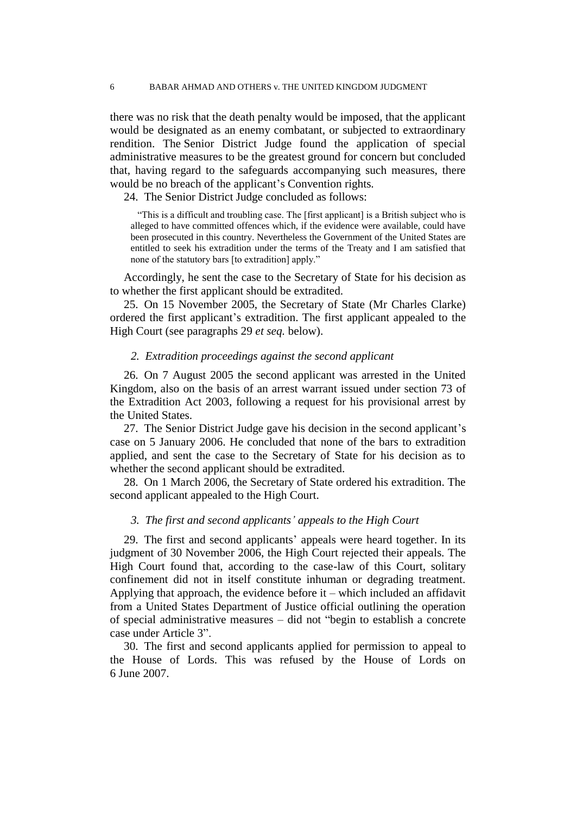there was no risk that the death penalty would be imposed, that the applicant would be designated as an enemy combatant, or subjected to extraordinary rendition. The Senior District Judge found the application of special administrative measures to be the greatest ground for concern but concluded that, having regard to the safeguards accompanying such measures, there would be no breach of the applicant's Convention rights.

24. The Senior District Judge concluded as follows:

"This is a difficult and troubling case. The [first applicant] is a British subject who is alleged to have committed offences which, if the evidence were available, could have been prosecuted in this country. Nevertheless the Government of the United States are entitled to seek his extradition under the terms of the Treaty and I am satisfied that none of the statutory bars [to extradition] apply."

Accordingly, he sent the case to the Secretary of State for his decision as to whether the first applicant should be extradited.

25. On 15 November 2005, the Secretary of State (Mr Charles Clarke) ordered the first applicant's extradition. The first applicant appealed to the High Court (see paragraphs 29 *et seq.* below).

# *2. Extradition proceedings against the second applicant*

26. On 7 August 2005 the second applicant was arrested in the United Kingdom, also on the basis of an arrest warrant issued under section 73 of the Extradition Act 2003, following a request for his provisional arrest by the United States.

27. The Senior District Judge gave his decision in the second applicant's case on 5 January 2006. He concluded that none of the bars to extradition applied, and sent the case to the Secretary of State for his decision as to whether the second applicant should be extradited.

28. On 1 March 2006, the Secretary of State ordered his extradition. The second applicant appealed to the High Court.

## *3. The first and second applicants' appeals to the High Court*

29. The first and second applicants' appeals were heard together. In its judgment of 30 November 2006, the High Court rejected their appeals. The High Court found that, according to the case-law of this Court, solitary confinement did not in itself constitute inhuman or degrading treatment. Applying that approach, the evidence before it – which included an affidavit from a United States Department of Justice official outlining the operation of special administrative measures – did not "begin to establish a concrete case under Article 3".

30. The first and second applicants applied for permission to appeal to the House of Lords. This was refused by the House of Lords on 6 June 2007.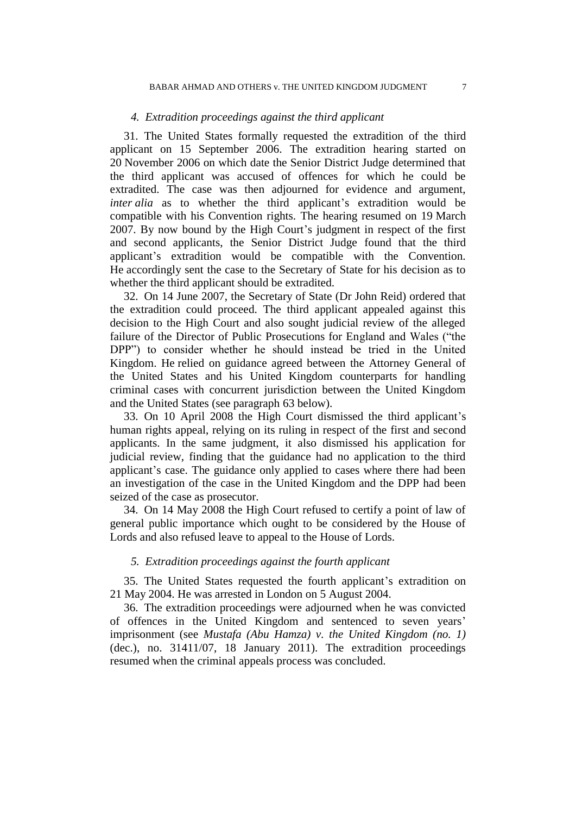## *4. Extradition proceedings against the third applicant*

31. The United States formally requested the extradition of the third applicant on 15 September 2006. The extradition hearing started on 20 November 2006 on which date the Senior District Judge determined that the third applicant was accused of offences for which he could be extradited. The case was then adjourned for evidence and argument, *inter alia* as to whether the third applicant's extradition would be compatible with his Convention rights. The hearing resumed on 19 March 2007. By now bound by the High Court's judgment in respect of the first and second applicants, the Senior District Judge found that the third applicant's extradition would be compatible with the Convention. He accordingly sent the case to the Secretary of State for his decision as to whether the third applicant should be extradited.

32. On 14 June 2007, the Secretary of State (Dr John Reid) ordered that the extradition could proceed. The third applicant appealed against this decision to the High Court and also sought judicial review of the alleged failure of the Director of Public Prosecutions for England and Wales ("the DPP") to consider whether he should instead be tried in the United Kingdom. He relied on guidance agreed between the Attorney General of the United States and his United Kingdom counterparts for handling criminal cases with concurrent jurisdiction between the United Kingdom and the United States (see paragraph 63 below).

33. On 10 April 2008 the High Court dismissed the third applicant's human rights appeal, relying on its ruling in respect of the first and second applicants. In the same judgment, it also dismissed his application for judicial review, finding that the guidance had no application to the third applicant's case. The guidance only applied to cases where there had been an investigation of the case in the United Kingdom and the DPP had been seized of the case as prosecutor.

34. On 14 May 2008 the High Court refused to certify a point of law of general public importance which ought to be considered by the House of Lords and also refused leave to appeal to the House of Lords.

# *5. Extradition proceedings against the fourth applicant*

35. The United States requested the fourth applicant's extradition on 21 May 2004. He was arrested in London on 5 August 2004.

36. The extradition proceedings were adjourned when he was convicted of offences in the United Kingdom and sentenced to seven years' imprisonment (see *Mustafa (Abu Hamza) v. the United Kingdom (no. 1)* (dec.), no. 31411/07, 18 January 2011). The extradition proceedings resumed when the criminal appeals process was concluded.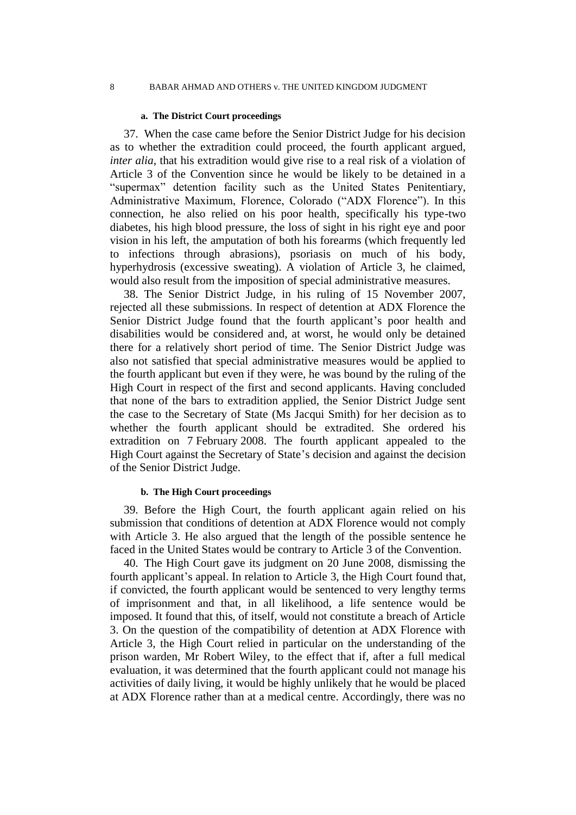#### **a. The District Court proceedings**

37. When the case came before the Senior District Judge for his decision as to whether the extradition could proceed, the fourth applicant argued, *inter alia*, that his extradition would give rise to a real risk of a violation of Article 3 of the Convention since he would be likely to be detained in a "supermax" detention facility such as the United States Penitentiary, Administrative Maximum, Florence, Colorado ("ADX Florence"). In this connection, he also relied on his poor health, specifically his type-two diabetes, his high blood pressure, the loss of sight in his right eye and poor vision in his left, the amputation of both his forearms (which frequently led to infections through abrasions), psoriasis on much of his body, hyperhydrosis (excessive sweating). A violation of Article 3, he claimed, would also result from the imposition of special administrative measures.

38. The Senior District Judge, in his ruling of 15 November 2007, rejected all these submissions. In respect of detention at ADX Florence the Senior District Judge found that the fourth applicant's poor health and disabilities would be considered and, at worst, he would only be detained there for a relatively short period of time. The Senior District Judge was also not satisfied that special administrative measures would be applied to the fourth applicant but even if they were, he was bound by the ruling of the High Court in respect of the first and second applicants. Having concluded that none of the bars to extradition applied, the Senior District Judge sent the case to the Secretary of State (Ms Jacqui Smith) for her decision as to whether the fourth applicant should be extradited. She ordered his extradition on 7 February 2008. The fourth applicant appealed to the High Court against the Secretary of State's decision and against the decision of the Senior District Judge.

# **b. The High Court proceedings**

39. Before the High Court, the fourth applicant again relied on his submission that conditions of detention at ADX Florence would not comply with Article 3. He also argued that the length of the possible sentence he faced in the United States would be contrary to Article 3 of the Convention.

40. The High Court gave its judgment on 20 June 2008, dismissing the fourth applicant's appeal. In relation to Article 3, the High Court found that, if convicted, the fourth applicant would be sentenced to very lengthy terms of imprisonment and that, in all likelihood, a life sentence would be imposed. It found that this, of itself, would not constitute a breach of Article 3. On the question of the compatibility of detention at ADX Florence with Article 3, the High Court relied in particular on the understanding of the prison warden, Mr Robert Wiley, to the effect that if, after a full medical evaluation, it was determined that the fourth applicant could not manage his activities of daily living, it would be highly unlikely that he would be placed at ADX Florence rather than at a medical centre. Accordingly, there was no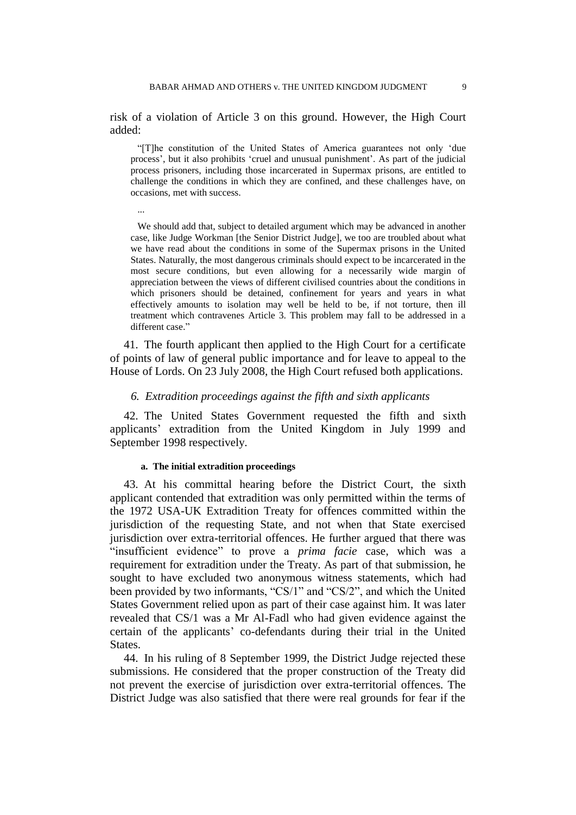risk of a violation of Article 3 on this ground. However, the High Court added:

"[T]he constitution of the United States of America guarantees not only 'due process', but it also prohibits 'cruel and unusual punishment'. As part of the judicial process prisoners, including those incarcerated in Supermax prisons, are entitled to challenge the conditions in which they are confined, and these challenges have, on occasions, met with success.

...

We should add that, subject to detailed argument which may be advanced in another case, like Judge Workman [the Senior District Judge], we too are troubled about what we have read about the conditions in some of the Supermax prisons in the United States. Naturally, the most dangerous criminals should expect to be incarcerated in the most secure conditions, but even allowing for a necessarily wide margin of appreciation between the views of different civilised countries about the conditions in which prisoners should be detained, confinement for years and years in what effectively amounts to isolation may well be held to be, if not torture, then ill treatment which contravenes Article 3. This problem may fall to be addressed in a different case."

41. The fourth applicant then applied to the High Court for a certificate of points of law of general public importance and for leave to appeal to the House of Lords. On 23 July 2008, the High Court refused both applications.

# *6. Extradition proceedings against the fifth and sixth applicants*

42. The United States Government requested the fifth and sixth applicants' extradition from the United Kingdom in July 1999 and September 1998 respectively.

#### **a. The initial extradition proceedings**

43. At his committal hearing before the District Court, the sixth applicant contended that extradition was only permitted within the terms of the 1972 USA-UK Extradition Treaty for offences committed within the jurisdiction of the requesting State, and not when that State exercised jurisdiction over extra-territorial offences. He further argued that there was "insufficient evidence" to prove a *prima facie* case, which was a requirement for extradition under the Treaty. As part of that submission, he sought to have excluded two anonymous witness statements, which had been provided by two informants, "CS/1" and "CS/2", and which the United States Government relied upon as part of their case against him. It was later revealed that CS/1 was a Mr Al-Fadl who had given evidence against the certain of the applicants' co-defendants during their trial in the United States.

44. In his ruling of 8 September 1999, the District Judge rejected these submissions. He considered that the proper construction of the Treaty did not prevent the exercise of jurisdiction over extra-territorial offences. The District Judge was also satisfied that there were real grounds for fear if the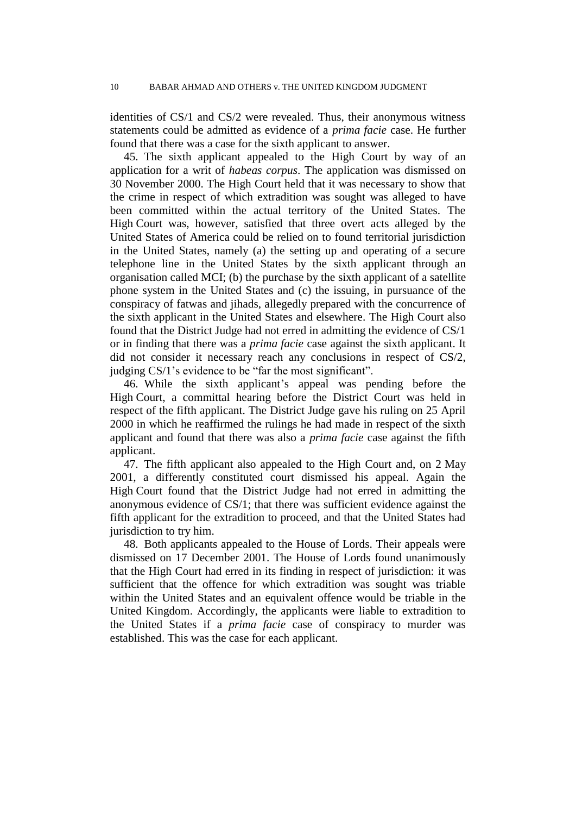identities of CS/1 and CS/2 were revealed. Thus, their anonymous witness statements could be admitted as evidence of a *prima facie* case. He further found that there was a case for the sixth applicant to answer.

45. The sixth applicant appealed to the High Court by way of an application for a writ of *habeas corpus*. The application was dismissed on 30 November 2000. The High Court held that it was necessary to show that the crime in respect of which extradition was sought was alleged to have been committed within the actual territory of the United States. The High Court was, however, satisfied that three overt acts alleged by the United States of America could be relied on to found territorial jurisdiction in the United States, namely (a) the setting up and operating of a secure telephone line in the United States by the sixth applicant through an organisation called MCI; (b) the purchase by the sixth applicant of a satellite phone system in the United States and (c) the issuing, in pursuance of the conspiracy of fatwas and jihads, allegedly prepared with the concurrence of the sixth applicant in the United States and elsewhere. The High Court also found that the District Judge had not erred in admitting the evidence of CS/1 or in finding that there was a *prima facie* case against the sixth applicant. It did not consider it necessary reach any conclusions in respect of CS/2, judging CS/1's evidence to be "far the most significant".

46. While the sixth applicant's appeal was pending before the High Court, a committal hearing before the District Court was held in respect of the fifth applicant. The District Judge gave his ruling on 25 April 2000 in which he reaffirmed the rulings he had made in respect of the sixth applicant and found that there was also a *prima facie* case against the fifth applicant.

47. The fifth applicant also appealed to the High Court and, on 2 May 2001, a differently constituted court dismissed his appeal. Again the High Court found that the District Judge had not erred in admitting the anonymous evidence of CS/1; that there was sufficient evidence against the fifth applicant for the extradition to proceed, and that the United States had jurisdiction to try him.

48. Both applicants appealed to the House of Lords. Their appeals were dismissed on 17 December 2001. The House of Lords found unanimously that the High Court had erred in its finding in respect of jurisdiction: it was sufficient that the offence for which extradition was sought was triable within the United States and an equivalent offence would be triable in the United Kingdom. Accordingly, the applicants were liable to extradition to the United States if a *prima facie* case of conspiracy to murder was established. This was the case for each applicant.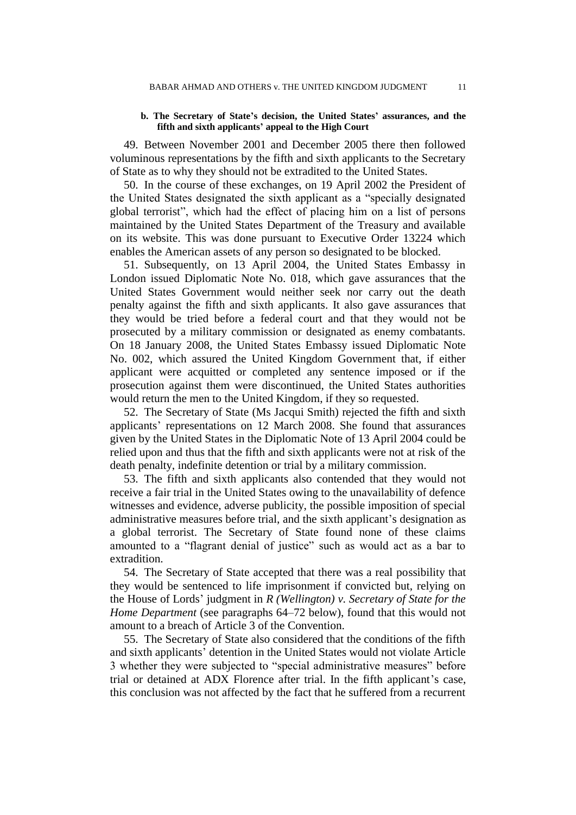#### **b. The Secretary of State's decision, the United States' assurances, and the fifth and sixth applicants' appeal to the High Court**

49. Between November 2001 and December 2005 there then followed voluminous representations by the fifth and sixth applicants to the Secretary of State as to why they should not be extradited to the United States.

50. In the course of these exchanges, on 19 April 2002 the President of the United States designated the sixth applicant as a "specially designated global terrorist", which had the effect of placing him on a list of persons maintained by the United States Department of the Treasury and available on its website. This was done pursuant to Executive Order 13224 which enables the American assets of any person so designated to be blocked.

51. Subsequently, on 13 April 2004, the United States Embassy in London issued Diplomatic Note No. 018, which gave assurances that the United States Government would neither seek nor carry out the death penalty against the fifth and sixth applicants. It also gave assurances that they would be tried before a federal court and that they would not be prosecuted by a military commission or designated as enemy combatants. On 18 January 2008, the United States Embassy issued Diplomatic Note No. 002, which assured the United Kingdom Government that, if either applicant were acquitted or completed any sentence imposed or if the prosecution against them were discontinued, the United States authorities would return the men to the United Kingdom, if they so requested.

52. The Secretary of State (Ms Jacqui Smith) rejected the fifth and sixth applicants' representations on 12 March 2008. She found that assurances given by the United States in the Diplomatic Note of 13 April 2004 could be relied upon and thus that the fifth and sixth applicants were not at risk of the death penalty, indefinite detention or trial by a military commission.

53. The fifth and sixth applicants also contended that they would not receive a fair trial in the United States owing to the unavailability of defence witnesses and evidence, adverse publicity, the possible imposition of special administrative measures before trial, and the sixth applicant's designation as a global terrorist. The Secretary of State found none of these claims amounted to a "flagrant denial of justice" such as would act as a bar to extradition.

54. The Secretary of State accepted that there was a real possibility that they would be sentenced to life imprisonment if convicted but, relying on the House of Lords' judgment in *R (Wellington) v. Secretary of State for the Home Department* (see paragraphs 64–72 below), found that this would not amount to a breach of Article 3 of the Convention.

55. The Secretary of State also considered that the conditions of the fifth and sixth applicants' detention in the United States would not violate Article 3 whether they were subjected to "special administrative measures" before trial or detained at ADX Florence after trial. In the fifth applicant's case, this conclusion was not affected by the fact that he suffered from a recurrent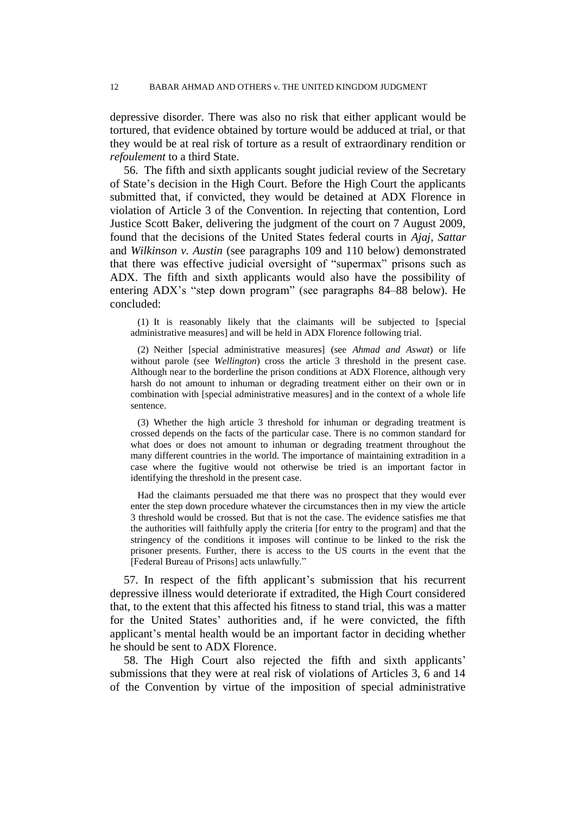depressive disorder. There was also no risk that either applicant would be tortured, that evidence obtained by torture would be adduced at trial, or that they would be at real risk of torture as a result of extraordinary rendition or *refoulement* to a third State.

56. The fifth and sixth applicants sought judicial review of the Secretary of State's decision in the High Court. Before the High Court the applicants submitted that, if convicted, they would be detained at ADX Florence in violation of Article 3 of the Convention. In rejecting that contention, Lord Justice Scott Baker, delivering the judgment of the court on 7 August 2009, found that the decisions of the United States federal courts in *Ajaj*, *Sattar* and *Wilkinson v. Austin* (see paragraphs 109 and 110 below) demonstrated that there was effective judicial oversight of "supermax" prisons such as ADX. The fifth and sixth applicants would also have the possibility of entering ADX's "step down program" (see paragraphs 84–88 below). He concluded:

(1) It is reasonably likely that the claimants will be subjected to [special administrative measures] and will be held in ADX Florence following trial.

(2) Neither [special administrative measures] (see *Ahmad and Aswat*) or life without parole (see *Wellington*) cross the article 3 threshold in the present case. Although near to the borderline the prison conditions at ADX Florence, although very harsh do not amount to inhuman or degrading treatment either on their own or in combination with [special administrative measures] and in the context of a whole life sentence.

(3) Whether the high article 3 threshold for inhuman or degrading treatment is crossed depends on the facts of the particular case. There is no common standard for what does or does not amount to inhuman or degrading treatment throughout the many different countries in the world. The importance of maintaining extradition in a case where the fugitive would not otherwise be tried is an important factor in identifying the threshold in the present case.

Had the claimants persuaded me that there was no prospect that they would ever enter the step down procedure whatever the circumstances then in my view the article 3 threshold would be crossed. But that is not the case. The evidence satisfies me that the authorities will faithfully apply the criteria [for entry to the program] and that the stringency of the conditions it imposes will continue to be linked to the risk the prisoner presents. Further, there is access to the US courts in the event that the [Federal Bureau of Prisons] acts unlawfully."

57. In respect of the fifth applicant's submission that his recurrent depressive illness would deteriorate if extradited, the High Court considered that, to the extent that this affected his fitness to stand trial, this was a matter for the United States' authorities and, if he were convicted, the fifth applicant's mental health would be an important factor in deciding whether he should be sent to ADX Florence.

58. The High Court also rejected the fifth and sixth applicants' submissions that they were at real risk of violations of Articles 3, 6 and 14 of the Convention by virtue of the imposition of special administrative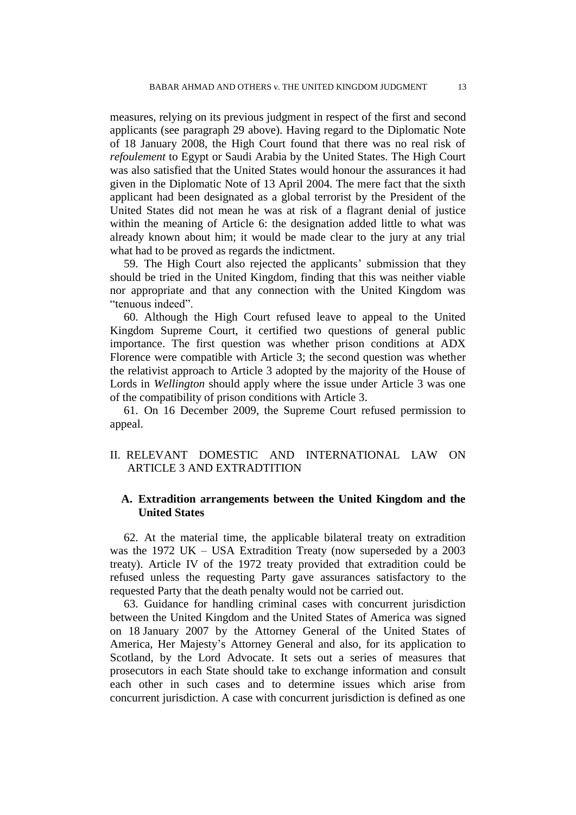measures, relying on its previous judgment in respect of the first and second applicants (see paragraph 29 above). Having regard to the Diplomatic Note of 18 January 2008, the High Court found that there was no real risk of *refoulement* to Egypt or Saudi Arabia by the United States. The High Court was also satisfied that the United States would honour the assurances it had given in the Diplomatic Note of 13 April 2004. The mere fact that the sixth applicant had been designated as a global terrorist by the President of the United States did not mean he was at risk of a flagrant denial of justice within the meaning of Article 6: the designation added little to what was already known about him; it would be made clear to the jury at any trial what had to be proved as regards the indictment.

59. The High Court also rejected the applicants' submission that they should be tried in the United Kingdom, finding that this was neither viable nor appropriate and that any connection with the United Kingdom was "tenuous indeed".

60. Although the High Court refused leave to appeal to the United Kingdom Supreme Court, it certified two questions of general public importance. The first question was whether prison conditions at ADX Florence were compatible with Article 3; the second question was whether the relativist approach to Article 3 adopted by the majority of the House of Lords in *Wellington* should apply where the issue under Article 3 was one of the compatibility of prison conditions with Article 3.

61. On 16 December 2009, the Supreme Court refused permission to appeal.

# II. RELEVANT DOMESTIC AND INTERNATIONAL LAW ON ARTICLE 3 AND EXTRADTITION

# **A. Extradition arrangements between the United Kingdom and the United States**

62. At the material time, the applicable bilateral treaty on extradition was the 1972 UK – USA Extradition Treaty (now superseded by a 2003 treaty). Article IV of the 1972 treaty provided that extradition could be refused unless the requesting Party gave assurances satisfactory to the requested Party that the death penalty would not be carried out.

63. Guidance for handling criminal cases with concurrent jurisdiction between the United Kingdom and the United States of America was signed on 18 January 2007 by the Attorney General of the United States of America, Her Majesty's Attorney General and also, for its application to Scotland, by the Lord Advocate. It sets out a series of measures that prosecutors in each State should take to exchange information and consult each other in such cases and to determine issues which arise from concurrent jurisdiction. A case with concurrent jurisdiction is defined as one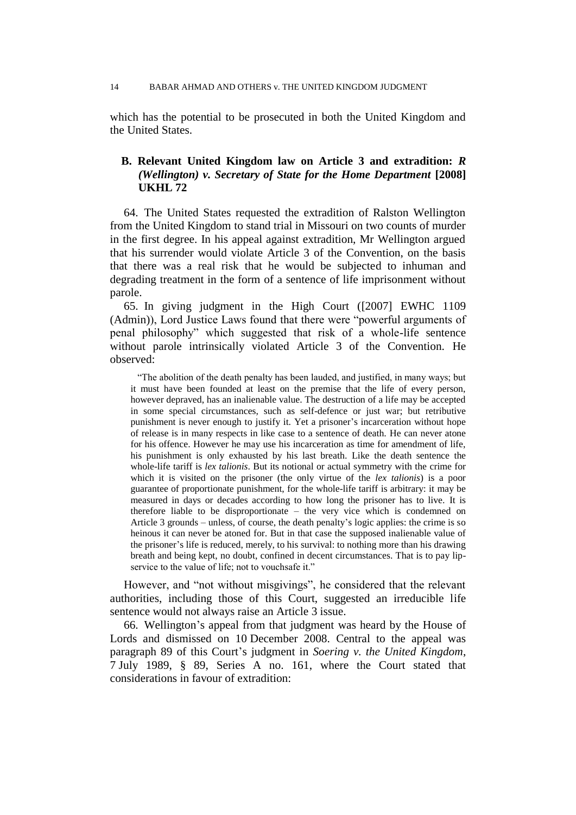#### 14 BABAR AHMAD AND OTHERS v. THE UNITED KINGDOM JUDGMENT

which has the potential to be prosecuted in both the United Kingdom and the United States.

# **B. Relevant United Kingdom law on Article 3 and extradition:** *R (Wellington) v. Secretary of State for the Home Department* [2008] **UKHL 72**

64. The United States requested the extradition of Ralston Wellington from the United Kingdom to stand trial in Missouri on two counts of murder in the first degree. In his appeal against extradition, Mr Wellington argued that his surrender would violate Article 3 of the Convention, on the basis that there was a real risk that he would be subjected to inhuman and degrading treatment in the form of a sentence of life imprisonment without parole.

65. In giving judgment in the High Court ([2007] EWHC 1109 (Admin)), Lord Justice Laws found that there were "powerful arguments of penal philosophy" which suggested that risk of a whole-life sentence without parole intrinsically violated Article 3 of the Convention. He observed:

"The abolition of the death penalty has been lauded, and justified, in many ways; but it must have been founded at least on the premise that the life of every person, however depraved, has an inalienable value. The destruction of a life may be accepted in some special circumstances, such as self-defence or just war; but retributive punishment is never enough to justify it. Yet a prisoner's incarceration without hope of release is in many respects in like case to a sentence of death. He can never atone for his offence. However he may use his incarceration as time for amendment of life, his punishment is only exhausted by his last breath. Like the death sentence the whole-life tariff is *lex talionis*. But its notional or actual symmetry with the crime for which it is visited on the prisoner (the only virtue of the *lex talionis*) is a poor guarantee of proportionate punishment, for the whole-life tariff is arbitrary: it may be measured in days or decades according to how long the prisoner has to live. It is therefore liable to be disproportionate – the very vice which is condemned on Article 3 grounds – unless, of course, the death penalty's logic applies: the crime is so heinous it can never be atoned for. But in that case the supposed inalienable value of the prisoner's life is reduced, merely, to his survival: to nothing more than his drawing breath and being kept, no doubt, confined in decent circumstances. That is to pay lipservice to the value of life; not to vouchsafe it."

However, and "not without misgivings", he considered that the relevant authorities, including those of this Court, suggested an irreducible life sentence would not always raise an Article 3 issue.

66. Wellington's appeal from that judgment was heard by the House of Lords and dismissed on 10 December 2008. Central to the appeal was paragraph 89 of this Court's judgment in *Soering v. the United Kingdom*, 7 July 1989, § 89, Series A no. 161, where the Court stated that considerations in favour of extradition: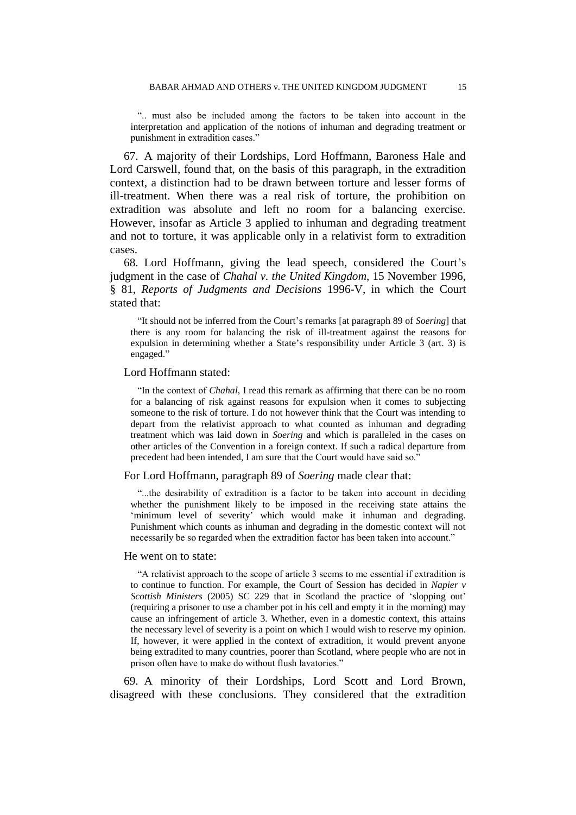".. must also be included among the factors to be taken into account in the interpretation and application of the notions of inhuman and degrading treatment or punishment in extradition cases."

67. A majority of their Lordships, Lord Hoffmann, Baroness Hale and Lord Carswell, found that, on the basis of this paragraph, in the extradition context, a distinction had to be drawn between torture and lesser forms of ill-treatment. When there was a real risk of torture, the prohibition on extradition was absolute and left no room for a balancing exercise. However, insofar as Article 3 applied to inhuman and degrading treatment and not to torture, it was applicable only in a relativist form to extradition cases.

68. Lord Hoffmann, giving the lead speech, considered the Court's judgment in the case of *Chahal v. the United Kingdom*, 15 November 1996, § 81, *Reports of Judgments and Decisions* 1996-V, in which the Court stated that:

"It should not be inferred from the Court's remarks [at paragraph 89 of *Soering*] that there is any room for balancing the risk of ill-treatment against the reasons for expulsion in determining whether a State's responsibility under Article 3 (art. 3) is engaged."

#### Lord Hoffmann stated:

"In the context of *Chahal*, I read this remark as affirming that there can be no room for a balancing of risk against reasons for expulsion when it comes to subjecting someone to the risk of torture. I do not however think that the Court was intending to depart from the relativist approach to what counted as inhuman and degrading treatment which was laid down in *Soering* and which is paralleled in the cases on other articles of the Convention in a foreign context. If such a radical departure from precedent had been intended, I am sure that the Court would have said so."

# For Lord Hoffmann, paragraph 89 of *Soering* made clear that:

"...the desirability of extradition is a factor to be taken into account in deciding whether the punishment likely to be imposed in the receiving state attains the 'minimum level of severity' which would make it inhuman and degrading. Punishment which counts as inhuman and degrading in the domestic context will not necessarily be so regarded when the extradition factor has been taken into account."

#### He went on to state:

"A relativist approach to the scope of article 3 seems to me essential if extradition is to continue to function. For example, the Court of Session has decided in *Napier v Scottish Ministers* (2005) SC 229 that in Scotland the practice of 'slopping out' (requiring a prisoner to use a chamber pot in his cell and empty it in the morning) may cause an infringement of article 3. Whether, even in a domestic context, this attains the necessary level of severity is a point on which I would wish to reserve my opinion. If, however, it were applied in the context of extradition, it would prevent anyone being extradited to many countries, poorer than Scotland, where people who are not in prison often have to make do without flush lavatories."

69. A minority of their Lordships, Lord Scott and Lord Brown, disagreed with these conclusions. They considered that the extradition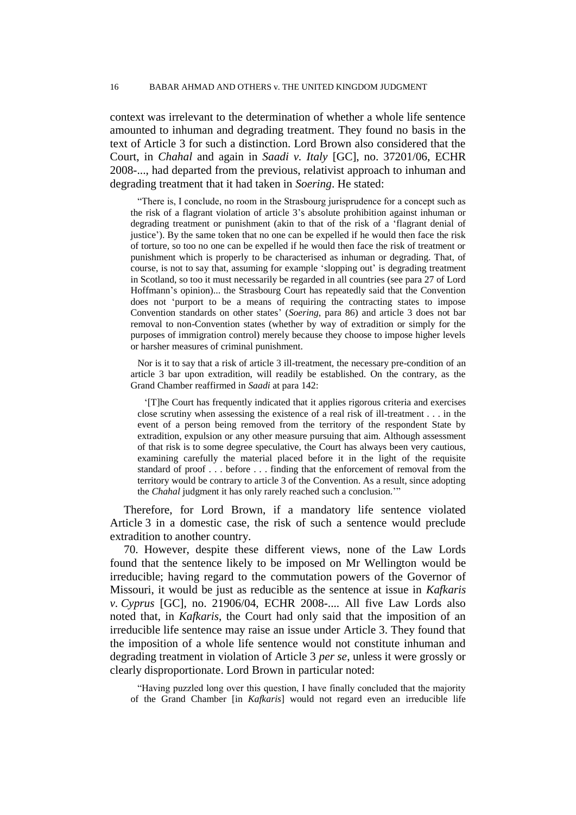context was irrelevant to the determination of whether a whole life sentence amounted to inhuman and degrading treatment. They found no basis in the text of Article 3 for such a distinction. Lord Brown also considered that the Court, in *Chahal* and again in *Saadi v. Italy* [GC], no. 37201/06, ECHR 2008-..., had departed from the previous, relativist approach to inhuman and degrading treatment that it had taken in *Soering*. He stated:

"There is, I conclude, no room in the Strasbourg jurisprudence for a concept such as the risk of a flagrant violation of article 3's absolute prohibition against inhuman or degrading treatment or punishment (akin to that of the risk of a 'flagrant denial of justice'). By the same token that no one can be expelled if he would then face the risk of torture, so too no one can be expelled if he would then face the risk of treatment or punishment which is properly to be characterised as inhuman or degrading. That, of course, is not to say that, assuming for example 'slopping out' is degrading treatment in Scotland, so too it must necessarily be regarded in all countries (see para 27 of Lord Hoffmann's opinion)... the Strasbourg Court has repeatedly said that the Convention does not 'purport to be a means of requiring the contracting states to impose Convention standards on other states' (*Soering*, para 86) and article 3 does not bar removal to non-Convention states (whether by way of extradition or simply for the purposes of immigration control) merely because they choose to impose higher levels or harsher measures of criminal punishment.

Nor is it to say that a risk of article 3 ill-treatment, the necessary pre-condition of an article 3 bar upon extradition, will readily be established. On the contrary, as the Grand Chamber reaffirmed in *Saadi* at para 142:

'[T]he Court has frequently indicated that it applies rigorous criteria and exercises close scrutiny when assessing the existence of a real risk of ill-treatment . . . in the event of a person being removed from the territory of the respondent State by extradition, expulsion or any other measure pursuing that aim. Although assessment of that risk is to some degree speculative, the Court has always been very cautious, examining carefully the material placed before it in the light of the requisite standard of proof . . . before . . . finding that the enforcement of removal from the territory would be contrary to article 3 of the Convention. As a result, since adopting the *Chahal* judgment it has only rarely reached such a conclusion.'"

Therefore, for Lord Brown, if a mandatory life sentence violated Article 3 in a domestic case, the risk of such a sentence would preclude extradition to another country.

70. However, despite these different views, none of the Law Lords found that the sentence likely to be imposed on Mr Wellington would be irreducible; having regard to the commutation powers of the Governor of Missouri, it would be just as reducible as the sentence at issue in *Kafkaris v. Cyprus* [GC], no. 21906/04, ECHR 2008-.... All five Law Lords also noted that, in *Kafkaris*, the Court had only said that the imposition of an irreducible life sentence may raise an issue under Article 3. They found that the imposition of a whole life sentence would not constitute inhuman and degrading treatment in violation of Article 3 *per se*, unless it were grossly or clearly disproportionate. Lord Brown in particular noted:

"Having puzzled long over this question, I have finally concluded that the majority of the Grand Chamber [in *Kafkaris*] would not regard even an irreducible life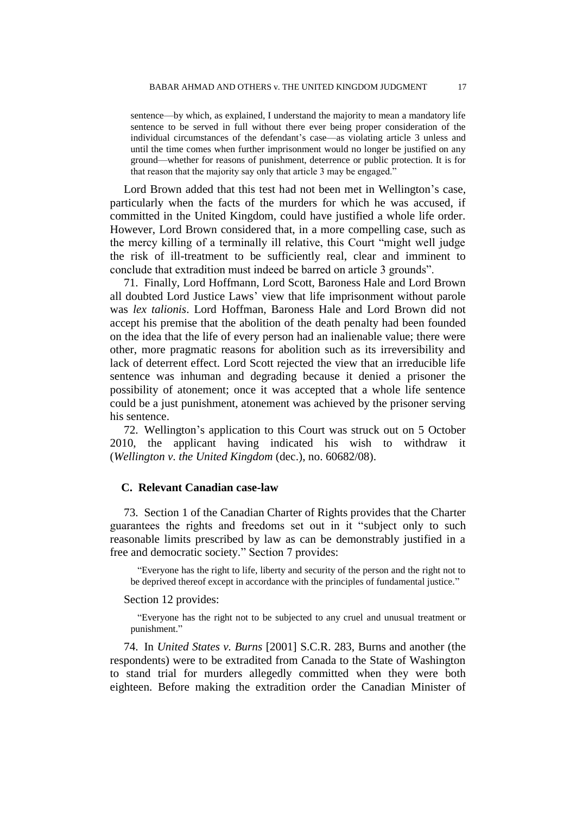sentence—by which, as explained, I understand the majority to mean a mandatory life sentence to be served in full without there ever being proper consideration of the individual circumstances of the defendant's case—as violating article 3 unless and until the time comes when further imprisonment would no longer be justified on any ground—whether for reasons of punishment, deterrence or public protection. It is for that reason that the majority say only that article 3 may be engaged."

Lord Brown added that this test had not been met in Wellington's case, particularly when the facts of the murders for which he was accused, if committed in the United Kingdom, could have justified a whole life order. However, Lord Brown considered that, in a more compelling case, such as the mercy killing of a terminally ill relative, this Court "might well judge the risk of ill-treatment to be sufficiently real, clear and imminent to conclude that extradition must indeed be barred on article 3 grounds".

71. Finally, Lord Hoffmann, Lord Scott, Baroness Hale and Lord Brown all doubted Lord Justice Laws' view that life imprisonment without parole was *lex talionis*. Lord Hoffman, Baroness Hale and Lord Brown did not accept his premise that the abolition of the death penalty had been founded on the idea that the life of every person had an inalienable value; there were other, more pragmatic reasons for abolition such as its irreversibility and lack of deterrent effect. Lord Scott rejected the view that an irreducible life sentence was inhuman and degrading because it denied a prisoner the possibility of atonement; once it was accepted that a whole life sentence could be a just punishment, atonement was achieved by the prisoner serving his sentence.

72. Wellington's application to this Court was struck out on 5 October 2010, the applicant having indicated his wish to withdraw it (*Wellington v. the United Kingdom* (dec.), no. 60682/08).

## **C. Relevant Canadian case-law**

73. Section 1 of the Canadian Charter of Rights provides that the Charter guarantees the rights and freedoms set out in it "subject only to such reasonable limits prescribed by law as can be demonstrably justified in a free and democratic society." Section 7 provides:

"Everyone has the right to life, liberty and security of the person and the right not to be deprived thereof except in accordance with the principles of fundamental justice."

Section 12 provides:

"Everyone has the right not to be subjected to any cruel and unusual treatment or punishment."

74. In *United States v. Burns* [2001] S.C.R. 283, Burns and another (the respondents) were to be extradited from Canada to the State of Washington to stand trial for murders allegedly committed when they were both eighteen. Before making the extradition order the Canadian Minister of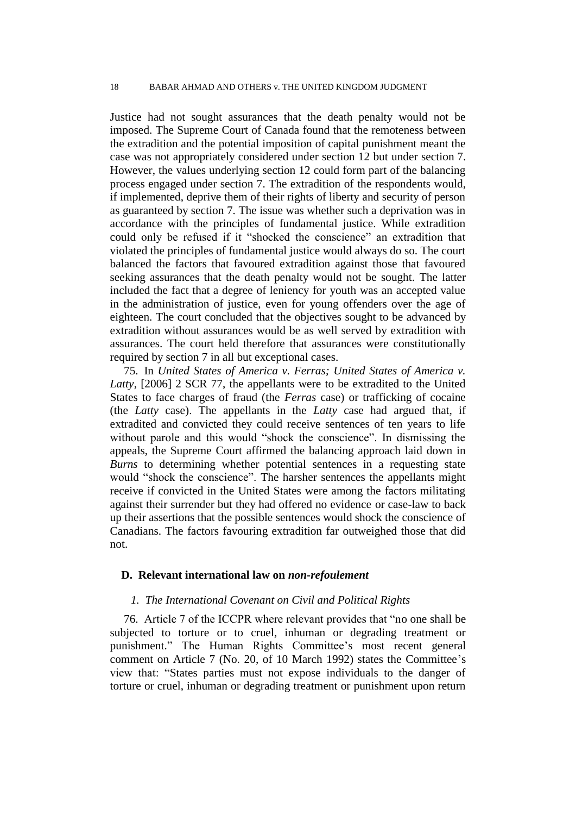Justice had not sought assurances that the death penalty would not be imposed. The Supreme Court of Canada found that the remoteness between the extradition and the potential imposition of capital punishment meant the case was not appropriately considered under section 12 but under section 7. However, the values underlying section 12 could form part of the balancing process engaged under section 7. The extradition of the respondents would, if implemented, deprive them of their rights of liberty and security of person as guaranteed by section 7. The issue was whether such a deprivation was in accordance with the principles of fundamental justice. While extradition could only be refused if it "shocked the conscience" an extradition that violated the principles of fundamental justice would always do so. The court balanced the factors that favoured extradition against those that favoured seeking assurances that the death penalty would not be sought. The latter included the fact that a degree of leniency for youth was an accepted value in the administration of justice, even for young offenders over the age of eighteen. The court concluded that the objectives sought to be advanced by extradition without assurances would be as well served by extradition with assurances. The court held therefore that assurances were constitutionally required by section 7 in all but exceptional cases.

75. In *United States of America v. Ferras; United States of America v. Latty*, [2006] 2 SCR 77, the appellants were to be extradited to the United States to face charges of fraud (the *Ferras* case) or trafficking of cocaine (the *Latty* case). The appellants in the *Latty* case had argued that, if extradited and convicted they could receive sentences of ten years to life without parole and this would "shock the conscience". In dismissing the appeals, the Supreme Court affirmed the balancing approach laid down in *Burns* to determining whether potential sentences in a requesting state would "shock the conscience". The harsher sentences the appellants might receive if convicted in the United States were among the factors militating against their surrender but they had offered no evidence or case-law to back up their assertions that the possible sentences would shock the conscience of Canadians. The factors favouring extradition far outweighed those that did not.

#### **D. Relevant international law on** *non-refoulement*

# *1. The International Covenant on Civil and Political Rights*

76. Article 7 of the ICCPR where relevant provides that "no one shall be subjected to torture or to cruel, inhuman or degrading treatment or punishment." The Human Rights Committee's most recent general comment on Article 7 (No. 20, of 10 March 1992) states the Committee's view that: "States parties must not expose individuals to the danger of torture or cruel, inhuman or degrading treatment or punishment upon return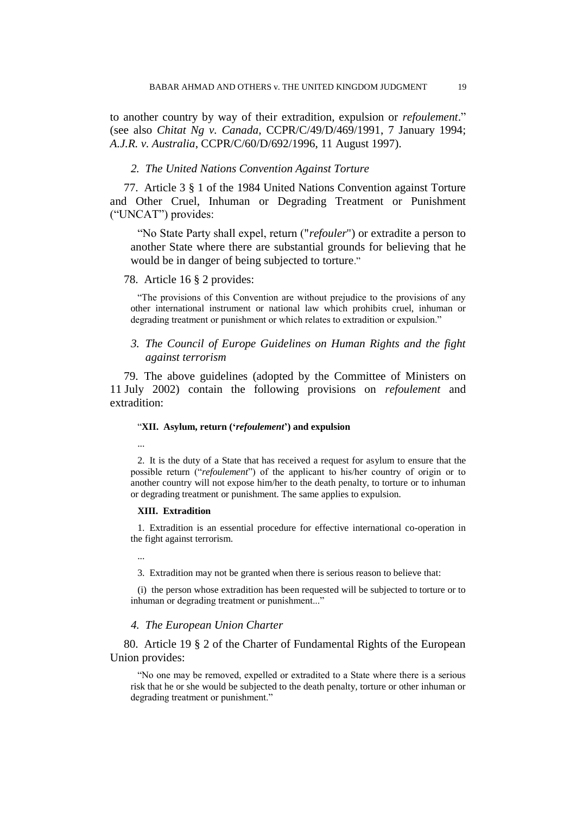to another country by way of their extradition, expulsion or *refoulement*." (see also *Chitat Ng v. Canada*, CCPR/C/49/D/469/1991, 7 January 1994; *A.J.R. v. Australia*, CCPR/C/60/D/692/1996, 11 August 1997).

#### *2. The United Nations Convention Against Torture*

77. Article 3 § 1 of the 1984 United Nations Convention against Torture and Other Cruel, Inhuman or Degrading Treatment or Punishment ("UNCAT") provides:

"No State Party shall expel, return ("*refouler*") or extradite a person to another State where there are substantial grounds for believing that he would be in danger of being subjected to torture."

#### 78. Article 16 § 2 provides:

"The provisions of this Convention are without prejudice to the provisions of any other international instrument or national law which prohibits cruel, inhuman or degrading treatment or punishment or which relates to extradition or expulsion."

# *3. The Council of Europe Guidelines on Human Rights and the fight against terrorism*

79. The above guidelines (adopted by the Committee of Ministers on 11 July 2002) contain the following provisions on *refoulement* and extradition:

#### "**XII. Asylum, return ('***refoulement***') and expulsion**

...

2. It is the duty of a State that has received a request for asylum to ensure that the possible return ("*refoulement*") of the applicant to his/her country of origin or to another country will not expose him/her to the death penalty, to torture or to inhuman or degrading treatment or punishment. The same applies to expulsion.

#### **XIII. Extradition**

1. Extradition is an essential procedure for effective international co-operation in the fight against terrorism.

...

3. Extradition may not be granted when there is serious reason to believe that:

(i) the person whose extradition has been requested will be subjected to torture or to inhuman or degrading treatment or punishment..."

#### *4. The European Union Charter*

80. Article 19 § 2 of the Charter of Fundamental Rights of the European Union provides:

"No one may be removed, expelled or extradited to a State where there is a serious risk that he or she would be subjected to the death penalty, torture or other inhuman or degrading treatment or punishment."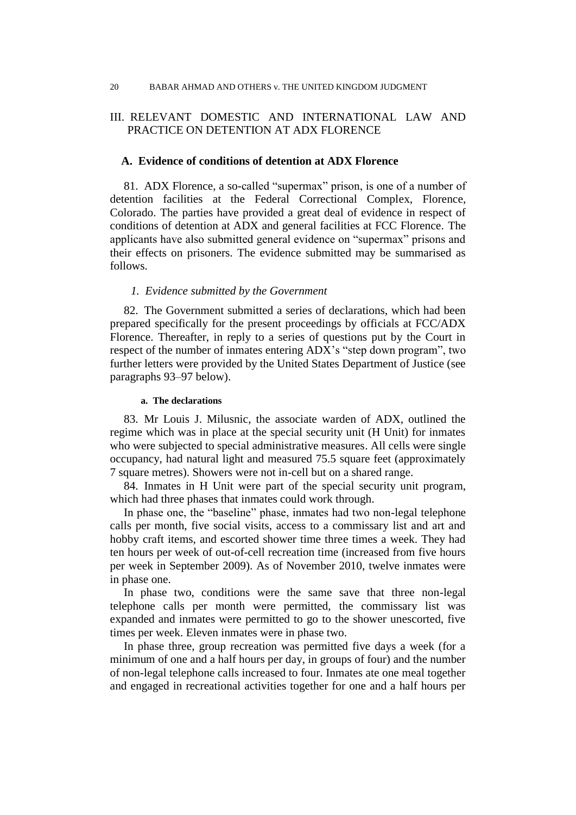#### 20 BABAR AHMAD AND OTHERS v. THE UNITED KINGDOM JUDGMENT

# III. RELEVANT DOMESTIC AND INTERNATIONAL LAW AND PRACTICE ON DETENTION AT ADX FLORENCE

## **A. Evidence of conditions of detention at ADX Florence**

81. ADX Florence, a so-called "supermax" prison, is one of a number of detention facilities at the Federal Correctional Complex, Florence, Colorado. The parties have provided a great deal of evidence in respect of conditions of detention at ADX and general facilities at FCC Florence. The applicants have also submitted general evidence on "supermax" prisons and their effects on prisoners. The evidence submitted may be summarised as follows.

# *1. Evidence submitted by the Government*

82. The Government submitted a series of declarations, which had been prepared specifically for the present proceedings by officials at FCC/ADX Florence. Thereafter, in reply to a series of questions put by the Court in respect of the number of inmates entering ADX's "step down program", two further letters were provided by the United States Department of Justice (see paragraphs 93–97 below).

## **a. The declarations**

83. Mr Louis J. Milusnic, the associate warden of ADX, outlined the regime which was in place at the special security unit (H Unit) for inmates who were subjected to special administrative measures. All cells were single occupancy, had natural light and measured 75.5 square feet (approximately 7 square metres). Showers were not in-cell but on a shared range.

84. Inmates in H Unit were part of the special security unit program, which had three phases that inmates could work through.

In phase one, the "baseline" phase, inmates had two non-legal telephone calls per month, five social visits, access to a commissary list and art and hobby craft items, and escorted shower time three times a week. They had ten hours per week of out-of-cell recreation time (increased from five hours per week in September 2009). As of November 2010, twelve inmates were in phase one.

In phase two, conditions were the same save that three non-legal telephone calls per month were permitted, the commissary list was expanded and inmates were permitted to go to the shower unescorted, five times per week. Eleven inmates were in phase two.

In phase three, group recreation was permitted five days a week (for a minimum of one and a half hours per day, in groups of four) and the number of non-legal telephone calls increased to four. Inmates ate one meal together and engaged in recreational activities together for one and a half hours per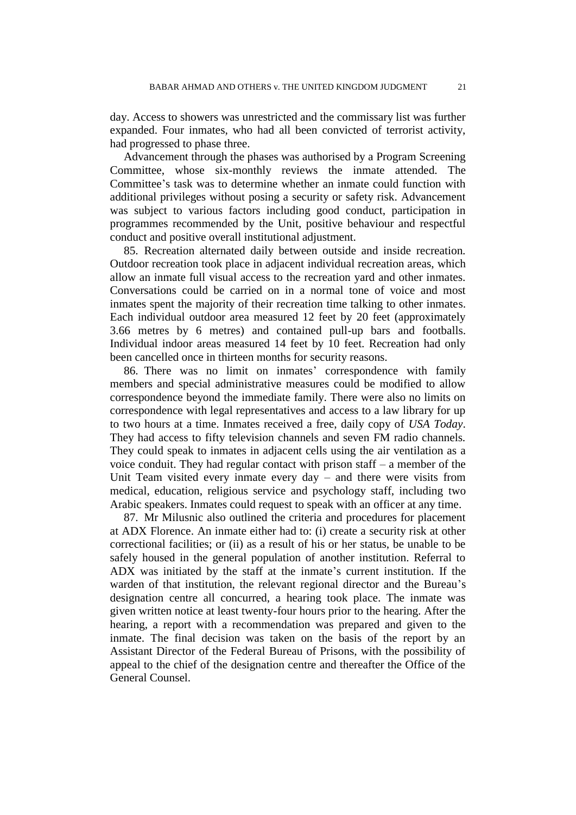day. Access to showers was unrestricted and the commissary list was further expanded. Four inmates, who had all been convicted of terrorist activity, had progressed to phase three.

Advancement through the phases was authorised by a Program Screening Committee, whose six-monthly reviews the inmate attended. The Committee's task was to determine whether an inmate could function with additional privileges without posing a security or safety risk. Advancement was subject to various factors including good conduct, participation in programmes recommended by the Unit, positive behaviour and respectful conduct and positive overall institutional adjustment.

85. Recreation alternated daily between outside and inside recreation. Outdoor recreation took place in adjacent individual recreation areas, which allow an inmate full visual access to the recreation yard and other inmates. Conversations could be carried on in a normal tone of voice and most inmates spent the majority of their recreation time talking to other inmates. Each individual outdoor area measured 12 feet by 20 feet (approximately 3.66 metres by 6 metres) and contained pull-up bars and footballs. Individual indoor areas measured 14 feet by 10 feet. Recreation had only been cancelled once in thirteen months for security reasons.

86. There was no limit on inmates' correspondence with family members and special administrative measures could be modified to allow correspondence beyond the immediate family. There were also no limits on correspondence with legal representatives and access to a law library for up to two hours at a time. Inmates received a free, daily copy of *USA Today*. They had access to fifty television channels and seven FM radio channels. They could speak to inmates in adjacent cells using the air ventilation as a voice conduit. They had regular contact with prison staff – a member of the Unit Team visited every inmate every day – and there were visits from medical, education, religious service and psychology staff, including two Arabic speakers. Inmates could request to speak with an officer at any time.

87. Mr Milusnic also outlined the criteria and procedures for placement at ADX Florence. An inmate either had to: (i) create a security risk at other correctional facilities; or (ii) as a result of his or her status, be unable to be safely housed in the general population of another institution. Referral to ADX was initiated by the staff at the inmate's current institution. If the warden of that institution, the relevant regional director and the Bureau's designation centre all concurred, a hearing took place. The inmate was given written notice at least twenty-four hours prior to the hearing. After the hearing, a report with a recommendation was prepared and given to the inmate. The final decision was taken on the basis of the report by an Assistant Director of the Federal Bureau of Prisons, with the possibility of appeal to the chief of the designation centre and thereafter the Office of the General Counsel.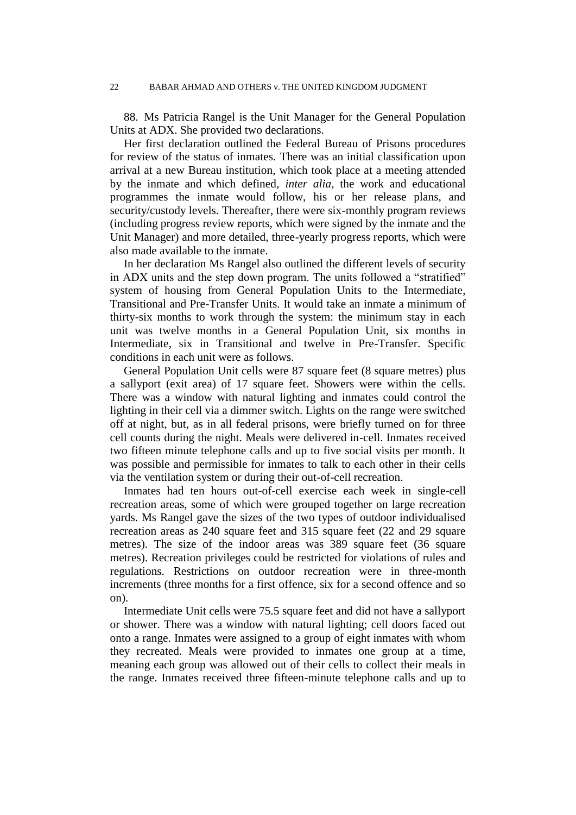#### 22 BABAR AHMAD AND OTHERS v. THE UNITED KINGDOM JUDGMENT

88. Ms Patricia Rangel is the Unit Manager for the General Population Units at ADX. She provided two declarations.

Her first declaration outlined the Federal Bureau of Prisons procedures for review of the status of inmates. There was an initial classification upon arrival at a new Bureau institution, which took place at a meeting attended by the inmate and which defined, *inter alia*, the work and educational programmes the inmate would follow, his or her release plans, and security/custody levels. Thereafter, there were six-monthly program reviews (including progress review reports, which were signed by the inmate and the Unit Manager) and more detailed, three-yearly progress reports, which were also made available to the inmate.

In her declaration Ms Rangel also outlined the different levels of security in ADX units and the step down program. The units followed a "stratified" system of housing from General Population Units to the Intermediate, Transitional and Pre-Transfer Units. It would take an inmate a minimum of thirty-six months to work through the system: the minimum stay in each unit was twelve months in a General Population Unit, six months in Intermediate, six in Transitional and twelve in Pre-Transfer. Specific conditions in each unit were as follows.

General Population Unit cells were 87 square feet (8 square metres) plus a sallyport (exit area) of 17 square feet. Showers were within the cells. There was a window with natural lighting and inmates could control the lighting in their cell via a dimmer switch. Lights on the range were switched off at night, but, as in all federal prisons, were briefly turned on for three cell counts during the night. Meals were delivered in-cell. Inmates received two fifteen minute telephone calls and up to five social visits per month. It was possible and permissible for inmates to talk to each other in their cells via the ventilation system or during their out-of-cell recreation.

Inmates had ten hours out-of-cell exercise each week in single-cell recreation areas, some of which were grouped together on large recreation yards. Ms Rangel gave the sizes of the two types of outdoor individualised recreation areas as 240 square feet and 315 square feet (22 and 29 square metres). The size of the indoor areas was 389 square feet (36 square metres). Recreation privileges could be restricted for violations of rules and regulations. Restrictions on outdoor recreation were in three-month increments (three months for a first offence, six for a second offence and so on).

Intermediate Unit cells were 75.5 square feet and did not have a sallyport or shower. There was a window with natural lighting; cell doors faced out onto a range. Inmates were assigned to a group of eight inmates with whom they recreated. Meals were provided to inmates one group at a time, meaning each group was allowed out of their cells to collect their meals in the range. Inmates received three fifteen-minute telephone calls and up to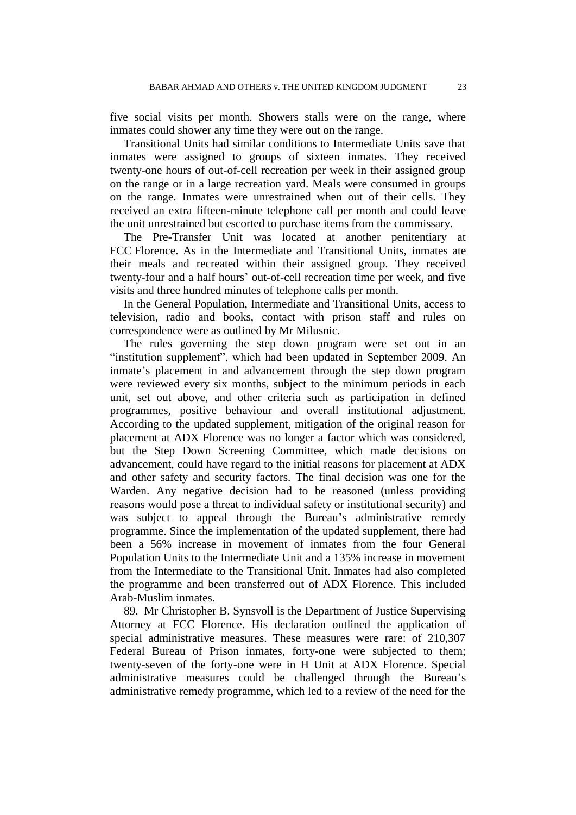five social visits per month. Showers stalls were on the range, where inmates could shower any time they were out on the range.

Transitional Units had similar conditions to Intermediate Units save that inmates were assigned to groups of sixteen inmates. They received twenty-one hours of out-of-cell recreation per week in their assigned group on the range or in a large recreation yard. Meals were consumed in groups on the range. Inmates were unrestrained when out of their cells. They received an extra fifteen-minute telephone call per month and could leave the unit unrestrained but escorted to purchase items from the commissary.

The Pre-Transfer Unit was located at another penitentiary at FCC Florence. As in the Intermediate and Transitional Units, inmates ate their meals and recreated within their assigned group. They received twenty-four and a half hours' out-of-cell recreation time per week, and five visits and three hundred minutes of telephone calls per month.

In the General Population, Intermediate and Transitional Units, access to television, radio and books, contact with prison staff and rules on correspondence were as outlined by Mr Milusnic.

The rules governing the step down program were set out in an "institution supplement", which had been updated in September 2009. An inmate's placement in and advancement through the step down program were reviewed every six months, subject to the minimum periods in each unit, set out above, and other criteria such as participation in defined programmes, positive behaviour and overall institutional adjustment. According to the updated supplement, mitigation of the original reason for placement at ADX Florence was no longer a factor which was considered, but the Step Down Screening Committee, which made decisions on advancement, could have regard to the initial reasons for placement at ADX and other safety and security factors. The final decision was one for the Warden. Any negative decision had to be reasoned (unless providing reasons would pose a threat to individual safety or institutional security) and was subject to appeal through the Bureau's administrative remedy programme. Since the implementation of the updated supplement, there had been a 56% increase in movement of inmates from the four General Population Units to the Intermediate Unit and a 135% increase in movement from the Intermediate to the Transitional Unit. Inmates had also completed the programme and been transferred out of ADX Florence. This included Arab-Muslim inmates.

89. Mr Christopher B. Synsvoll is the Department of Justice Supervising Attorney at FCC Florence. His declaration outlined the application of special administrative measures. These measures were rare: of 210,307 Federal Bureau of Prison inmates, forty-one were subjected to them; twenty-seven of the forty-one were in H Unit at ADX Florence. Special administrative measures could be challenged through the Bureau's administrative remedy programme, which led to a review of the need for the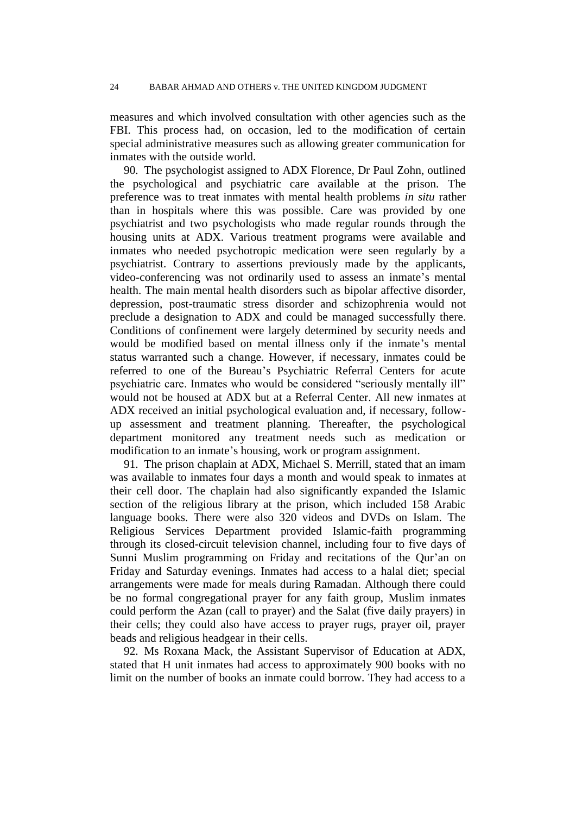measures and which involved consultation with other agencies such as the FBI. This process had, on occasion, led to the modification of certain special administrative measures such as allowing greater communication for inmates with the outside world.

90. The psychologist assigned to ADX Florence, Dr Paul Zohn, outlined the psychological and psychiatric care available at the prison. The preference was to treat inmates with mental health problems *in situ* rather than in hospitals where this was possible. Care was provided by one psychiatrist and two psychologists who made regular rounds through the housing units at ADX. Various treatment programs were available and inmates who needed psychotropic medication were seen regularly by a psychiatrist. Contrary to assertions previously made by the applicants, video-conferencing was not ordinarily used to assess an inmate's mental health. The main mental health disorders such as bipolar affective disorder, depression, post-traumatic stress disorder and schizophrenia would not preclude a designation to ADX and could be managed successfully there. Conditions of confinement were largely determined by security needs and would be modified based on mental illness only if the inmate's mental status warranted such a change. However, if necessary, inmates could be referred to one of the Bureau's Psychiatric Referral Centers for acute psychiatric care. Inmates who would be considered "seriously mentally ill" would not be housed at ADX but at a Referral Center. All new inmates at ADX received an initial psychological evaluation and, if necessary, followup assessment and treatment planning. Thereafter, the psychological department monitored any treatment needs such as medication or modification to an inmate's housing, work or program assignment.

91. The prison chaplain at ADX, Michael S. Merrill, stated that an imam was available to inmates four days a month and would speak to inmates at their cell door. The chaplain had also significantly expanded the Islamic section of the religious library at the prison, which included 158 Arabic language books. There were also 320 videos and DVDs on Islam. The Religious Services Department provided Islamic-faith programming through its closed-circuit television channel, including four to five days of Sunni Muslim programming on Friday and recitations of the Qur'an on Friday and Saturday evenings. Inmates had access to a halal diet; special arrangements were made for meals during Ramadan. Although there could be no formal congregational prayer for any faith group, Muslim inmates could perform the Azan (call to prayer) and the Salat (five daily prayers) in their cells; they could also have access to prayer rugs, prayer oil, prayer beads and religious headgear in their cells.

92. Ms Roxana Mack, the Assistant Supervisor of Education at ADX, stated that H unit inmates had access to approximately 900 books with no limit on the number of books an inmate could borrow. They had access to a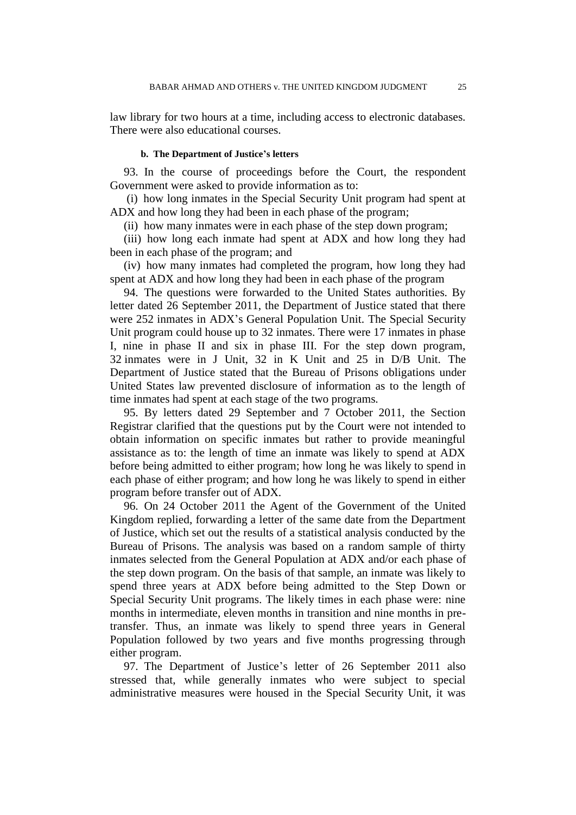law library for two hours at a time, including access to electronic databases. There were also educational courses.

#### **b. The Department of Justice's letters**

93. In the course of proceedings before the Court, the respondent Government were asked to provide information as to:

(i) how long inmates in the Special Security Unit program had spent at ADX and how long they had been in each phase of the program;

(ii) how many inmates were in each phase of the step down program;

(iii) how long each inmate had spent at ADX and how long they had been in each phase of the program; and

(iv) how many inmates had completed the program, how long they had spent at ADX and how long they had been in each phase of the program

94. The questions were forwarded to the United States authorities. By letter dated 26 September 2011, the Department of Justice stated that there were 252 inmates in ADX's General Population Unit. The Special Security Unit program could house up to 32 inmates. There were 17 inmates in phase I, nine in phase II and six in phase III. For the step down program, 32 inmates were in J Unit, 32 in K Unit and 25 in D/B Unit. The Department of Justice stated that the Bureau of Prisons obligations under United States law prevented disclosure of information as to the length of time inmates had spent at each stage of the two programs.

95. By letters dated 29 September and 7 October 2011, the Section Registrar clarified that the questions put by the Court were not intended to obtain information on specific inmates but rather to provide meaningful assistance as to: the length of time an inmate was likely to spend at ADX before being admitted to either program; how long he was likely to spend in each phase of either program; and how long he was likely to spend in either program before transfer out of ADX.

96. On 24 October 2011 the Agent of the Government of the United Kingdom replied, forwarding a letter of the same date from the Department of Justice, which set out the results of a statistical analysis conducted by the Bureau of Prisons. The analysis was based on a random sample of thirty inmates selected from the General Population at ADX and/or each phase of the step down program. On the basis of that sample, an inmate was likely to spend three years at ADX before being admitted to the Step Down or Special Security Unit programs. The likely times in each phase were: nine months in intermediate, eleven months in transition and nine months in pretransfer. Thus, an inmate was likely to spend three years in General Population followed by two years and five months progressing through either program.

97. The Department of Justice's letter of 26 September 2011 also stressed that, while generally inmates who were subject to special administrative measures were housed in the Special Security Unit, it was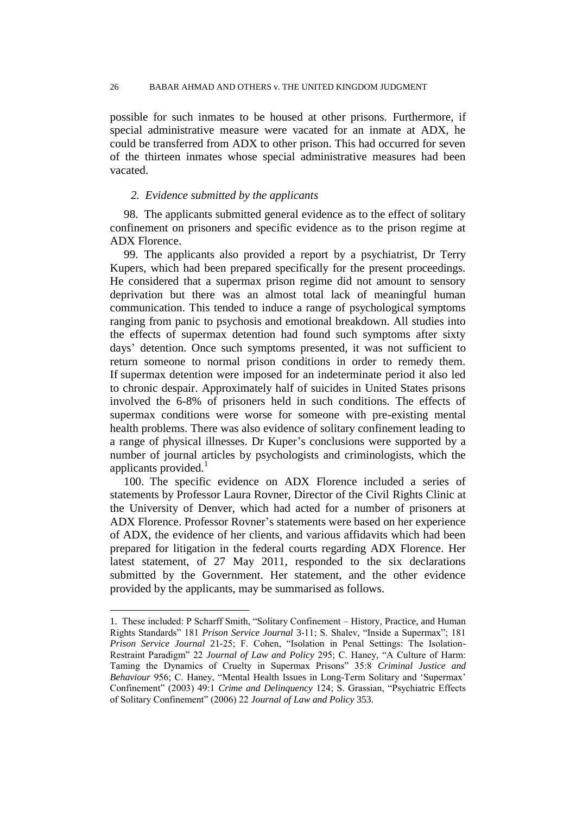possible for such inmates to be housed at other prisons. Furthermore, if special administrative measure were vacated for an inmate at ADX, he could be transferred from ADX to other prison. This had occurred for seven of the thirteen inmates whose special administrative measures had been vacated.

# *2. Evidence submitted by the applicants*

98. The applicants submitted general evidence as to the effect of solitary confinement on prisoners and specific evidence as to the prison regime at ADX Florence.

99. The applicants also provided a report by a psychiatrist, Dr Terry Kupers, which had been prepared specifically for the present proceedings. He considered that a supermax prison regime did not amount to sensory deprivation but there was an almost total lack of meaningful human communication. This tended to induce a range of psychological symptoms ranging from panic to psychosis and emotional breakdown. All studies into the effects of supermax detention had found such symptoms after sixty days' detention. Once such symptoms presented, it was not sufficient to return someone to normal prison conditions in order to remedy them. If supermax detention were imposed for an indeterminate period it also led to chronic despair. Approximately half of suicides in United States prisons involved the 6-8% of prisoners held in such conditions. The effects of supermax conditions were worse for someone with pre-existing mental health problems. There was also evidence of solitary confinement leading to a range of physical illnesses. Dr Kuper's conclusions were supported by a number of journal articles by psychologists and criminologists, which the applicants provided. $<sup>1</sup>$ </sup>

100. The specific evidence on ADX Florence included a series of statements by Professor Laura Rovner, Director of the Civil Rights Clinic at the University of Denver, which had acted for a number of prisoners at ADX Florence. Professor Rovner's statements were based on her experience of ADX, the evidence of her clients, and various affidavits which had been prepared for litigation in the federal courts regarding ADX Florence. Her latest statement, of 27 May 2011, responded to the six declarations submitted by the Government. Her statement, and the other evidence provided by the applicants, may be summarised as follows.

<sup>1.</sup> These included: P Scharff Smith, "Solitary Confinement – History, Practice, and Human Rights Standards" 181 *Prison Service Journal* 3-11; S. Shalev, "Inside a Supermax"; 181 *Prison Service Journal* 21-25; F. Cohen, "Isolation in Penal Settings: The Isolation-Restraint Paradigm" 22 *Journal of Law and Policy* 295; C. Haney, "A Culture of Harm: Taming the Dynamics of Cruelty in Supermax Prisons" 35:8 *Criminal Justice and Behaviour* 956; C. Haney, "Mental Health Issues in Long-Term Solitary and 'Supermax' Confinement" (2003) 49:1 *Crime and Delinquency* 124; S. Grassian, "Psychiatric Effects of Solitary Confinement" (2006) 22 *Journal of Law and Policy* 353.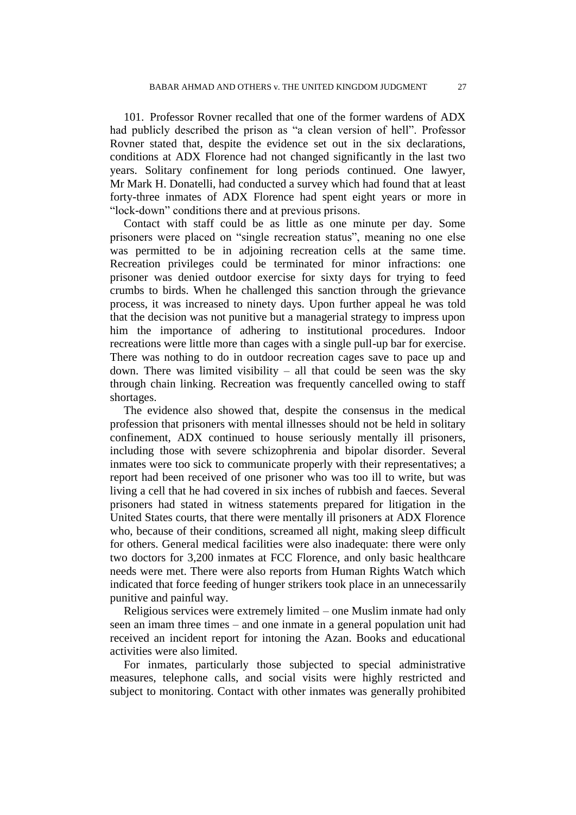101. Professor Rovner recalled that one of the former wardens of ADX had publicly described the prison as "a clean version of hell". Professor Rovner stated that, despite the evidence set out in the six declarations, conditions at ADX Florence had not changed significantly in the last two years. Solitary confinement for long periods continued. One lawyer, Mr Mark H. Donatelli, had conducted a survey which had found that at least forty-three inmates of ADX Florence had spent eight years or more in "lock-down" conditions there and at previous prisons.

Contact with staff could be as little as one minute per day. Some prisoners were placed on "single recreation status", meaning no one else was permitted to be in adjoining recreation cells at the same time. Recreation privileges could be terminated for minor infractions: one prisoner was denied outdoor exercise for sixty days for trying to feed crumbs to birds. When he challenged this sanction through the grievance process, it was increased to ninety days. Upon further appeal he was told that the decision was not punitive but a managerial strategy to impress upon him the importance of adhering to institutional procedures. Indoor recreations were little more than cages with a single pull-up bar for exercise. There was nothing to do in outdoor recreation cages save to pace up and down. There was limited visibility  $-$  all that could be seen was the sky through chain linking. Recreation was frequently cancelled owing to staff shortages.

The evidence also showed that, despite the consensus in the medical profession that prisoners with mental illnesses should not be held in solitary confinement, ADX continued to house seriously mentally ill prisoners, including those with severe schizophrenia and bipolar disorder. Several inmates were too sick to communicate properly with their representatives; a report had been received of one prisoner who was too ill to write, but was living a cell that he had covered in six inches of rubbish and faeces. Several prisoners had stated in witness statements prepared for litigation in the United States courts, that there were mentally ill prisoners at ADX Florence who, because of their conditions, screamed all night, making sleep difficult for others. General medical facilities were also inadequate: there were only two doctors for 3,200 inmates at FCC Florence, and only basic healthcare needs were met. There were also reports from Human Rights Watch which indicated that force feeding of hunger strikers took place in an unnecessarily punitive and painful way.

Religious services were extremely limited – one Muslim inmate had only seen an imam three times – and one inmate in a general population unit had received an incident report for intoning the Azan. Books and educational activities were also limited.

For inmates, particularly those subjected to special administrative measures, telephone calls, and social visits were highly restricted and subject to monitoring. Contact with other inmates was generally prohibited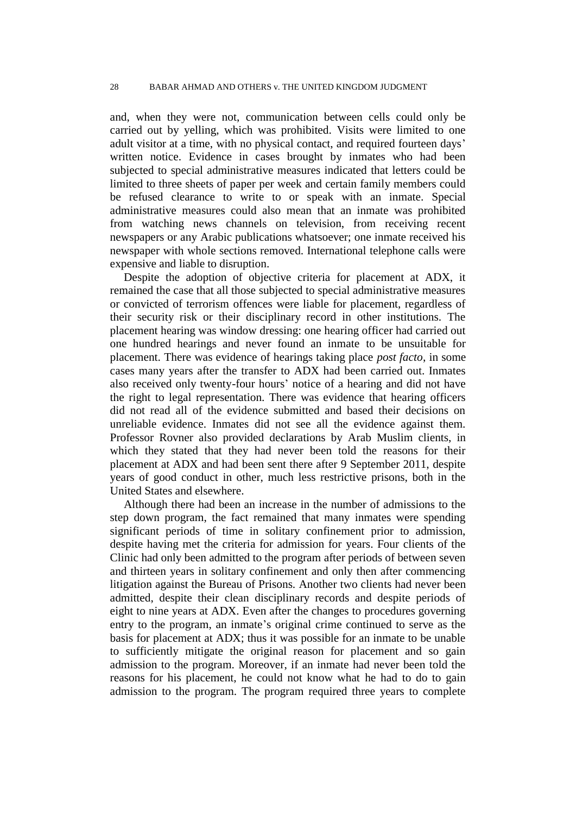and, when they were not, communication between cells could only be carried out by yelling, which was prohibited. Visits were limited to one adult visitor at a time, with no physical contact, and required fourteen days' written notice. Evidence in cases brought by inmates who had been subjected to special administrative measures indicated that letters could be limited to three sheets of paper per week and certain family members could be refused clearance to write to or speak with an inmate. Special administrative measures could also mean that an inmate was prohibited from watching news channels on television, from receiving recent newspapers or any Arabic publications whatsoever; one inmate received his newspaper with whole sections removed. International telephone calls were expensive and liable to disruption.

Despite the adoption of objective criteria for placement at ADX, it remained the case that all those subjected to special administrative measures or convicted of terrorism offences were liable for placement, regardless of their security risk or their disciplinary record in other institutions. The placement hearing was window dressing: one hearing officer had carried out one hundred hearings and never found an inmate to be unsuitable for placement. There was evidence of hearings taking place *post facto*, in some cases many years after the transfer to ADX had been carried out. Inmates also received only twenty-four hours' notice of a hearing and did not have the right to legal representation. There was evidence that hearing officers did not read all of the evidence submitted and based their decisions on unreliable evidence. Inmates did not see all the evidence against them. Professor Rovner also provided declarations by Arab Muslim clients, in which they stated that they had never been told the reasons for their placement at ADX and had been sent there after 9 September 2011, despite years of good conduct in other, much less restrictive prisons, both in the United States and elsewhere.

Although there had been an increase in the number of admissions to the step down program, the fact remained that many inmates were spending significant periods of time in solitary confinement prior to admission, despite having met the criteria for admission for years. Four clients of the Clinic had only been admitted to the program after periods of between seven and thirteen years in solitary confinement and only then after commencing litigation against the Bureau of Prisons. Another two clients had never been admitted, despite their clean disciplinary records and despite periods of eight to nine years at ADX. Even after the changes to procedures governing entry to the program, an inmate's original crime continued to serve as the basis for placement at ADX; thus it was possible for an inmate to be unable to sufficiently mitigate the original reason for placement and so gain admission to the program. Moreover, if an inmate had never been told the reasons for his placement, he could not know what he had to do to gain admission to the program. The program required three years to complete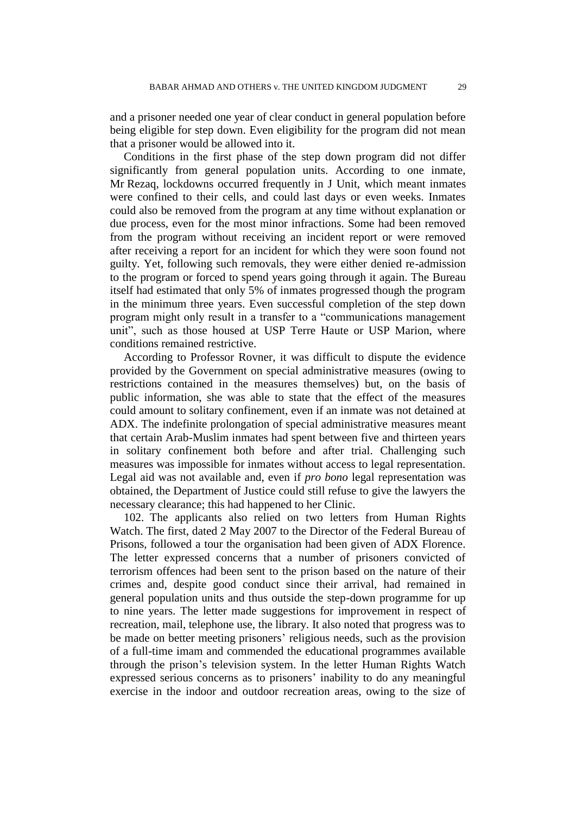and a prisoner needed one year of clear conduct in general population before being eligible for step down. Even eligibility for the program did not mean that a prisoner would be allowed into it.

Conditions in the first phase of the step down program did not differ significantly from general population units. According to one inmate, Mr Rezaq, lockdowns occurred frequently in J Unit, which meant inmates were confined to their cells, and could last days or even weeks. Inmates could also be removed from the program at any time without explanation or due process, even for the most minor infractions. Some had been removed from the program without receiving an incident report or were removed after receiving a report for an incident for which they were soon found not guilty. Yet, following such removals, they were either denied re-admission to the program or forced to spend years going through it again. The Bureau itself had estimated that only 5% of inmates progressed though the program in the minimum three years. Even successful completion of the step down program might only result in a transfer to a "communications management unit", such as those housed at USP Terre Haute or USP Marion, where conditions remained restrictive.

According to Professor Rovner, it was difficult to dispute the evidence provided by the Government on special administrative measures (owing to restrictions contained in the measures themselves) but, on the basis of public information, she was able to state that the effect of the measures could amount to solitary confinement, even if an inmate was not detained at ADX. The indefinite prolongation of special administrative measures meant that certain Arab-Muslim inmates had spent between five and thirteen years in solitary confinement both before and after trial. Challenging such measures was impossible for inmates without access to legal representation. Legal aid was not available and, even if *pro bono* legal representation was obtained, the Department of Justice could still refuse to give the lawyers the necessary clearance; this had happened to her Clinic.

102. The applicants also relied on two letters from Human Rights Watch. The first, dated 2 May 2007 to the Director of the Federal Bureau of Prisons, followed a tour the organisation had been given of ADX Florence. The letter expressed concerns that a number of prisoners convicted of terrorism offences had been sent to the prison based on the nature of their crimes and, despite good conduct since their arrival, had remained in general population units and thus outside the step-down programme for up to nine years. The letter made suggestions for improvement in respect of recreation, mail, telephone use, the library. It also noted that progress was to be made on better meeting prisoners' religious needs, such as the provision of a full-time imam and commended the educational programmes available through the prison's television system. In the letter Human Rights Watch expressed serious concerns as to prisoners' inability to do any meaningful exercise in the indoor and outdoor recreation areas, owing to the size of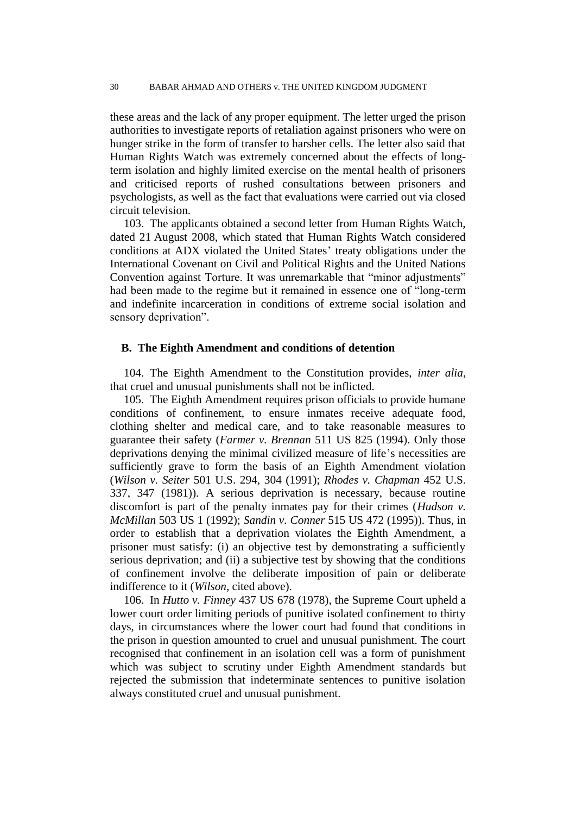these areas and the lack of any proper equipment. The letter urged the prison authorities to investigate reports of retaliation against prisoners who were on hunger strike in the form of transfer to harsher cells. The letter also said that Human Rights Watch was extremely concerned about the effects of longterm isolation and highly limited exercise on the mental health of prisoners and criticised reports of rushed consultations between prisoners and psychologists, as well as the fact that evaluations were carried out via closed circuit television.

103. The applicants obtained a second letter from Human Rights Watch, dated 21 August 2008, which stated that Human Rights Watch considered conditions at ADX violated the United States' treaty obligations under the International Covenant on Civil and Political Rights and the United Nations Convention against Torture. It was unremarkable that "minor adjustments" had been made to the regime but it remained in essence one of "long-term and indefinite incarceration in conditions of extreme social isolation and sensory deprivation".

# **B. The Eighth Amendment and conditions of detention**

104. The Eighth Amendment to the Constitution provides, *inter alia*, that cruel and unusual punishments shall not be inflicted.

105. The Eighth Amendment requires prison officials to provide humane conditions of confinement, to ensure inmates receive adequate food, clothing shelter and medical care, and to take reasonable measures to guarantee their safety (*Farmer v. Brennan* 511 US 825 (1994). Only those deprivations denying the minimal civilized measure of life's necessities are sufficiently grave to form the basis of an Eighth Amendment violation (*Wilson v. Seiter* 501 U.S. 294, 304 (1991); *Rhodes v. Chapman* 452 U.S. 337, 347 (1981)). A serious deprivation is necessary, because routine discomfort is part of the penalty inmates pay for their crimes (*Hudson v. McMillan* 503 US 1 (1992); *Sandin v. Conner* 515 US 472 (1995)). Thus, in order to establish that a deprivation violates the Eighth Amendment, a prisoner must satisfy: (i) an objective test by demonstrating a sufficiently serious deprivation; and (ii) a subjective test by showing that the conditions of confinement involve the deliberate imposition of pain or deliberate indifference to it (*Wilson*, cited above).

106. In *Hutto v. Finney* 437 US 678 (1978), the Supreme Court upheld a lower court order limiting periods of punitive isolated confinement to thirty days, in circumstances where the lower court had found that conditions in the prison in question amounted to cruel and unusual punishment. The court recognised that confinement in an isolation cell was a form of punishment which was subject to scrutiny under Eighth Amendment standards but rejected the submission that indeterminate sentences to punitive isolation always constituted cruel and unusual punishment.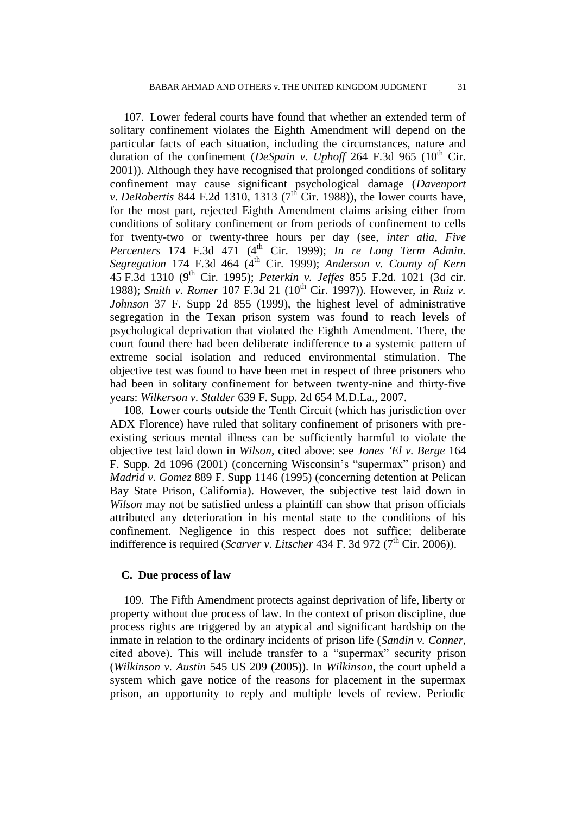107. Lower federal courts have found that whether an extended term of solitary confinement violates the Eighth Amendment will depend on the particular facts of each situation, including the circumstances, nature and duration of the confinement (*DeSpain v. Uphoff* 264 F.3d 965 ( $10^{th}$  Cir. 2001)). Although they have recognised that prolonged conditions of solitary confinement may cause significant psychological damage (*Davenport v. DeRobertis* 844 F.2d 1310, 1313 ( $7<sup>th</sup>$  Cir. 1988)), the lower courts have, for the most part, rejected Eighth Amendment claims arising either from conditions of solitary confinement or from periods of confinement to cells for twenty-two or twenty-three hours per day (see, *inter alia*, *Five Percenters* 174 F.3d 471 (4<sup>th</sup> Cir. 1999); *In re Long Term Admin. Segregation* 174 F.3d 464 (4<sup>th</sup> Cir. 1999); *Anderson v. County of Kern* 45 F.3d 1310 (9<sup>th</sup> Cir. 1995); *Peterkin v. Jeffes* 855 F.2d. 1021 (3d cir. 1988); *Smith v. Romer* 107 F.3d 21 (10<sup>th</sup> Cir. 1997)). However, in *Ruiz v. Johnson* 37 F. Supp 2d 855 (1999), the highest level of administrative segregation in the Texan prison system was found to reach levels of psychological deprivation that violated the Eighth Amendment. There, the court found there had been deliberate indifference to a systemic pattern of extreme social isolation and reduced environmental stimulation. The objective test was found to have been met in respect of three prisoners who had been in solitary confinement for between twenty-nine and thirty-five years: *Wilkerson v. Stalder* 639 F. Supp. 2d 654 M.D.La., 2007.

108. Lower courts outside the Tenth Circuit (which has jurisdiction over ADX Florence) have ruled that solitary confinement of prisoners with preexisting serious mental illness can be sufficiently harmful to violate the objective test laid down in *Wilson*, cited above: see *Jones 'El v. Berge* 164 F. Supp. 2d 1096 (2001) (concerning Wisconsin's "supermax" prison) and *Madrid v. Gomez* 889 F. Supp 1146 (1995) (concerning detention at Pelican Bay State Prison, California). However, the subjective test laid down in *Wilson* may not be satisfied unless a plaintiff can show that prison officials attributed any deterioration in his mental state to the conditions of his confinement. Negligence in this respect does not suffice; deliberate indifference is required (*Scarver v. Litscher* 434 F. 3d 972 ( $7<sup>th</sup>$  Cir. 2006)).

#### **C. Due process of law**

109. The Fifth Amendment protects against deprivation of life, liberty or property without due process of law. In the context of prison discipline, due process rights are triggered by an atypical and significant hardship on the inmate in relation to the ordinary incidents of prison life (*Sandin v. Conner*, cited above). This will include transfer to a "supermax" security prison (*Wilkinson v. Austin* 545 US 209 (2005)). In *Wilkinson*, the court upheld a system which gave notice of the reasons for placement in the supermax prison, an opportunity to reply and multiple levels of review. Periodic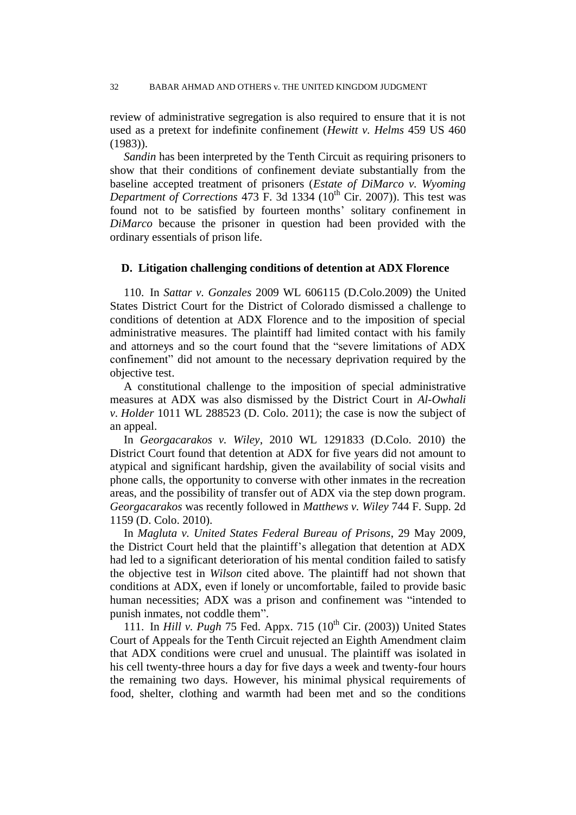review of administrative segregation is also required to ensure that it is not used as a pretext for indefinite confinement (*Hewitt v. Helms* 459 US 460 (1983)).

*Sandin* has been interpreted by the Tenth Circuit as requiring prisoners to show that their conditions of confinement deviate substantially from the baseline accepted treatment of prisoners (*Estate of DiMarco v. Wyoming Department of Corrections* 473 F. 3d 1334 (10<sup>th</sup> Cir. 2007)). This test was found not to be satisfied by fourteen months' solitary confinement in *DiMarco* because the prisoner in question had been provided with the ordinary essentials of prison life.

#### **D. Litigation challenging conditions of detention at ADX Florence**

110. In *Sattar v. Gonzales* 2009 WL 606115 (D.Colo.2009) the United States District Court for the District of Colorado dismissed a challenge to conditions of detention at ADX Florence and to the imposition of special administrative measures. The plaintiff had limited contact with his family and attorneys and so the court found that the "severe limitations of ADX confinement" did not amount to the necessary deprivation required by the objective test.

A constitutional challenge to the imposition of special administrative measures at ADX was also dismissed by the District Court in *Al-Owhali v. Holder* 1011 WL 288523 (D. Colo. 2011); the case is now the subject of an appeal.

In *Georgacarakos v. Wiley*, 2010 WL 1291833 (D.Colo. 2010) the District Court found that detention at ADX for five years did not amount to atypical and significant hardship, given the availability of social visits and phone calls, the opportunity to converse with other inmates in the recreation areas, and the possibility of transfer out of ADX via the step down program. *Georgacarakos* was recently followed in *Matthews v. Wiley* 744 F. Supp. 2d 1159 (D. Colo. 2010).

In *Magluta v. United States Federal Bureau of Prisons*, 29 May 2009, the District Court held that the plaintiff's allegation that detention at ADX had led to a significant deterioration of his mental condition failed to satisfy the objective test in *Wilson* cited above. The plaintiff had not shown that conditions at ADX, even if lonely or uncomfortable, failed to provide basic human necessities; ADX was a prison and confinement was "intended to punish inmates, not coddle them".

111. In *Hill v. Pugh 75* Fed. Appx. 715 ( $10^{th}$  Cir. (2003)) United States Court of Appeals for the Tenth Circuit rejected an Eighth Amendment claim that ADX conditions were cruel and unusual. The plaintiff was isolated in his cell twenty-three hours a day for five days a week and twenty-four hours the remaining two days. However, his minimal physical requirements of food, shelter, clothing and warmth had been met and so the conditions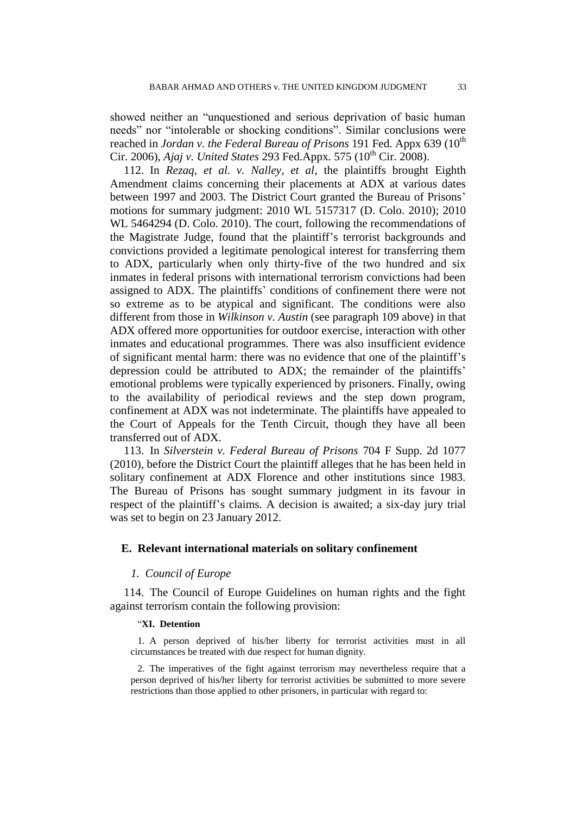showed neither an "unquestioned and serious deprivation of basic human needs" nor "intolerable or shocking conditions". Similar conclusions were reached in *Jordan v. the Federal Bureau of Prisons* 191 Fed. Appx 639 (10<sup>th</sup>) Cir. 2006), *Ajaj v. United States* 293 Fed.Appx. 575 (10<sup>th</sup> Cir. 2008).

112. In *Rezaq, et al. v. Nalley, et al*, the plaintiffs brought Eighth Amendment claims concerning their placements at ADX at various dates between 1997 and 2003. The District Court granted the Bureau of Prisons' motions for summary judgment: 2010 WL 5157317 (D. Colo. 2010); 2010 WL 5464294 (D. Colo. 2010). The court, following the recommendations of the Magistrate Judge, found that the plaintiff's terrorist backgrounds and convictions provided a legitimate penological interest for transferring them to ADX, particularly when only thirty-five of the two hundred and six inmates in federal prisons with international terrorism convictions had been assigned to ADX. The plaintiffs' conditions of confinement there were not so extreme as to be atypical and significant. The conditions were also different from those in *Wilkinson v. Austin* (see paragraph 109 above) in that ADX offered more opportunities for outdoor exercise, interaction with other inmates and educational programmes. There was also insufficient evidence of significant mental harm: there was no evidence that one of the plaintiff's depression could be attributed to ADX; the remainder of the plaintiffs' emotional problems were typically experienced by prisoners. Finally, owing to the availability of periodical reviews and the step down program, confinement at ADX was not indeterminate. The plaintiffs have appealed to the Court of Appeals for the Tenth Circuit, though they have all been transferred out of ADX.

113. In *Silverstein v. Federal Bureau of Prisons* 704 F Supp. 2d 1077 (2010), before the District Court the plaintiff alleges that he has been held in solitary confinement at ADX Florence and other institutions since 1983. The Bureau of Prisons has sought summary judgment in its favour in respect of the plaintiff's claims. A decision is awaited; a six-day jury trial was set to begin on 23 January 2012.

#### **E. Relevant international materials on solitary confinement**

## *1. Council of Europe*

114. The Council of Europe Guidelines on human rights and the fight against terrorism contain the following provision:

# "**XI. Detention**

1. A person deprived of his/her liberty for terrorist activities must in all circumstances be treated with due respect for human dignity.

2. The imperatives of the fight against terrorism may nevertheless require that a person deprived of his/her liberty for terrorist activities be submitted to more severe restrictions than those applied to other prisoners, in particular with regard to: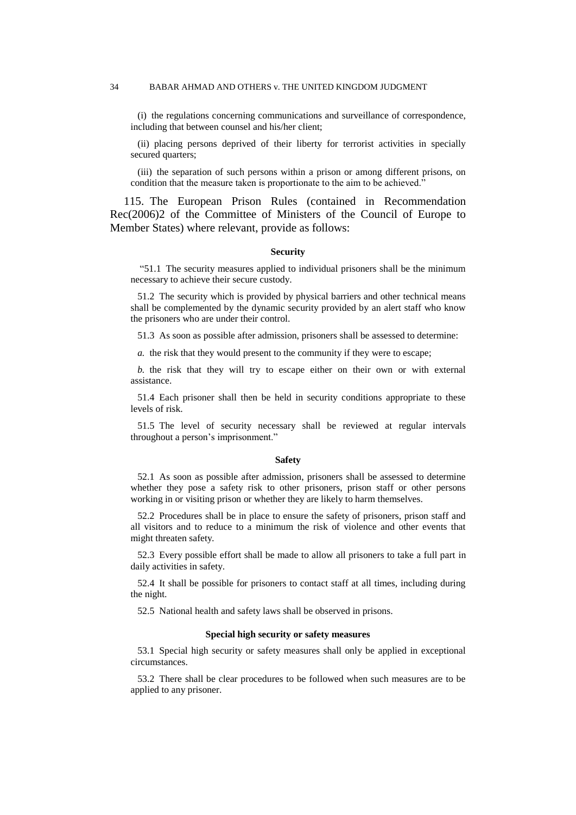(i) the regulations concerning communications and surveillance of correspondence, including that between counsel and his/her client;

(ii) placing persons deprived of their liberty for terrorist activities in specially secured quarters;

(iii) the separation of such persons within a prison or among different prisons, on condition that the measure taken is proportionate to the aim to be achieved."

115. The European Prison Rules (contained in Recommendation Rec(2006)2 of the Committee of Ministers of the Council of Europe to Member States) where relevant, provide as follows:

#### **Security**

"51.1 The security measures applied to individual prisoners shall be the minimum necessary to achieve their secure custody.

51.2 The security which is provided by physical barriers and other technical means shall be complemented by the dynamic security provided by an alert staff who know the prisoners who are under their control.

51.3 As soon as possible after admission, prisoners shall be assessed to determine:

*a.* the risk that they would present to the community if they were to escape;

*b.* the risk that they will try to escape either on their own or with external assistance.

51.4 Each prisoner shall then be held in security conditions appropriate to these levels of risk.

51.5 The level of security necessary shall be reviewed at regular intervals throughout a person's imprisonment."

#### **Safety**

52.1 As soon as possible after admission, prisoners shall be assessed to determine whether they pose a safety risk to other prisoners, prison staff or other persons working in or visiting prison or whether they are likely to harm themselves.

52.2 Procedures shall be in place to ensure the safety of prisoners, prison staff and all visitors and to reduce to a minimum the risk of violence and other events that might threaten safety*.*

52.3 Every possible effort shall be made to allow all prisoners to take a full part in daily activities in safety.

52.4 It shall be possible for prisoners to contact staff at all times, including during the night.

52.5 National health and safety laws shall be observed in prisons.

#### **Special high security or safety measures**

53.1 Special high security or safety measures shall only be applied in exceptional circumstances.

53.2 There shall be clear procedures to be followed when such measures are to be applied to any prisoner.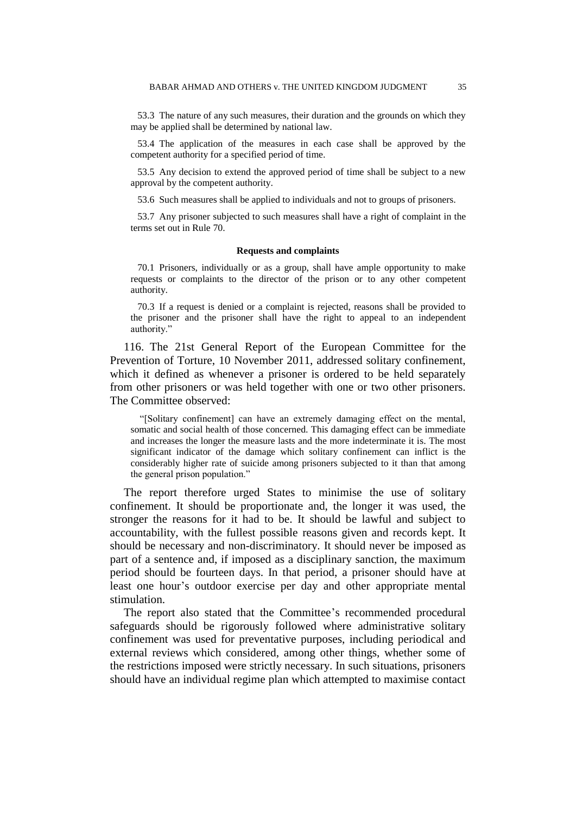53.3 The nature of any such measures, their duration and the grounds on which they may be applied shall be determined by national law.

53.4 The application of the measures in each case shall be approved by the competent authority for a specified period of time.

53.5 Any decision to extend the approved period of time shall be subject to a new approval by the competent authority.

53.6 Such measures shall be applied to individuals and not to groups of prisoners.

53.7 Any prisoner subjected to such measures shall have a right of complaint in the terms set out in Rule 70.

### **Requests and complaints**

70.1 Prisoners, individually or as a group, shall have ample opportunity to make requests or complaints to the director of the prison or to any other competent authority.

70.3 If a request is denied or a complaint is rejected, reasons shall be provided to the prisoner and the prisoner shall have the right to appeal to an independent authority."

116. The 21st General Report of the European Committee for the Prevention of Torture, 10 November 2011, addressed solitary confinement, which it defined as whenever a prisoner is ordered to be held separately from other prisoners or was held together with one or two other prisoners. The Committee observed:

"[Solitary confinement] can have an extremely damaging effect on the mental, somatic and social health of those concerned. This damaging effect can be immediate and increases the longer the measure lasts and the more indeterminate it is. The most significant indicator of the damage which solitary confinement can inflict is the considerably higher rate of suicide among prisoners subjected to it than that among the general prison population."

The report therefore urged States to minimise the use of solitary confinement. It should be proportionate and, the longer it was used, the stronger the reasons for it had to be. It should be lawful and subject to accountability, with the fullest possible reasons given and records kept. It should be necessary and non-discriminatory. It should never be imposed as part of a sentence and, if imposed as a disciplinary sanction, the maximum period should be fourteen days. In that period, a prisoner should have at least one hour's outdoor exercise per day and other appropriate mental stimulation.

The report also stated that the Committee's recommended procedural safeguards should be rigorously followed where administrative solitary confinement was used for preventative purposes, including periodical and external reviews which considered, among other things, whether some of the restrictions imposed were strictly necessary. In such situations, prisoners should have an individual regime plan which attempted to maximise contact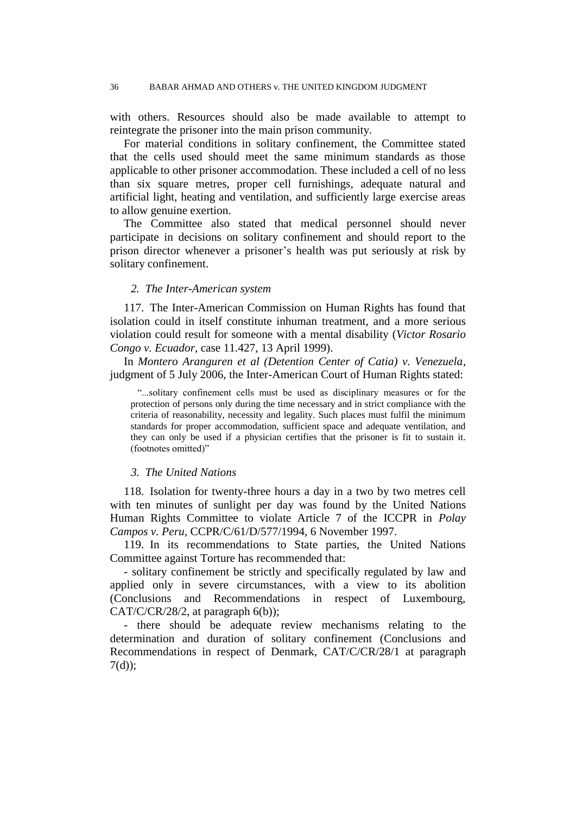with others. Resources should also be made available to attempt to reintegrate the prisoner into the main prison community.

For material conditions in solitary confinement, the Committee stated that the cells used should meet the same minimum standards as those applicable to other prisoner accommodation. These included a cell of no less than six square metres, proper cell furnishings, adequate natural and artificial light, heating and ventilation, and sufficiently large exercise areas to allow genuine exertion.

The Committee also stated that medical personnel should never participate in decisions on solitary confinement and should report to the prison director whenever a prisoner's health was put seriously at risk by solitary confinement.

## *2. The Inter-American system*

117. The Inter-American Commission on Human Rights has found that isolation could in itself constitute inhuman treatment, and a more serious violation could result for someone with a mental disability (*Victor Rosario Congo v. Ecuador*, case 11.427, 13 April 1999).

In *Montero Aranguren et al (Detention Center of Catia) v. Venezuela*, judgment of 5 July 2006, the Inter-American Court of Human Rights stated:

"...solitary confinement cells must be used as disciplinary measures or for the protection of persons only during the time necessary and in strict compliance with the criteria of reasonability, necessity and legality. Such places must fulfil the minimum standards for proper accommodation, sufficient space and adequate ventilation, and they can only be used if a physician certifies that the prisoner is fit to sustain it. (footnotes omitted)"

## *3. The United Nations*

118. Isolation for twenty-three hours a day in a two by two metres cell with ten minutes of sunlight per day was found by the United Nations Human Rights Committee to violate Article 7 of the ICCPR in *Polay Campos v. Peru*, CCPR/C/61/D/577/1994, 6 November 1997.

119. In its recommendations to State parties, the United Nations Committee against Torture has recommended that:

- solitary confinement be strictly and specifically regulated by law and applied only in severe circumstances, with a view to its abolition (Conclusions and Recommendations in respect of Luxembourg, CAT/C/CR/28/2, at paragraph 6(b));

- there should be adequate review mechanisms relating to the determination and duration of solitary confinement (Conclusions and Recommendations in respect of Denmark, CAT/C/CR/28/1 at paragraph  $7(d)$ ;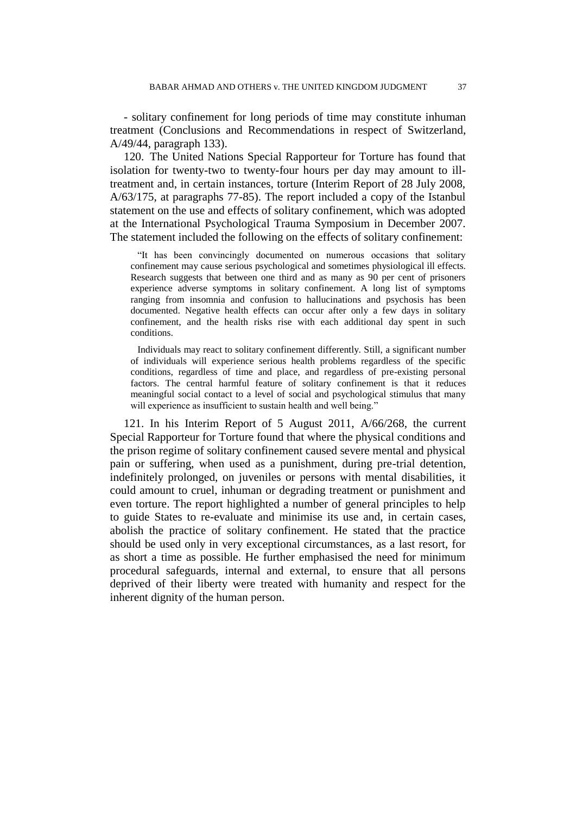- solitary confinement for long periods of time may constitute inhuman treatment (Conclusions and Recommendations in respect of Switzerland, A/49/44, paragraph 133).

120. The United Nations Special Rapporteur for Torture has found that isolation for twenty-two to twenty-four hours per day may amount to illtreatment and, in certain instances, torture (Interim Report of 28 July 2008, A/63/175, at paragraphs 77-85). The report included a copy of the Istanbul statement on the use and effects of solitary confinement, which was adopted at the International Psychological Trauma Symposium in December 2007. The statement included the following on the effects of solitary confinement:

"It has been convincingly documented on numerous occasions that solitary confinement may cause serious psychological and sometimes physiological ill effects. Research suggests that between one third and as many as 90 per cent of prisoners experience adverse symptoms in solitary confinement. A long list of symptoms ranging from insomnia and confusion to hallucinations and psychosis has been documented. Negative health effects can occur after only a few days in solitary confinement, and the health risks rise with each additional day spent in such conditions.

Individuals may react to solitary confinement differently. Still, a significant number of individuals will experience serious health problems regardless of the specific conditions, regardless of time and place, and regardless of pre-existing personal factors. The central harmful feature of solitary confinement is that it reduces meaningful social contact to a level of social and psychological stimulus that many will experience as insufficient to sustain health and well being."

121. In his Interim Report of 5 August 2011, A/66/268, the current Special Rapporteur for Torture found that where the physical conditions and the prison regime of solitary confinement caused severe mental and physical pain or suffering, when used as a punishment, during pre-trial detention, indefinitely prolonged, on juveniles or persons with mental disabilities, it could amount to cruel, inhuman or degrading treatment or punishment and even torture. The report highlighted a number of general principles to help to guide States to re-evaluate and minimise its use and, in certain cases, abolish the practice of solitary confinement. He stated that the practice should be used only in very exceptional circumstances, as a last resort, for as short a time as possible. He further emphasised the need for minimum procedural safeguards, internal and external, to ensure that all persons deprived of their liberty were treated with humanity and respect for the inherent dignity of the human person.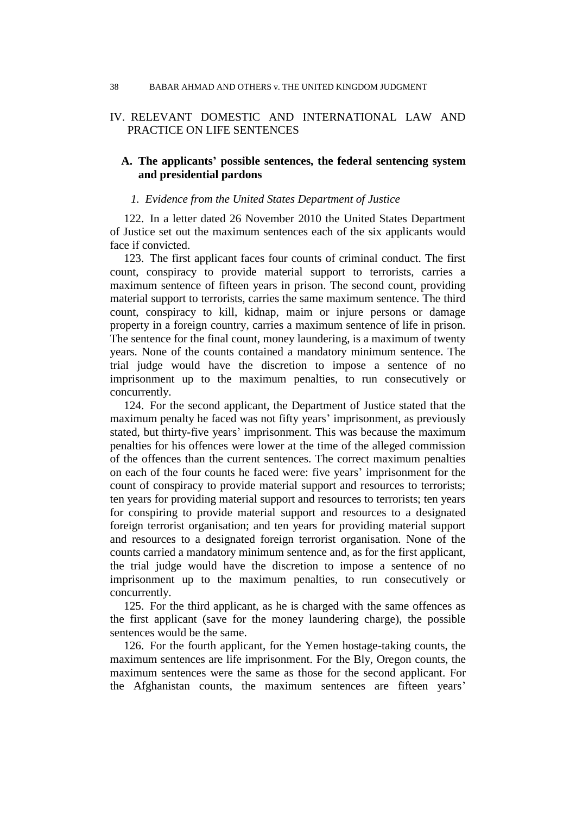# IV. RELEVANT DOMESTIC AND INTERNATIONAL LAW AND PRACTICE ON LIFE SENTENCES

# **A. The applicants' possible sentences, the federal sentencing system and presidential pardons**

# *1. Evidence from the United States Department of Justice*

122. In a letter dated 26 November 2010 the United States Department of Justice set out the maximum sentences each of the six applicants would face if convicted.

123. The first applicant faces four counts of criminal conduct. The first count, conspiracy to provide material support to terrorists, carries a maximum sentence of fifteen years in prison. The second count, providing material support to terrorists, carries the same maximum sentence. The third count, conspiracy to kill, kidnap, maim or injure persons or damage property in a foreign country, carries a maximum sentence of life in prison. The sentence for the final count, money laundering, is a maximum of twenty years. None of the counts contained a mandatory minimum sentence. The trial judge would have the discretion to impose a sentence of no imprisonment up to the maximum penalties, to run consecutively or concurrently.

124. For the second applicant, the Department of Justice stated that the maximum penalty he faced was not fifty years' imprisonment, as previously stated, but thirty-five years' imprisonment. This was because the maximum penalties for his offences were lower at the time of the alleged commission of the offences than the current sentences. The correct maximum penalties on each of the four counts he faced were: five years' imprisonment for the count of conspiracy to provide material support and resources to terrorists; ten years for providing material support and resources to terrorists; ten years for conspiring to provide material support and resources to a designated foreign terrorist organisation; and ten years for providing material support and resources to a designated foreign terrorist organisation. None of the counts carried a mandatory minimum sentence and, as for the first applicant, the trial judge would have the discretion to impose a sentence of no imprisonment up to the maximum penalties, to run consecutively or concurrently.

125. For the third applicant, as he is charged with the same offences as the first applicant (save for the money laundering charge), the possible sentences would be the same.

126. For the fourth applicant, for the Yemen hostage-taking counts, the maximum sentences are life imprisonment. For the Bly, Oregon counts, the maximum sentences were the same as those for the second applicant. For the Afghanistan counts, the maximum sentences are fifteen years'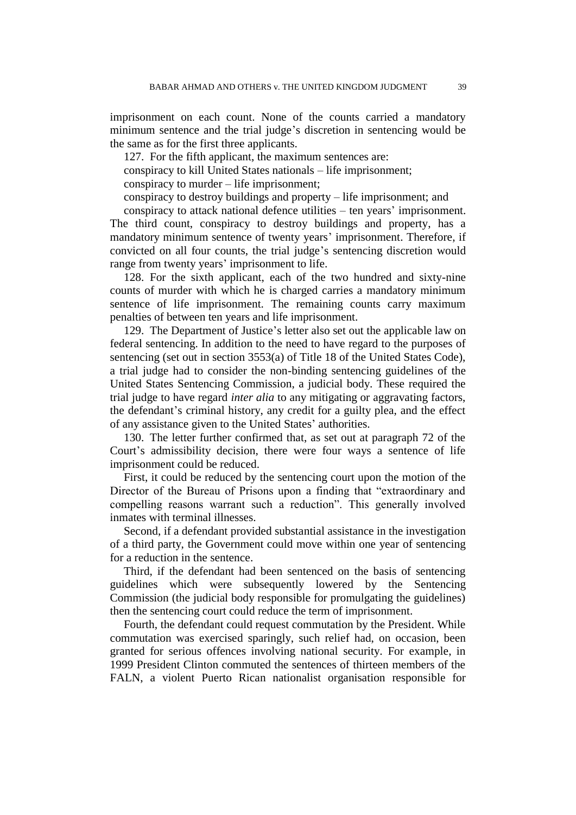imprisonment on each count. None of the counts carried a mandatory minimum sentence and the trial judge's discretion in sentencing would be the same as for the first three applicants.

127. For the fifth applicant, the maximum sentences are:

conspiracy to kill United States nationals – life imprisonment;

conspiracy to murder – life imprisonment;

conspiracy to destroy buildings and property – life imprisonment; and

conspiracy to attack national defence utilities – ten years' imprisonment. The third count, conspiracy to destroy buildings and property, has a mandatory minimum sentence of twenty years' imprisonment. Therefore, if convicted on all four counts, the trial judge's sentencing discretion would range from twenty years' imprisonment to life.

128. For the sixth applicant, each of the two hundred and sixty-nine counts of murder with which he is charged carries a mandatory minimum sentence of life imprisonment. The remaining counts carry maximum penalties of between ten years and life imprisonment.

129. The Department of Justice's letter also set out the applicable law on federal sentencing. In addition to the need to have regard to the purposes of sentencing (set out in section 3553(a) of Title 18 of the United States Code), a trial judge had to consider the non-binding sentencing guidelines of the United States Sentencing Commission, a judicial body. These required the trial judge to have regard *inter alia* to any mitigating or aggravating factors, the defendant's criminal history, any credit for a guilty plea, and the effect of any assistance given to the United States' authorities.

130. The letter further confirmed that, as set out at paragraph 72 of the Court's admissibility decision, there were four ways a sentence of life imprisonment could be reduced.

First, it could be reduced by the sentencing court upon the motion of the Director of the Bureau of Prisons upon a finding that "extraordinary and compelling reasons warrant such a reduction". This generally involved inmates with terminal illnesses.

Second, if a defendant provided substantial assistance in the investigation of a third party, the Government could move within one year of sentencing for a reduction in the sentence.

Third, if the defendant had been sentenced on the basis of sentencing guidelines which were subsequently lowered by the Sentencing Commission (the judicial body responsible for promulgating the guidelines) then the sentencing court could reduce the term of imprisonment.

Fourth, the defendant could request commutation by the President. While commutation was exercised sparingly, such relief had, on occasion, been granted for serious offences involving national security. For example, in 1999 President Clinton commuted the sentences of thirteen members of the FALN, a violent Puerto Rican nationalist organisation responsible for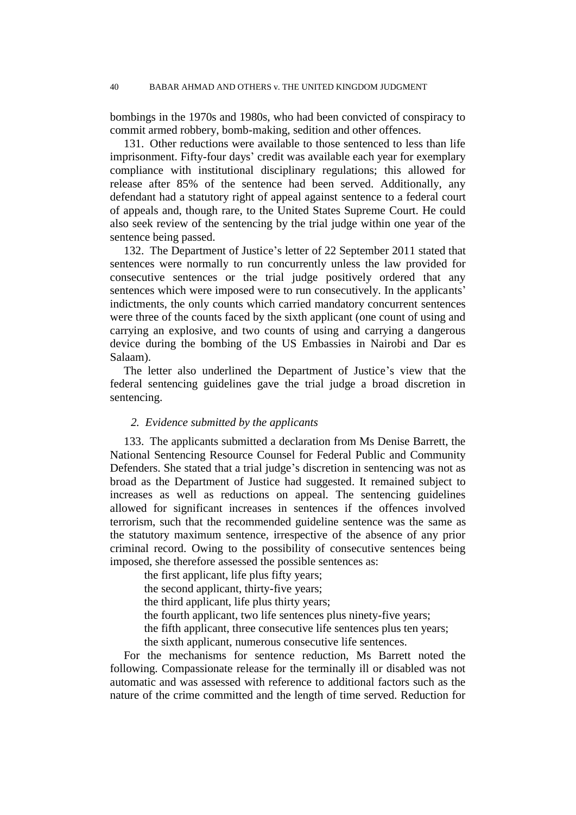bombings in the 1970s and 1980s, who had been convicted of conspiracy to commit armed robbery, bomb-making, sedition and other offences.

131. Other reductions were available to those sentenced to less than life imprisonment. Fifty-four days' credit was available each year for exemplary compliance with institutional disciplinary regulations; this allowed for release after 85% of the sentence had been served. Additionally, any defendant had a statutory right of appeal against sentence to a federal court of appeals and, though rare, to the United States Supreme Court. He could also seek review of the sentencing by the trial judge within one year of the sentence being passed.

132. The Department of Justice's letter of 22 September 2011 stated that sentences were normally to run concurrently unless the law provided for consecutive sentences or the trial judge positively ordered that any sentences which were imposed were to run consecutively. In the applicants' indictments, the only counts which carried mandatory concurrent sentences were three of the counts faced by the sixth applicant (one count of using and carrying an explosive, and two counts of using and carrying a dangerous device during the bombing of the US Embassies in Nairobi and Dar es Salaam).

The letter also underlined the Department of Justice's view that the federal sentencing guidelines gave the trial judge a broad discretion in sentencing.

## *2. Evidence submitted by the applicants*

133. The applicants submitted a declaration from Ms Denise Barrett, the National Sentencing Resource Counsel for Federal Public and Community Defenders. She stated that a trial judge's discretion in sentencing was not as broad as the Department of Justice had suggested. It remained subject to increases as well as reductions on appeal. The sentencing guidelines allowed for significant increases in sentences if the offences involved terrorism, such that the recommended guideline sentence was the same as the statutory maximum sentence, irrespective of the absence of any prior criminal record. Owing to the possibility of consecutive sentences being imposed, she therefore assessed the possible sentences as:

the first applicant, life plus fifty years;

the second applicant, thirty-five years;

the third applicant, life plus thirty years;

the fourth applicant, two life sentences plus ninety-five years;

the fifth applicant, three consecutive life sentences plus ten years;

the sixth applicant, numerous consecutive life sentences.

For the mechanisms for sentence reduction, Ms Barrett noted the following. Compassionate release for the terminally ill or disabled was not automatic and was assessed with reference to additional factors such as the nature of the crime committed and the length of time served. Reduction for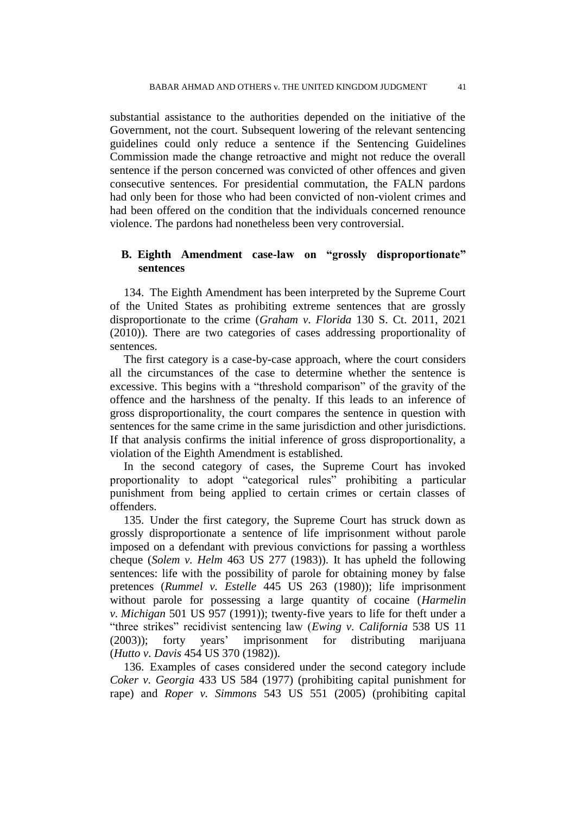substantial assistance to the authorities depended on the initiative of the Government, not the court. Subsequent lowering of the relevant sentencing guidelines could only reduce a sentence if the Sentencing Guidelines Commission made the change retroactive and might not reduce the overall sentence if the person concerned was convicted of other offences and given consecutive sentences. For presidential commutation, the FALN pardons had only been for those who had been convicted of non-violent crimes and had been offered on the condition that the individuals concerned renounce violence. The pardons had nonetheless been very controversial.

# **B. Eighth Amendment case-law on "grossly disproportionate" sentences**

134. The Eighth Amendment has been interpreted by the Supreme Court of the United States as prohibiting extreme sentences that are grossly disproportionate to the crime (*Graham v. Florida* 130 S. Ct. 2011, 2021 (2010)). There are two categories of cases addressing proportionality of sentences.

The first category is a case-by-case approach, where the court considers all the circumstances of the case to determine whether the sentence is excessive. This begins with a "threshold comparison" of the gravity of the offence and the harshness of the penalty. If this leads to an inference of gross disproportionality, the court compares the sentence in question with sentences for the same crime in the same jurisdiction and other jurisdictions. If that analysis confirms the initial inference of gross disproportionality, a violation of the Eighth Amendment is established.

In the second category of cases, the Supreme Court has invoked proportionality to adopt "categorical rules" prohibiting a particular punishment from being applied to certain crimes or certain classes of offenders.

135. Under the first category, the Supreme Court has struck down as grossly disproportionate a sentence of life imprisonment without parole imposed on a defendant with previous convictions for passing a worthless cheque (*Solem v. Helm* 463 US 277 (1983)). It has upheld the following sentences: life with the possibility of parole for obtaining money by false pretences (*Rummel v. Estelle* 445 US 263 (1980)); life imprisonment without parole for possessing a large quantity of cocaine (*Harmelin v. Michigan* 501 US 957 (1991)); twenty-five years to life for theft under a "three strikes" recidivist sentencing law (*Ewing v. California* 538 US 11 (2003)); forty years' imprisonment for distributing marijuana (*Hutto v. Davis* 454 US 370 (1982)).

136. Examples of cases considered under the second category include *Coker v. Georgia* 433 US 584 (1977) (prohibiting capital punishment for rape) and *Roper v. Simmons* 543 US 551 (2005) (prohibiting capital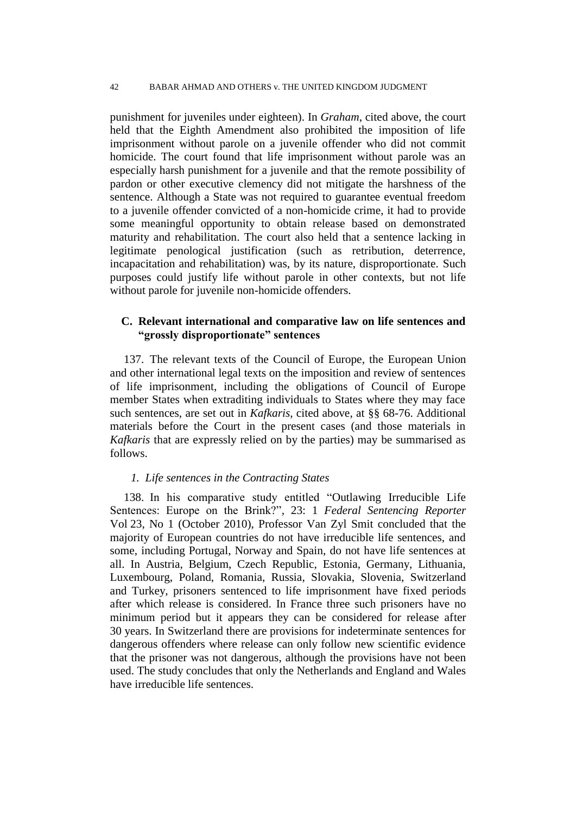punishment for juveniles under eighteen). In *Graham*, cited above, the court held that the Eighth Amendment also prohibited the imposition of life imprisonment without parole on a juvenile offender who did not commit homicide. The court found that life imprisonment without parole was an especially harsh punishment for a juvenile and that the remote possibility of pardon or other executive clemency did not mitigate the harshness of the sentence. Although a State was not required to guarantee eventual freedom to a juvenile offender convicted of a non-homicide crime, it had to provide some meaningful opportunity to obtain release based on demonstrated maturity and rehabilitation. The court also held that a sentence lacking in legitimate penological justification (such as retribution, deterrence, incapacitation and rehabilitation) was, by its nature, disproportionate. Such purposes could justify life without parole in other contexts, but not life without parole for juvenile non-homicide offenders.

# **C. Relevant international and comparative law on life sentences and "grossly disproportionate" sentences**

137. The relevant texts of the Council of Europe, the European Union and other international legal texts on the imposition and review of sentences of life imprisonment, including the obligations of Council of Europe member States when extraditing individuals to States where they may face such sentences, are set out in *Kafkaris*, cited above, at §§ 68-76. Additional materials before the Court in the present cases (and those materials in *Kafkaris* that are expressly relied on by the parties) may be summarised as follows.

## *1. Life sentences in the Contracting States*

138. In his comparative study entitled "Outlawing Irreducible Life Sentences: Europe on the Brink?"*,* 23: 1 *Federal Sentencing Reporter* Vol 23, No 1 (October 2010), Professor Van Zyl Smit concluded that the majority of European countries do not have irreducible life sentences, and some, including Portugal, Norway and Spain, do not have life sentences at all. In Austria, Belgium, Czech Republic, Estonia, Germany, Lithuania, Luxembourg, Poland, Romania, Russia, Slovakia, Slovenia, Switzerland and Turkey, prisoners sentenced to life imprisonment have fixed periods after which release is considered. In France three such prisoners have no minimum period but it appears they can be considered for release after 30 years. In Switzerland there are provisions for indeterminate sentences for dangerous offenders where release can only follow new scientific evidence that the prisoner was not dangerous, although the provisions have not been used. The study concludes that only the Netherlands and England and Wales have irreducible life sentences.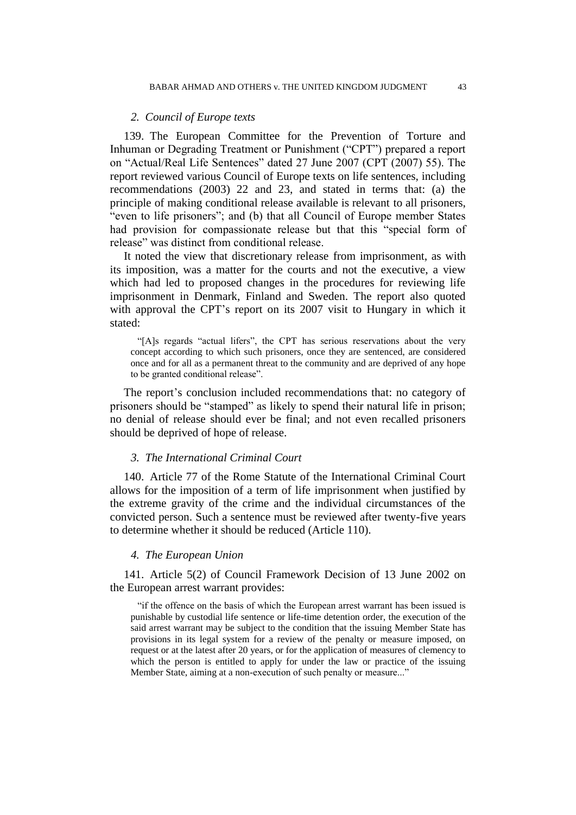### *2. Council of Europe texts*

139. The European Committee for the Prevention of Torture and Inhuman or Degrading Treatment or Punishment ("CPT") prepared a report on "Actual/Real Life Sentences" dated 27 June 2007 (CPT (2007) 55). The report reviewed various Council of Europe texts on life sentences, including recommendations (2003) 22 and 23, and stated in terms that: (a) the principle of making conditional release available is relevant to all prisoners, "even to life prisoners"; and (b) that all Council of Europe member States had provision for compassionate release but that this "special form of release" was distinct from conditional release.

It noted the view that discretionary release from imprisonment, as with its imposition, was a matter for the courts and not the executive, a view which had led to proposed changes in the procedures for reviewing life imprisonment in Denmark, Finland and Sweden. The report also quoted with approval the CPT's report on its 2007 visit to Hungary in which it stated:

"[A]s regards "actual lifers", the CPT has serious reservations about the very concept according to which such prisoners, once they are sentenced, are considered once and for all as a permanent threat to the community and are deprived of any hope to be granted conditional release".

The report's conclusion included recommendations that: no category of prisoners should be "stamped" as likely to spend their natural life in prison; no denial of release should ever be final; and not even recalled prisoners should be deprived of hope of release.

## *3. The International Criminal Court*

140. Article 77 of the Rome Statute of the International Criminal Court allows for the imposition of a term of life imprisonment when justified by the extreme gravity of the crime and the individual circumstances of the convicted person. Such a sentence must be reviewed after twenty-five years to determine whether it should be reduced (Article 110).

# *4. The European Union*

141. Article 5(2) of Council Framework Decision of 13 June 2002 on the European arrest warrant provides:

"if the offence on the basis of which the European arrest warrant has been issued is punishable by custodial life sentence or life-time detention order, the execution of the said arrest warrant may be subject to the condition that the issuing Member State has provisions in its legal system for a review of the penalty or measure imposed, on request or at the latest after 20 years, or for the application of measures of clemency to which the person is entitled to apply for under the law or practice of the issuing Member State, aiming at a non-execution of such penalty or measure..."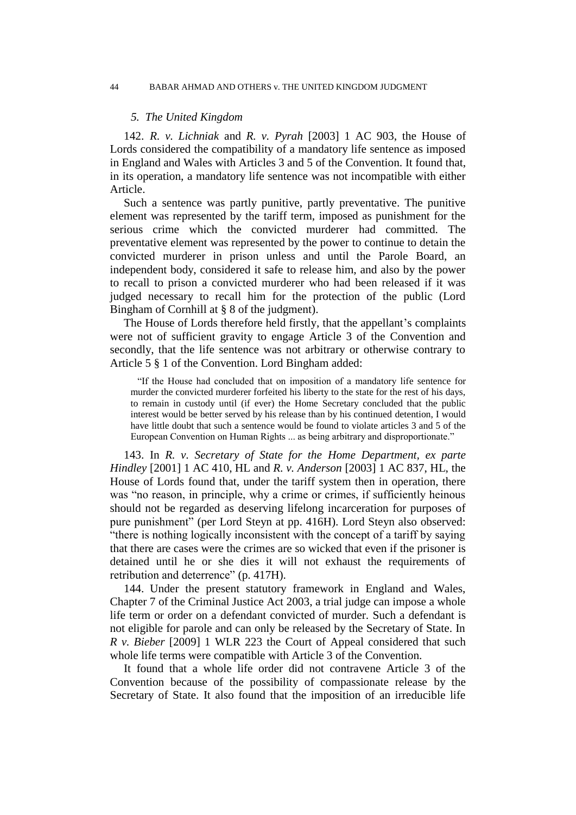### 44 BABAR AHMAD AND OTHERS v. THE UNITED KINGDOM JUDGMENT

### *5. The United Kingdom*

142. *R. v. Lichniak* and *R. v. Pyrah* [2003] 1 AC 903, the House of Lords considered the compatibility of a mandatory life sentence as imposed in England and Wales with Articles 3 and 5 of the Convention. It found that, in its operation, a mandatory life sentence was not incompatible with either Article.

Such a sentence was partly punitive, partly preventative. The punitive element was represented by the tariff term, imposed as punishment for the serious crime which the convicted murderer had committed. The preventative element was represented by the power to continue to detain the convicted murderer in prison unless and until the Parole Board, an independent body, considered it safe to release him, and also by the power to recall to prison a convicted murderer who had been released if it was judged necessary to recall him for the protection of the public (Lord Bingham of Cornhill at § 8 of the judgment).

The House of Lords therefore held firstly, that the appellant's complaints were not of sufficient gravity to engage Article 3 of the Convention and secondly, that the life sentence was not arbitrary or otherwise contrary to Article 5 § 1 of the Convention. Lord Bingham added:

"If the House had concluded that on imposition of a mandatory life sentence for murder the convicted murderer forfeited his liberty to the state for the rest of his days, to remain in custody until (if ever) the Home Secretary concluded that the public interest would be better served by his release than by his continued detention, I would have little doubt that such a sentence would be found to violate articles 3 and 5 of the European Convention on Human Rights ... as being arbitrary and disproportionate."

143. In *R. v. Secretary of State for the Home Department, ex parte Hindley* [2001] 1 AC 410, HL and *R. v. Anderson* [2003] 1 AC 837, HL, the House of Lords found that, under the tariff system then in operation, there was "no reason, in principle, why a crime or crimes, if sufficiently heinous should not be regarded as deserving lifelong incarceration for purposes of pure punishment" (per Lord Steyn at pp. 416H). Lord Steyn also observed: "there is nothing logically inconsistent with the concept of a tariff by saying that there are cases were the crimes are so wicked that even if the prisoner is detained until he or she dies it will not exhaust the requirements of retribution and deterrence" (p. 417H).

144. Under the present statutory framework in England and Wales, Chapter 7 of the Criminal Justice Act 2003, a trial judge can impose a whole life term or order on a defendant convicted of murder. Such a defendant is not eligible for parole and can only be released by the Secretary of State. In *R v. Bieber* [2009] 1 WLR 223 the Court of Appeal considered that such whole life terms were compatible with Article 3 of the Convention.

It found that a whole life order did not contravene Article 3 of the Convention because of the possibility of compassionate release by the Secretary of State. It also found that the imposition of an irreducible life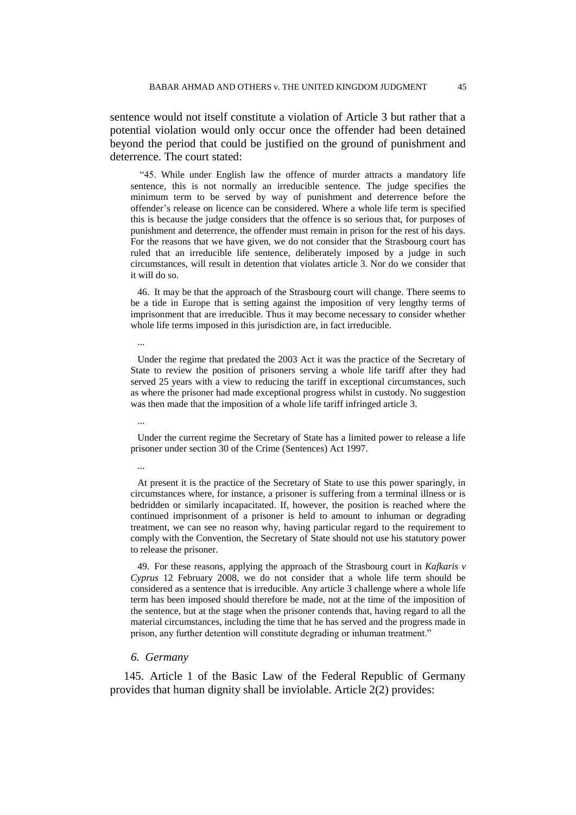sentence would not itself constitute a violation of Article 3 but rather that a potential violation would only occur once the offender had been detained beyond the period that could be justified on the ground of punishment and deterrence. The court stated:

"45. While under English law the offence of murder attracts a mandatory life sentence, this is not normally an irreducible sentence. The judge specifies the minimum term to be served by way of punishment and deterrence before the offender's release on licence can be considered. Where a whole life term is specified this is because the judge considers that the offence is so serious that, for purposes of punishment and deterrence, the offender must remain in prison for the rest of his days. For the reasons that we have given, we do not consider that the Strasbourg court has ruled that an irreducible life sentence, deliberately imposed by a judge in such circumstances, will result in detention that violates article 3. Nor do we consider that it will do so.

46. It may be that the approach of the Strasbourg court will change. There seems to be a tide in Europe that is setting against the imposition of very lengthy terms of imprisonment that are irreducible. Thus it may become necessary to consider whether whole life terms imposed in this jurisdiction are, in fact irreducible.

Under the regime that predated the 2003 Act it was the practice of the Secretary of State to review the position of prisoners serving a whole life tariff after they had served 25 years with a view to reducing the tariff in exceptional circumstances, such as where the prisoner had made exceptional progress whilst in custody. No suggestion was then made that the imposition of a whole life tariff infringed article 3.

Under the current regime the Secretary of State has a limited power to release a life prisoner under section 30 of the Crime (Sentences) Act 1997.

At present it is the practice of the Secretary of State to use this power sparingly, in circumstances where, for instance, a prisoner is suffering from a terminal illness or is bedridden or similarly incapacitated. If, however, the position is reached where the continued imprisonment of a prisoner is held to amount to inhuman or degrading treatment, we can see no reason why, having particular regard to the requirement to comply with the Convention, the Secretary of State should not use his statutory power to release the prisoner.

49. For these reasons, applying the approach of the Strasbourg court in *Kafkaris v Cyprus* 12 February 2008, we do not consider that a whole life term should be considered as a sentence that is irreducible. Any article 3 challenge where a whole life term has been imposed should therefore be made, not at the time of the imposition of the sentence, but at the stage when the prisoner contends that, having regard to all the material circumstances, including the time that he has served and the progress made in prison, any further detention will constitute degrading or inhuman treatment."

## *6. Germany*

...

...

...

145. Article 1 of the Basic Law of the Federal Republic of Germany provides that human dignity shall be inviolable. Article 2(2) provides: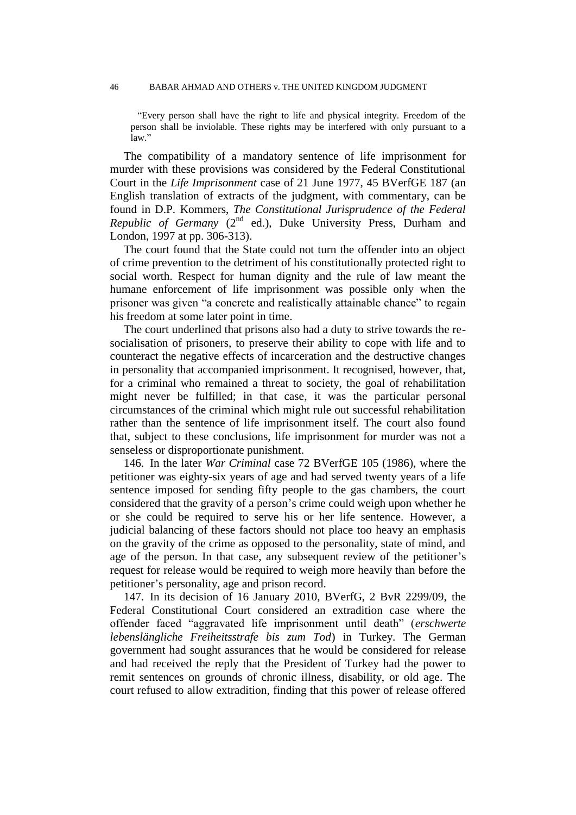"Every person shall have the right to life and physical integrity. Freedom of the person shall be inviolable. These rights may be interfered with only pursuant to a law."

The compatibility of a mandatory sentence of life imprisonment for murder with these provisions was considered by the Federal Constitutional Court in the *Life Imprisonment* case of 21 June 1977, 45 BVerfGE 187 (an English translation of extracts of the judgment, with commentary, can be found in D.P. Kommers, *The Constitutional Jurisprudence of the Federal Republic of Germany* (2<sup>nd</sup> ed.), Duke University Press, Durham and London, 1997 at pp. 306-313).

The court found that the State could not turn the offender into an object of crime prevention to the detriment of his constitutionally protected right to social worth. Respect for human dignity and the rule of law meant the humane enforcement of life imprisonment was possible only when the prisoner was given "a concrete and realistically attainable chance" to regain his freedom at some later point in time.

The court underlined that prisons also had a duty to strive towards the resocialisation of prisoners, to preserve their ability to cope with life and to counteract the negative effects of incarceration and the destructive changes in personality that accompanied imprisonment. It recognised, however, that, for a criminal who remained a threat to society, the goal of rehabilitation might never be fulfilled; in that case, it was the particular personal circumstances of the criminal which might rule out successful rehabilitation rather than the sentence of life imprisonment itself. The court also found that, subject to these conclusions, life imprisonment for murder was not a senseless or disproportionate punishment.

146. In the later *War Criminal* case 72 BVerfGE 105 (1986), where the petitioner was eighty-six years of age and had served twenty years of a life sentence imposed for sending fifty people to the gas chambers, the court considered that the gravity of a person's crime could weigh upon whether he or she could be required to serve his or her life sentence. However, a judicial balancing of these factors should not place too heavy an emphasis on the gravity of the crime as opposed to the personality, state of mind, and age of the person. In that case, any subsequent review of the petitioner's request for release would be required to weigh more heavily than before the petitioner's personality, age and prison record.

147. In its decision of 16 January 2010, BVerfG, 2 BvR 2299/09, the Federal Constitutional Court considered an extradition case where the offender faced "aggravated life imprisonment until death" (*erschwerte lebenslängliche Freiheitsstrafe bis zum Tod*) in Turkey. The German government had sought assurances that he would be considered for release and had received the reply that the President of Turkey had the power to remit sentences on grounds of chronic illness, disability, or old age. The court refused to allow extradition, finding that this power of release offered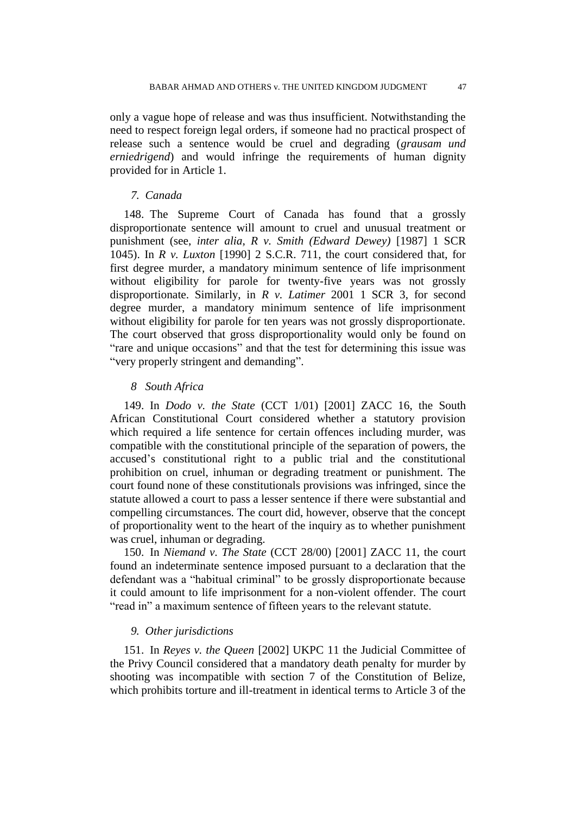only a vague hope of release and was thus insufficient. Notwithstanding the need to respect foreign legal orders, if someone had no practical prospect of release such a sentence would be cruel and degrading (*grausam und erniedrigend*) and would infringe the requirements of human dignity provided for in Article 1.

# *7. Canada*

148. The Supreme Court of Canada has found that a grossly disproportionate sentence will amount to cruel and unusual treatment or punishment (see, *inter alia*, *R v. Smith (Edward Dewey)* [1987] 1 SCR 1045). In *R v. Luxton* [1990] 2 S.C.R. 711, the court considered that, for first degree murder, a mandatory minimum sentence of life imprisonment without eligibility for parole for twenty-five years was not grossly disproportionate. Similarly, in *R v. Latimer* 2001 1 SCR 3, for second degree murder, a mandatory minimum sentence of life imprisonment without eligibility for parole for ten years was not grossly disproportionate. The court observed that gross disproportionality would only be found on "rare and unique occasions" and that the test for determining this issue was "very properly stringent and demanding".

# *8 South Africa*

149. In *Dodo v. the State* (CCT 1/01) [2001] ZACC 16, the South African Constitutional Court considered whether a statutory provision which required a life sentence for certain offences including murder, was compatible with the constitutional principle of the separation of powers, the accused's constitutional right to a public trial and the constitutional prohibition on cruel, inhuman or degrading treatment or punishment. The court found none of these constitutionals provisions was infringed, since the statute allowed a court to pass a lesser sentence if there were substantial and compelling circumstances. The court did, however, observe that the concept of proportionality went to the heart of the inquiry as to whether punishment was cruel, inhuman or degrading.

150. In *Niemand v. The State* (CCT 28/00) [2001] ZACC 11, the court found an indeterminate sentence imposed pursuant to a declaration that the defendant was a "habitual criminal" to be grossly disproportionate because it could amount to life imprisonment for a non-violent offender. The court "read in" a maximum sentence of fifteen years to the relevant statute.

## *9. Other jurisdictions*

151. In *Reyes v. the Queen* [2002] UKPC 11 the Judicial Committee of the Privy Council considered that a mandatory death penalty for murder by shooting was incompatible with section 7 of the Constitution of Belize, which prohibits torture and ill-treatment in identical terms to Article 3 of the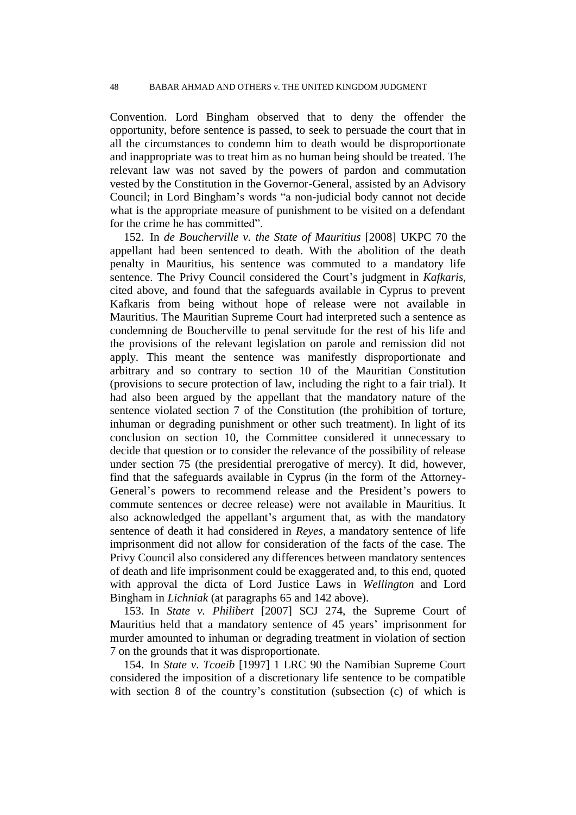Convention. Lord Bingham observed that to deny the offender the opportunity, before sentence is passed, to seek to persuade the court that in all the circumstances to condemn him to death would be disproportionate and inappropriate was to treat him as no human being should be treated. The relevant law was not saved by the powers of pardon and commutation vested by the Constitution in the Governor-General, assisted by an Advisory Council; in Lord Bingham's words "a non-judicial body cannot not decide what is the appropriate measure of punishment to be visited on a defendant for the crime he has committed".

152. In *de Boucherville v. the State of Mauritius* [2008] UKPC 70 the appellant had been sentenced to death. With the abolition of the death penalty in Mauritius, his sentence was commuted to a mandatory life sentence. The Privy Council considered the Court's judgment in *Kafkaris*, cited above, and found that the safeguards available in Cyprus to prevent Kafkaris from being without hope of release were not available in Mauritius. The Mauritian Supreme Court had interpreted such a sentence as condemning de Boucherville to penal servitude for the rest of his life and the provisions of the relevant legislation on parole and remission did not apply. This meant the sentence was manifestly disproportionate and arbitrary and so contrary to section 10 of the Mauritian Constitution (provisions to secure protection of law, including the right to a fair trial). It had also been argued by the appellant that the mandatory nature of the sentence violated section 7 of the Constitution (the prohibition of torture, inhuman or degrading punishment or other such treatment). In light of its conclusion on section 10, the Committee considered it unnecessary to decide that question or to consider the relevance of the possibility of release under section 75 (the presidential prerogative of mercy). It did, however, find that the safeguards available in Cyprus (in the form of the Attorney-General's powers to recommend release and the President's powers to commute sentences or decree release) were not available in Mauritius. It also acknowledged the appellant's argument that, as with the mandatory sentence of death it had considered in *Reyes*, a mandatory sentence of life imprisonment did not allow for consideration of the facts of the case. The Privy Council also considered any differences between mandatory sentences of death and life imprisonment could be exaggerated and, to this end, quoted with approval the dicta of Lord Justice Laws in *Wellington* and Lord Bingham in *Lichniak* (at paragraphs 65 and 142 above).

153. In *State v. Philibert* [2007] SCJ 274, the Supreme Court of Mauritius held that a mandatory sentence of 45 years' imprisonment for murder amounted to inhuman or degrading treatment in violation of section 7 on the grounds that it was disproportionate.

154. In *State v. Tcoeib* [1997] 1 LRC 90 the Namibian Supreme Court considered the imposition of a discretionary life sentence to be compatible with section 8 of the country's constitution (subsection (c) of which is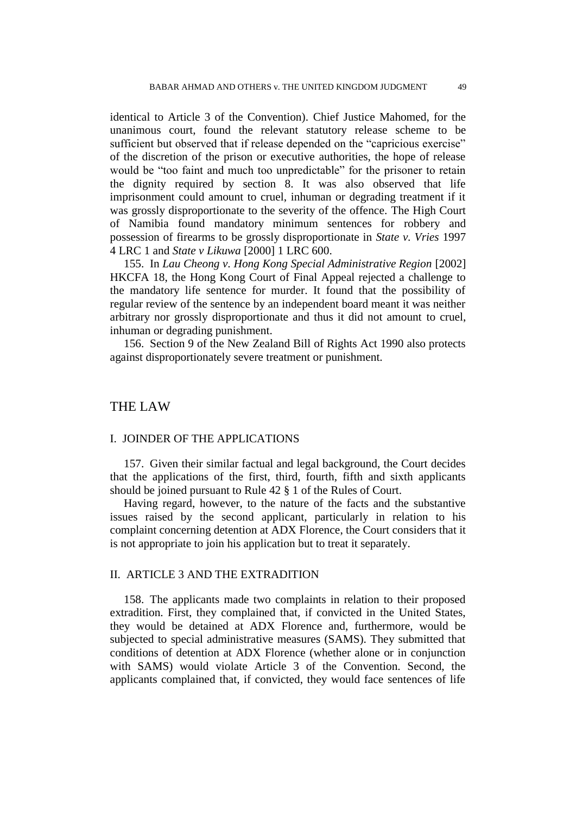identical to Article 3 of the Convention). Chief Justice Mahomed, for the unanimous court, found the relevant statutory release scheme to be sufficient but observed that if release depended on the "capricious exercise" of the discretion of the prison or executive authorities, the hope of release would be "too faint and much too unpredictable" for the prisoner to retain the dignity required by section 8. It was also observed that life imprisonment could amount to cruel, inhuman or degrading treatment if it was grossly disproportionate to the severity of the offence. The High Court of Namibia found mandatory minimum sentences for robbery and possession of firearms to be grossly disproportionate in *State v. Vries* 1997 4 LRC 1 and *State v Likuwa* [2000] 1 LRC 600.

155. In *Lau Cheong v. Hong Kong Special Administrative Region* [2002] HKCFA 18, the Hong Kong Court of Final Appeal rejected a challenge to the mandatory life sentence for murder. It found that the possibility of regular review of the sentence by an independent board meant it was neither arbitrary nor grossly disproportionate and thus it did not amount to cruel, inhuman or degrading punishment.

156. Section 9 of the New Zealand Bill of Rights Act 1990 also protects against disproportionately severe treatment or punishment.

# THE LAW

# I. JOINDER OF THE APPLICATIONS

157. Given their similar factual and legal background, the Court decides that the applications of the first, third, fourth, fifth and sixth applicants should be joined pursuant to Rule 42 § 1 of the Rules of Court.

Having regard, however, to the nature of the facts and the substantive issues raised by the second applicant, particularly in relation to his complaint concerning detention at ADX Florence, the Court considers that it is not appropriate to join his application but to treat it separately.

## II. ARTICLE 3 AND THE EXTRADITION

158. The applicants made two complaints in relation to their proposed extradition. First, they complained that, if convicted in the United States, they would be detained at ADX Florence and, furthermore, would be subjected to special administrative measures (SAMS). They submitted that conditions of detention at ADX Florence (whether alone or in conjunction with SAMS) would violate Article 3 of the Convention. Second, the applicants complained that, if convicted, they would face sentences of life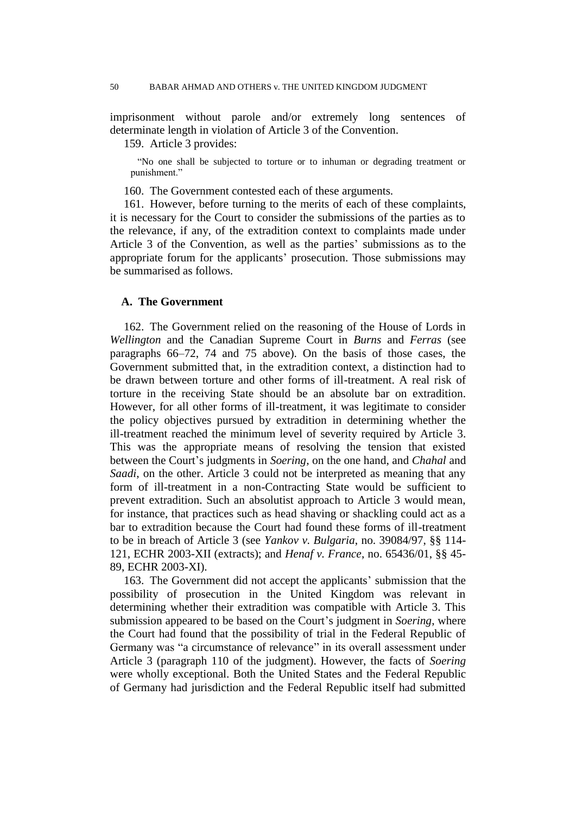imprisonment without parole and/or extremely long sentences of determinate length in violation of Article 3 of the Convention.

159. Article 3 provides:

"No one shall be subjected to torture or to inhuman or degrading treatment or punishment."

160. The Government contested each of these arguments.

161. However, before turning to the merits of each of these complaints, it is necessary for the Court to consider the submissions of the parties as to the relevance, if any, of the extradition context to complaints made under Article 3 of the Convention, as well as the parties' submissions as to the appropriate forum for the applicants' prosecution. Those submissions may be summarised as follows.

## **A. The Government**

162. The Government relied on the reasoning of the House of Lords in *Wellington* and the Canadian Supreme Court in *Burns* and *Ferras* (see paragraphs 66–72, 74 and 75 above). On the basis of those cases, the Government submitted that, in the extradition context, a distinction had to be drawn between torture and other forms of ill-treatment. A real risk of torture in the receiving State should be an absolute bar on extradition. However, for all other forms of ill-treatment, it was legitimate to consider the policy objectives pursued by extradition in determining whether the ill-treatment reached the minimum level of severity required by Article 3. This was the appropriate means of resolving the tension that existed between the Court's judgments in *Soering*, on the one hand, and *Chahal* and *Saadi*, on the other. Article 3 could not be interpreted as meaning that any form of ill-treatment in a non-Contracting State would be sufficient to prevent extradition. Such an absolutist approach to Article 3 would mean, for instance, that practices such as head shaving or shackling could act as a bar to extradition because the Court had found these forms of ill-treatment to be in breach of Article 3 (see *Yankov v. Bulgaria*, no. 39084/97, §§ 114- 121, ECHR 2003-XII (extracts); and *Henaf v. France*, no. 65436/01, §§ 45- 89, ECHR 2003-XI).

163. The Government did not accept the applicants' submission that the possibility of prosecution in the United Kingdom was relevant in determining whether their extradition was compatible with Article 3. This submission appeared to be based on the Court's judgment in *Soering*, where the Court had found that the possibility of trial in the Federal Republic of Germany was "a circumstance of relevance" in its overall assessment under Article 3 (paragraph 110 of the judgment). However, the facts of *Soering* were wholly exceptional. Both the United States and the Federal Republic of Germany had jurisdiction and the Federal Republic itself had submitted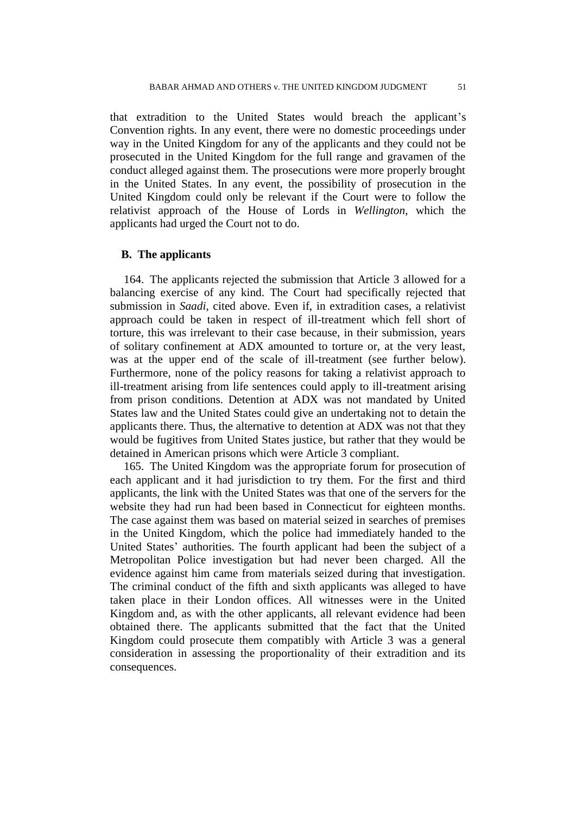that extradition to the United States would breach the applicant's Convention rights. In any event, there were no domestic proceedings under way in the United Kingdom for any of the applicants and they could not be prosecuted in the United Kingdom for the full range and gravamen of the conduct alleged against them. The prosecutions were more properly brought in the United States. In any event, the possibility of prosecution in the United Kingdom could only be relevant if the Court were to follow the relativist approach of the House of Lords in *Wellington*, which the applicants had urged the Court not to do.

## **B. The applicants**

164. The applicants rejected the submission that Article 3 allowed for a balancing exercise of any kind. The Court had specifically rejected that submission in *Saadi*, cited above. Even if, in extradition cases, a relativist approach could be taken in respect of ill-treatment which fell short of torture, this was irrelevant to their case because, in their submission, years of solitary confinement at ADX amounted to torture or, at the very least, was at the upper end of the scale of ill-treatment (see further below). Furthermore, none of the policy reasons for taking a relativist approach to ill-treatment arising from life sentences could apply to ill-treatment arising from prison conditions. Detention at ADX was not mandated by United States law and the United States could give an undertaking not to detain the applicants there. Thus, the alternative to detention at ADX was not that they would be fugitives from United States justice, but rather that they would be detained in American prisons which were Article 3 compliant.

165. The United Kingdom was the appropriate forum for prosecution of each applicant and it had jurisdiction to try them. For the first and third applicants, the link with the United States was that one of the servers for the website they had run had been based in Connecticut for eighteen months. The case against them was based on material seized in searches of premises in the United Kingdom, which the police had immediately handed to the United States' authorities. The fourth applicant had been the subject of a Metropolitan Police investigation but had never been charged. All the evidence against him came from materials seized during that investigation. The criminal conduct of the fifth and sixth applicants was alleged to have taken place in their London offices. All witnesses were in the United Kingdom and, as with the other applicants, all relevant evidence had been obtained there. The applicants submitted that the fact that the United Kingdom could prosecute them compatibly with Article 3 was a general consideration in assessing the proportionality of their extradition and its consequences.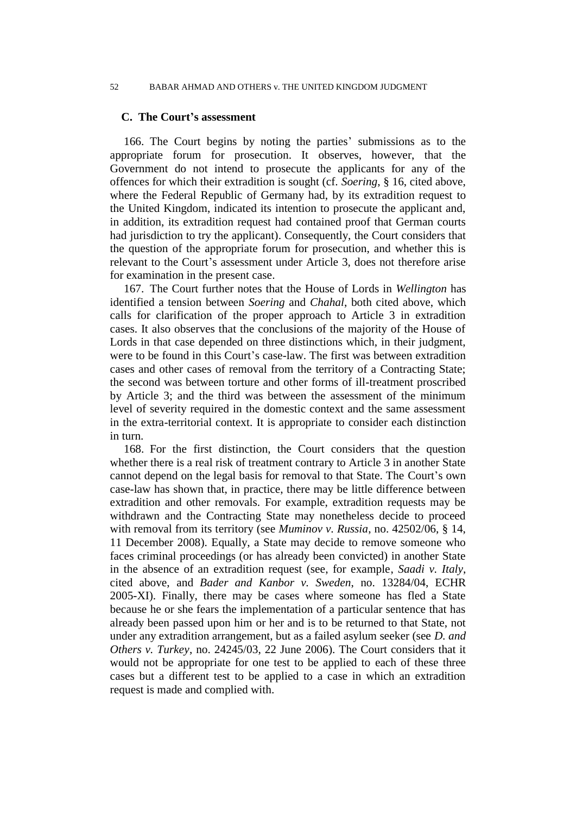### 52 BABAR AHMAD AND OTHERS v. THE UNITED KINGDOM JUDGMENT

## **C. The Court's assessment**

166. The Court begins by noting the parties' submissions as to the appropriate forum for prosecution. It observes, however, that the Government do not intend to prosecute the applicants for any of the offences for which their extradition is sought (cf. *Soering*, § 16, cited above, where the Federal Republic of Germany had, by its extradition request to the United Kingdom, indicated its intention to prosecute the applicant and, in addition, its extradition request had contained proof that German courts had jurisdiction to try the applicant). Consequently, the Court considers that the question of the appropriate forum for prosecution, and whether this is relevant to the Court's assessment under Article 3, does not therefore arise for examination in the present case.

167. The Court further notes that the House of Lords in *Wellington* has identified a tension between *Soering* and *Chahal*, both cited above, which calls for clarification of the proper approach to Article 3 in extradition cases. It also observes that the conclusions of the majority of the House of Lords in that case depended on three distinctions which, in their judgment, were to be found in this Court's case-law. The first was between extradition cases and other cases of removal from the territory of a Contracting State; the second was between torture and other forms of ill-treatment proscribed by Article 3; and the third was between the assessment of the minimum level of severity required in the domestic context and the same assessment in the extra-territorial context. It is appropriate to consider each distinction in turn.

168. For the first distinction, the Court considers that the question whether there is a real risk of treatment contrary to Article 3 in another State cannot depend on the legal basis for removal to that State. The Court's own case-law has shown that, in practice, there may be little difference between extradition and other removals. For example, extradition requests may be withdrawn and the Contracting State may nonetheless decide to proceed with removal from its territory (see *Muminov v. Russia*, no. 42502/06, § 14, 11 December 2008). Equally, a State may decide to remove someone who faces criminal proceedings (or has already been convicted) in another State in the absence of an extradition request (see, for example, *Saadi v. Italy*, cited above, and *Bader and Kanbor v. Sweden*, no. 13284/04, ECHR 2005-XI). Finally, there may be cases where someone has fled a State because he or she fears the implementation of a particular sentence that has already been passed upon him or her and is to be returned to that State, not under any extradition arrangement, but as a failed asylum seeker (see *D. and Others v. Turkey*, no. 24245/03, 22 June 2006). The Court considers that it would not be appropriate for one test to be applied to each of these three cases but a different test to be applied to a case in which an extradition request is made and complied with.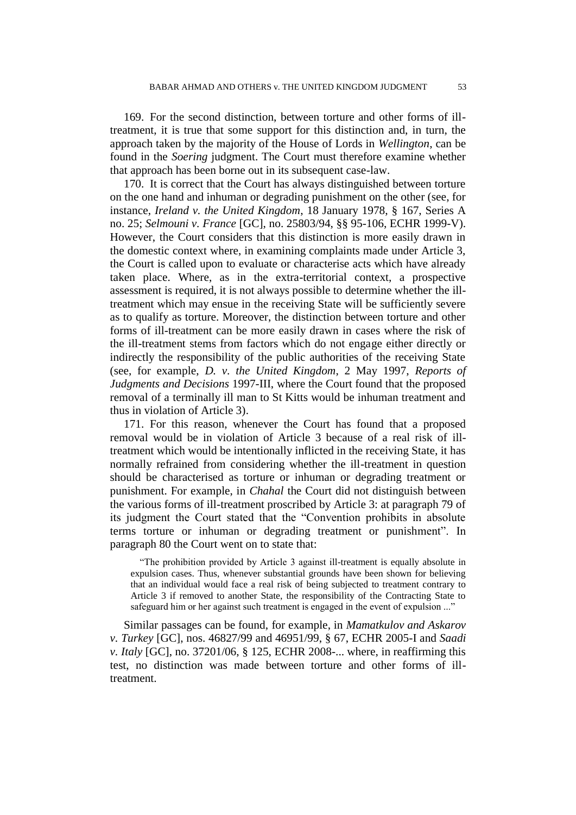169. For the second distinction, between torture and other forms of illtreatment, it is true that some support for this distinction and, in turn, the approach taken by the majority of the House of Lords in *Wellington*, can be found in the *Soering* judgment. The Court must therefore examine whether that approach has been borne out in its subsequent case-law.

170. It is correct that the Court has always distinguished between torture on the one hand and inhuman or degrading punishment on the other (see, for instance, *Ireland v. the United Kingdom*, 18 January 1978, § 167, Series A no. 25; *Selmouni v. France* [GC], no. 25803/94, §§ 95-106, ECHR 1999-V). However, the Court considers that this distinction is more easily drawn in the domestic context where, in examining complaints made under Article 3, the Court is called upon to evaluate or characterise acts which have already taken place. Where, as in the extra-territorial context, a prospective assessment is required, it is not always possible to determine whether the illtreatment which may ensue in the receiving State will be sufficiently severe as to qualify as torture. Moreover, the distinction between torture and other forms of ill-treatment can be more easily drawn in cases where the risk of the ill-treatment stems from factors which do not engage either directly or indirectly the responsibility of the public authorities of the receiving State (see, for example, *D. v. the United Kingdom*, 2 May 1997, *Reports of Judgments and Decisions* 1997-III, where the Court found that the proposed removal of a terminally ill man to St Kitts would be inhuman treatment and thus in violation of Article 3).

171. For this reason, whenever the Court has found that a proposed removal would be in violation of Article 3 because of a real risk of illtreatment which would be intentionally inflicted in the receiving State, it has normally refrained from considering whether the ill-treatment in question should be characterised as torture or inhuman or degrading treatment or punishment. For example, in *Chahal* the Court did not distinguish between the various forms of ill-treatment proscribed by Article 3: at paragraph 79 of its judgment the Court stated that the "Convention prohibits in absolute terms torture or inhuman or degrading treatment or punishment". In paragraph 80 the Court went on to state that:

"The prohibition provided by Article 3 against ill-treatment is equally absolute in expulsion cases. Thus, whenever substantial grounds have been shown for believing that an individual would face a real risk of being subjected to treatment contrary to Article 3 if removed to another State, the responsibility of the Contracting State to safeguard him or her against such treatment is engaged in the event of expulsion ..."

Similar passages can be found, for example, in *Mamatkulov and Askarov v. Turkey* [GC], nos. 46827/99 and 46951/99, § 67, ECHR 2005-I and *Saadi v. Italy* [GC], no. 37201/06, § 125, ECHR 2008-... where, in reaffirming this test, no distinction was made between torture and other forms of illtreatment.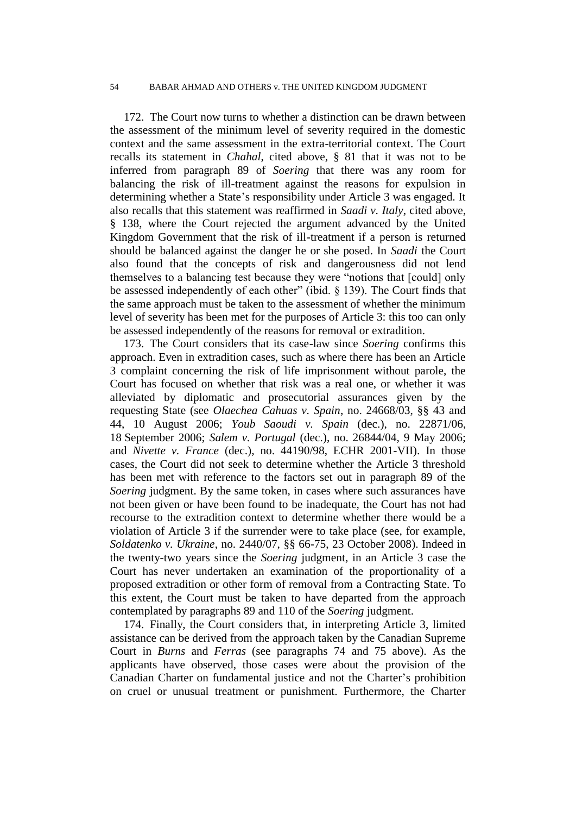### 54 BABAR AHMAD AND OTHERS v. THE UNITED KINGDOM JUDGMENT

172. The Court now turns to whether a distinction can be drawn between the assessment of the minimum level of severity required in the domestic context and the same assessment in the extra-territorial context. The Court recalls its statement in *Chahal*, cited above, § 81 that it was not to be inferred from paragraph 89 of *Soering* that there was any room for balancing the risk of ill-treatment against the reasons for expulsion in determining whether a State's responsibility under Article 3 was engaged. It also recalls that this statement was reaffirmed in *Saadi v. Italy*, cited above, § 138, where the Court rejected the argument advanced by the United Kingdom Government that the risk of ill-treatment if a person is returned should be balanced against the danger he or she posed. In *Saadi* the Court also found that the concepts of risk and dangerousness did not lend themselves to a balancing test because they were "notions that [could] only be assessed independently of each other" (ibid. § 139). The Court finds that the same approach must be taken to the assessment of whether the minimum level of severity has been met for the purposes of Article 3: this too can only be assessed independently of the reasons for removal or extradition.

173. The Court considers that its case-law since *Soering* confirms this approach. Even in extradition cases, such as where there has been an Article 3 complaint concerning the risk of life imprisonment without parole, the Court has focused on whether that risk was a real one, or whether it was alleviated by diplomatic and prosecutorial assurances given by the requesting State (see *Olaechea Cahuas v. Spain*, no. 24668/03, §§ 43 and 44, 10 August 2006; *Youb Saoudi v. Spain* (dec.), no. 22871/06, 18 September 2006; *Salem v. Portugal* (dec.), no. 26844/04, 9 May 2006; and *Nivette v. France* (dec.), no. 44190/98, ECHR 2001-VII). In those cases, the Court did not seek to determine whether the Article 3 threshold has been met with reference to the factors set out in paragraph 89 of the *Soering* judgment. By the same token, in cases where such assurances have not been given or have been found to be inadequate, the Court has not had recourse to the extradition context to determine whether there would be a violation of Article 3 if the surrender were to take place (see, for example, *Soldatenko v. Ukraine*, no. 2440/07, §§ 66-75, 23 October 2008). Indeed in the twenty-two years since the *Soering* judgment, in an Article 3 case the Court has never undertaken an examination of the proportionality of a proposed extradition or other form of removal from a Contracting State. To this extent, the Court must be taken to have departed from the approach contemplated by paragraphs 89 and 110 of the *Soering* judgment.

174. Finally, the Court considers that, in interpreting Article 3, limited assistance can be derived from the approach taken by the Canadian Supreme Court in *Burns* and *Ferras* (see paragraphs 74 and 75 above). As the applicants have observed, those cases were about the provision of the Canadian Charter on fundamental justice and not the Charter's prohibition on cruel or unusual treatment or punishment. Furthermore, the Charter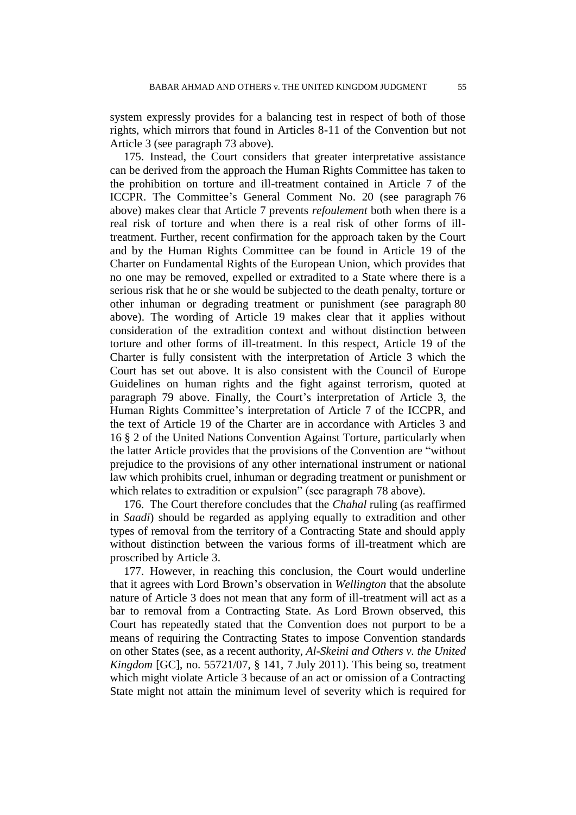system expressly provides for a balancing test in respect of both of those rights, which mirrors that found in Articles 8-11 of the Convention but not Article 3 (see paragraph 73 above).

175. Instead, the Court considers that greater interpretative assistance can be derived from the approach the Human Rights Committee has taken to the prohibition on torture and ill-treatment contained in Article 7 of the ICCPR. The Committee's General Comment No. 20 (see paragraph 76 above) makes clear that Article 7 prevents *refoulement* both when there is a real risk of torture and when there is a real risk of other forms of illtreatment. Further, recent confirmation for the approach taken by the Court and by the Human Rights Committee can be found in Article 19 of the Charter on Fundamental Rights of the European Union, which provides that no one may be removed, expelled or extradited to a State where there is a serious risk that he or she would be subjected to the death penalty, torture or other inhuman or degrading treatment or punishment (see paragraph 80 above). The wording of Article 19 makes clear that it applies without consideration of the extradition context and without distinction between torture and other forms of ill-treatment. In this respect, Article 19 of the Charter is fully consistent with the interpretation of Article 3 which the Court has set out above. It is also consistent with the Council of Europe Guidelines on human rights and the fight against terrorism, quoted at paragraph 79 above. Finally, the Court's interpretation of Article 3, the Human Rights Committee's interpretation of Article 7 of the ICCPR, and the text of Article 19 of the Charter are in accordance with Articles 3 and 16 § 2 of the United Nations Convention Against Torture, particularly when the latter Article provides that the provisions of the Convention are "without prejudice to the provisions of any other international instrument or national law which prohibits cruel, inhuman or degrading treatment or punishment or which relates to extradition or expulsion" (see paragraph 78 above).

176. The Court therefore concludes that the *Chahal* ruling (as reaffirmed in *Saadi*) should be regarded as applying equally to extradition and other types of removal from the territory of a Contracting State and should apply without distinction between the various forms of ill-treatment which are proscribed by Article 3.

177. However, in reaching this conclusion, the Court would underline that it agrees with Lord Brown's observation in *Wellington* that the absolute nature of Article 3 does not mean that any form of ill-treatment will act as a bar to removal from a Contracting State. As Lord Brown observed, this Court has repeatedly stated that the Convention does not purport to be a means of requiring the Contracting States to impose Convention standards on other States (see, as a recent authority, *Al-Skeini and Others v. the United Kingdom* [GC], no. 55721/07, § 141, 7 July 2011). This being so, treatment which might violate Article 3 because of an act or omission of a Contracting State might not attain the minimum level of severity which is required for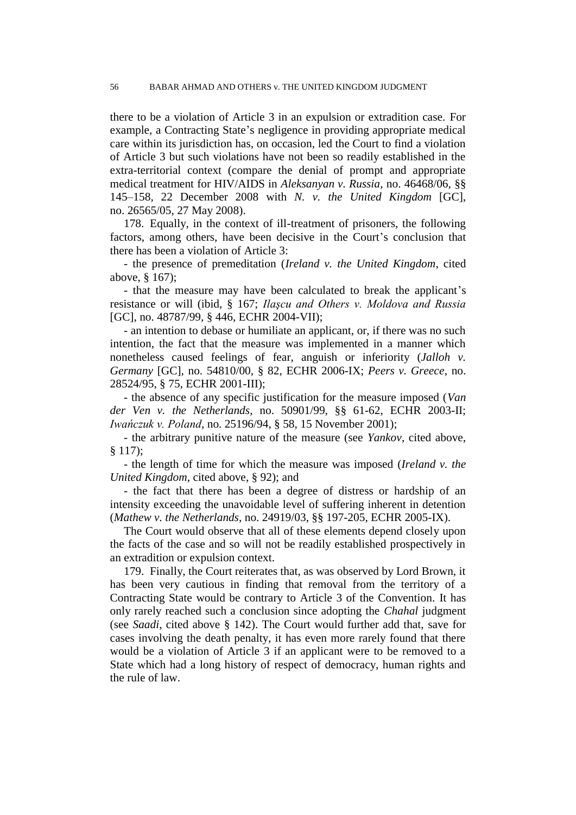there to be a violation of Article 3 in an expulsion or extradition case. For example, a Contracting State's negligence in providing appropriate medical care within its jurisdiction has, on occasion, led the Court to find a violation of Article 3 but such violations have not been so readily established in the extra-territorial context (compare the denial of prompt and appropriate medical treatment for HIV/AIDS in *Aleksanyan v. Russia*, no. 46468/06, §§ 145–158, 22 December 2008 with *N. v. the United Kingdom* [GC], no. 26565/05, 27 May 2008).

178. Equally, in the context of ill-treatment of prisoners, the following factors, among others, have been decisive in the Court's conclusion that there has been a violation of Article 3:

- the presence of premeditation (*Ireland v. the United Kingdom*, cited above, § 167);

- that the measure may have been calculated to break the applicant's resistance or will (ibid, § 167; *Ilaşcu and Others v. Moldova and Russia*  [GC], no. 48787/99, § 446, ECHR 2004-VII);

- an intention to debase or humiliate an applicant, or, if there was no such intention, the fact that the measure was implemented in a manner which nonetheless caused feelings of fear, anguish or inferiority (*Jalloh v. Germany* [GC], no. 54810/00, § 82, ECHR 2006-IX; *Peers v. Greece*, no. 28524/95, § 75, ECHR 2001-III);

- the absence of any specific justification for the measure imposed (*Van der Ven v. the Netherlands*, no. 50901/99, §§ 61-62, ECHR 2003-II; *Iwańczuk v. Poland*, no. 25196/94, § 58, 15 November 2001);

- the arbitrary punitive nature of the measure (see *Yankov*, cited above, § 117);

- the length of time for which the measure was imposed (*Ireland v. the United Kingdom*, cited above, § 92); and

- the fact that there has been a degree of distress or hardship of an intensity exceeding the unavoidable level of suffering inherent in detention (*Mathew v. the Netherlands*, no. 24919/03, §§ 197-205, ECHR 2005-IX).

The Court would observe that all of these elements depend closely upon the facts of the case and so will not be readily established prospectively in an extradition or expulsion context.

179. Finally, the Court reiterates that, as was observed by Lord Brown, it has been very cautious in finding that removal from the territory of a Contracting State would be contrary to Article 3 of the Convention. It has only rarely reached such a conclusion since adopting the *Chahal* judgment (see *Saadi*, cited above § 142). The Court would further add that, save for cases involving the death penalty, it has even more rarely found that there would be a violation of Article 3 if an applicant were to be removed to a State which had a long history of respect of democracy, human rights and the rule of law.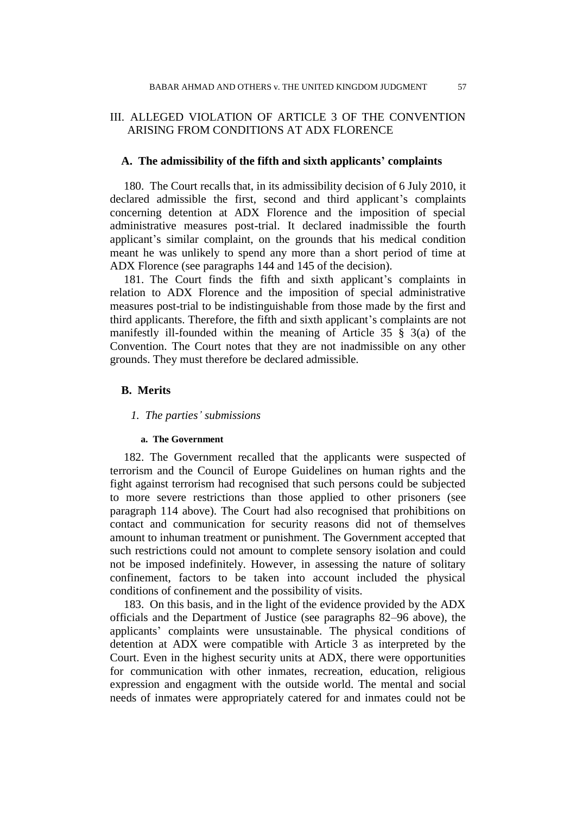# III. ALLEGED VIOLATION OF ARTICLE 3 OF THE CONVENTION ARISING FROM CONDITIONS AT ADX FLORENCE

## **A. The admissibility of the fifth and sixth applicants' complaints**

180. The Court recalls that, in its admissibility decision of 6 July 2010, it declared admissible the first, second and third applicant's complaints concerning detention at ADX Florence and the imposition of special administrative measures post-trial. It declared inadmissible the fourth applicant's similar complaint, on the grounds that his medical condition meant he was unlikely to spend any more than a short period of time at ADX Florence (see paragraphs 144 and 145 of the decision).

181. The Court finds the fifth and sixth applicant's complaints in relation to ADX Florence and the imposition of special administrative measures post-trial to be indistinguishable from those made by the first and third applicants. Therefore, the fifth and sixth applicant's complaints are not manifestly ill-founded within the meaning of Article 35 § 3(a) of the Convention. The Court notes that they are not inadmissible on any other grounds. They must therefore be declared admissible.

# **B. Merits**

### *1. The parties' submissions*

### **a. The Government**

182. The Government recalled that the applicants were suspected of terrorism and the Council of Europe Guidelines on human rights and the fight against terrorism had recognised that such persons could be subjected to more severe restrictions than those applied to other prisoners (see paragraph 114 above). The Court had also recognised that prohibitions on contact and communication for security reasons did not of themselves amount to inhuman treatment or punishment. The Government accepted that such restrictions could not amount to complete sensory isolation and could not be imposed indefinitely. However, in assessing the nature of solitary confinement, factors to be taken into account included the physical conditions of confinement and the possibility of visits.

183. On this basis, and in the light of the evidence provided by the ADX officials and the Department of Justice (see paragraphs 82–96 above), the applicants' complaints were unsustainable. The physical conditions of detention at ADX were compatible with Article 3 as interpreted by the Court. Even in the highest security units at ADX, there were opportunities for communication with other inmates, recreation, education, religious expression and engagment with the outside world. The mental and social needs of inmates were appropriately catered for and inmates could not be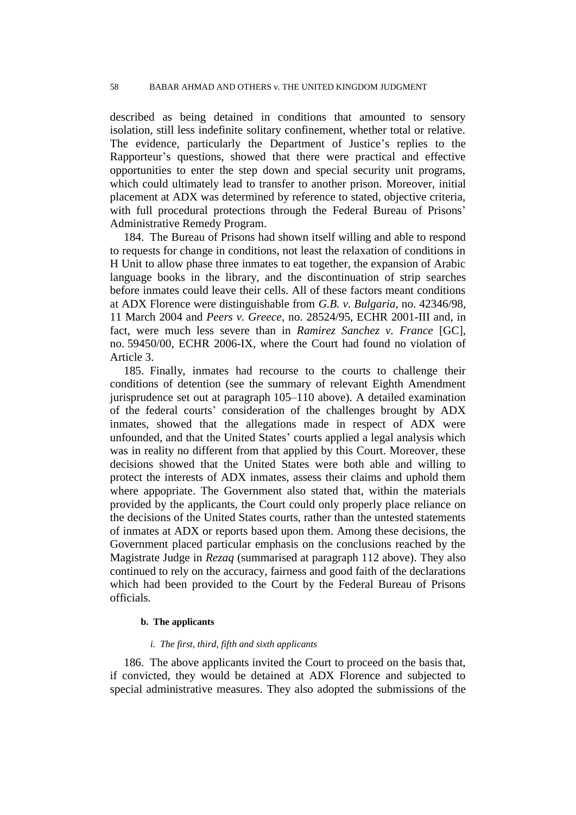described as being detained in conditions that amounted to sensory isolation, still less indefinite solitary confinement, whether total or relative. The evidence, particularly the Department of Justice's replies to the Rapporteur's questions, showed that there were practical and effective opportunities to enter the step down and special security unit programs, which could ultimately lead to transfer to another prison. Moreover, initial placement at ADX was determined by reference to stated, objective criteria, with full procedural protections through the Federal Bureau of Prisons' Administrative Remedy Program.

184. The Bureau of Prisons had shown itself willing and able to respond to requests for change in conditions, not least the relaxation of conditions in H Unit to allow phase three inmates to eat together, the expansion of Arabic language books in the library, and the discontinuation of strip searches before inmates could leave their cells. All of these factors meant conditions at ADX Florence were distinguishable from *G.B. v. Bulgaria*, no. 42346/98, 11 March 2004 and *Peers v. Greece*, no. 28524/95, ECHR 2001-III and, in fact, were much less severe than in *Ramirez Sanchez v. France* [GC], no. 59450/00, ECHR 2006-IX, where the Court had found no violation of Article 3.

185. Finally, inmates had recourse to the courts to challenge their conditions of detention (see the summary of relevant Eighth Amendment jurisprudence set out at paragraph 105–110 above). A detailed examination of the federal courts' consideration of the challenges brought by ADX inmates, showed that the allegations made in respect of ADX were unfounded, and that the United States' courts applied a legal analysis which was in reality no different from that applied by this Court. Moreover, these decisions showed that the United States were both able and willing to protect the interests of ADX inmates, assess their claims and uphold them where appopriate. The Government also stated that, within the materials provided by the applicants, the Court could only properly place reliance on the decisions of the United States courts, rather than the untested statements of inmates at ADX or reports based upon them. Among these decisions, the Government placed particular emphasis on the conclusions reached by the Magistrate Judge in *Rezaq* (summarised at paragraph 112 above). They also continued to rely on the accuracy, fairness and good faith of the declarations which had been provided to the Court by the Federal Bureau of Prisons officials.

### **b. The applicants**

## *i. The first, third, fifth and sixth applicants*

186. The above applicants invited the Court to proceed on the basis that, if convicted, they would be detained at ADX Florence and subjected to special administrative measures. They also adopted the submissions of the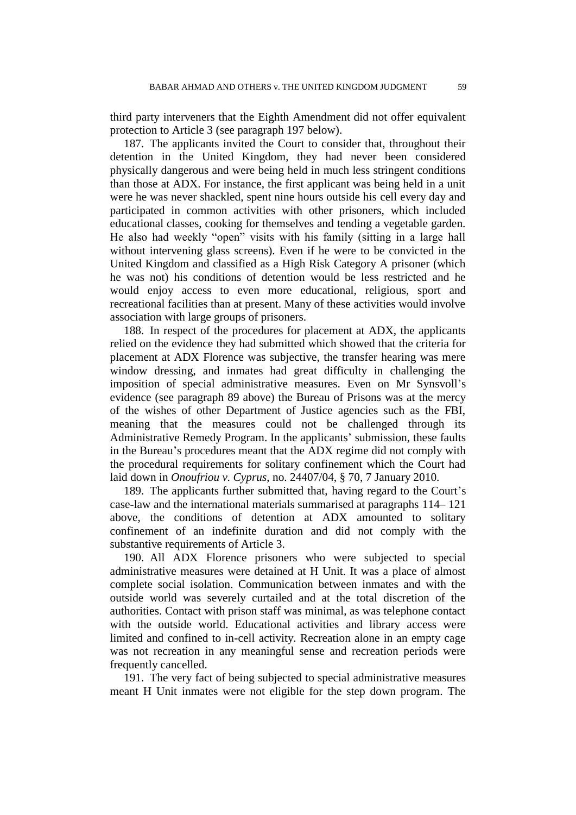third party interveners that the Eighth Amendment did not offer equivalent protection to Article 3 (see paragraph 197 below).

187. The applicants invited the Court to consider that, throughout their detention in the United Kingdom, they had never been considered physically dangerous and were being held in much less stringent conditions than those at ADX. For instance, the first applicant was being held in a unit were he was never shackled, spent nine hours outside his cell every day and participated in common activities with other prisoners, which included educational classes, cooking for themselves and tending a vegetable garden. He also had weekly "open" visits with his family (sitting in a large hall without intervening glass screens). Even if he were to be convicted in the United Kingdom and classified as a High Risk Category A prisoner (which he was not) his conditions of detention would be less restricted and he would enjoy access to even more educational, religious, sport and recreational facilities than at present. Many of these activities would involve association with large groups of prisoners.

188. In respect of the procedures for placement at ADX, the applicants relied on the evidence they had submitted which showed that the criteria for placement at ADX Florence was subjective, the transfer hearing was mere window dressing, and inmates had great difficulty in challenging the imposition of special administrative measures. Even on Mr Synsvoll's evidence (see paragraph 89 above) the Bureau of Prisons was at the mercy of the wishes of other Department of Justice agencies such as the FBI, meaning that the measures could not be challenged through its Administrative Remedy Program. In the applicants' submission, these faults in the Bureau's procedures meant that the ADX regime did not comply with the procedural requirements for solitary confinement which the Court had laid down in *Onoufriou v. Cyprus*, no. 24407/04, § 70, 7 January 2010.

189. The applicants further submitted that, having regard to the Court's case-law and the international materials summarised at paragraphs 114– 121 above, the conditions of detention at ADX amounted to solitary confinement of an indefinite duration and did not comply with the substantive requirements of Article 3.

190. All ADX Florence prisoners who were subjected to special administrative measures were detained at H Unit. It was a place of almost complete social isolation. Communication between inmates and with the outside world was severely curtailed and at the total discretion of the authorities. Contact with prison staff was minimal, as was telephone contact with the outside world. Educational activities and library access were limited and confined to in-cell activity. Recreation alone in an empty cage was not recreation in any meaningful sense and recreation periods were frequently cancelled.

191. The very fact of being subjected to special administrative measures meant H Unit inmates were not eligible for the step down program. The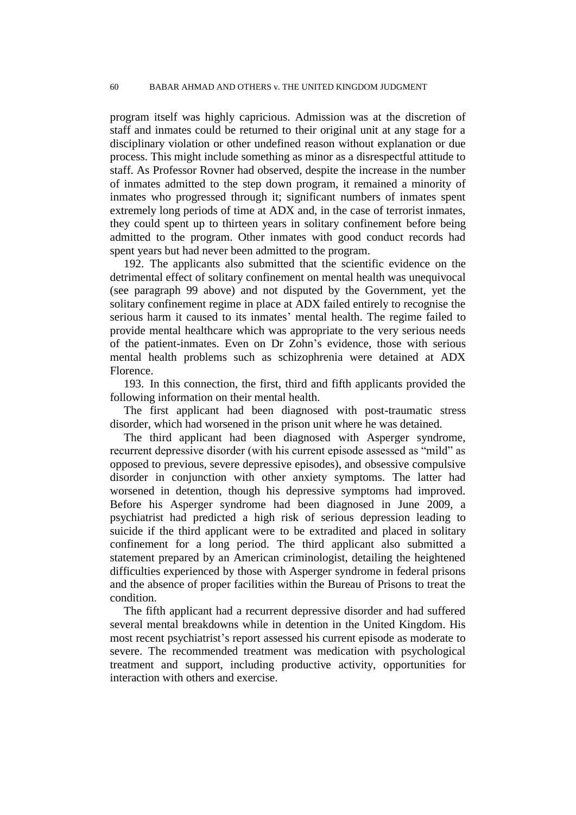program itself was highly capricious. Admission was at the discretion of staff and inmates could be returned to their original unit at any stage for a disciplinary violation or other undefined reason without explanation or due process. This might include something as minor as a disrespectful attitude to staff. As Professor Rovner had observed, despite the increase in the number of inmates admitted to the step down program, it remained a minority of inmates who progressed through it; significant numbers of inmates spent extremely long periods of time at ADX and, in the case of terrorist inmates, they could spent up to thirteen years in solitary confinement before being admitted to the program. Other inmates with good conduct records had spent years but had never been admitted to the program.

192. The applicants also submitted that the scientific evidence on the detrimental effect of solitary confinement on mental health was unequivocal (see paragraph 99 above) and not disputed by the Government, yet the solitary confinement regime in place at ADX failed entirely to recognise the serious harm it caused to its inmates' mental health. The regime failed to provide mental healthcare which was appropriate to the very serious needs of the patient-inmates. Even on Dr Zohn's evidence, those with serious mental health problems such as schizophrenia were detained at ADX Florence.

193. In this connection, the first, third and fifth applicants provided the following information on their mental health.

The first applicant had been diagnosed with post-traumatic stress disorder, which had worsened in the prison unit where he was detained.

The third applicant had been diagnosed with Asperger syndrome, recurrent depressive disorder (with his current episode assessed as "mild" as opposed to previous, severe depressive episodes), and obsessive compulsive disorder in conjunction with other anxiety symptoms. The latter had worsened in detention, though his depressive symptoms had improved. Before his Asperger syndrome had been diagnosed in June 2009, a psychiatrist had predicted a high risk of serious depression leading to suicide if the third applicant were to be extradited and placed in solitary confinement for a long period. The third applicant also submitted a statement prepared by an American criminologist, detailing the heightened difficulties experienced by those with Asperger syndrome in federal prisons and the absence of proper facilities within the Bureau of Prisons to treat the condition.

The fifth applicant had a recurrent depressive disorder and had suffered several mental breakdowns while in detention in the United Kingdom. His most recent psychiatrist's report assessed his current episode as moderate to severe. The recommended treatment was medication with psychological treatment and support, including productive activity, opportunities for interaction with others and exercise.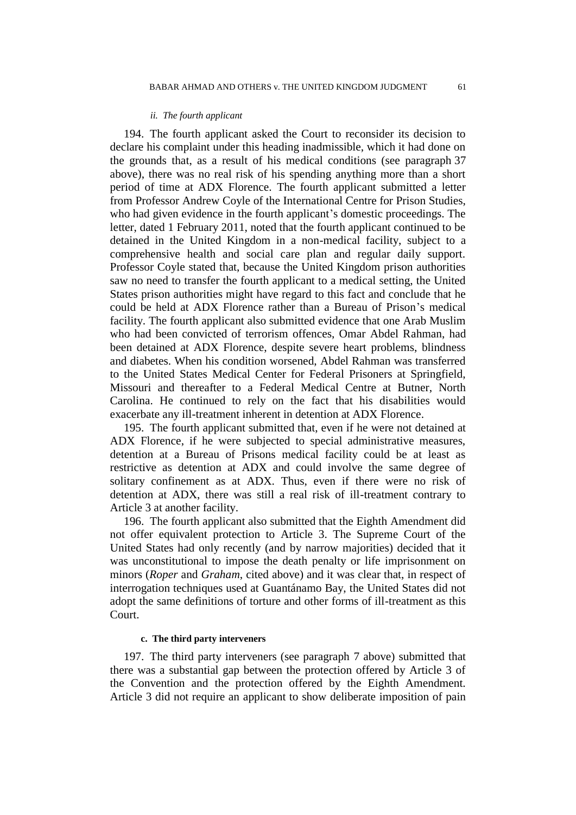#### *ii. The fourth applicant*

194. The fourth applicant asked the Court to reconsider its decision to declare his complaint under this heading inadmissible, which it had done on the grounds that, as a result of his medical conditions (see paragraph 37 above), there was no real risk of his spending anything more than a short period of time at ADX Florence. The fourth applicant submitted a letter from Professor Andrew Coyle of the International Centre for Prison Studies, who had given evidence in the fourth applicant's domestic proceedings. The letter, dated 1 February 2011, noted that the fourth applicant continued to be detained in the United Kingdom in a non-medical facility, subject to a comprehensive health and social care plan and regular daily support. Professor Coyle stated that, because the United Kingdom prison authorities saw no need to transfer the fourth applicant to a medical setting, the United States prison authorities might have regard to this fact and conclude that he could be held at ADX Florence rather than a Bureau of Prison's medical facility. The fourth applicant also submitted evidence that one Arab Muslim who had been convicted of terrorism offences, Omar Abdel Rahman, had been detained at ADX Florence, despite severe heart problems, blindness and diabetes. When his condition worsened, Abdel Rahman was transferred to the United States Medical Center for Federal Prisoners at Springfield, Missouri and thereafter to a Federal Medical Centre at Butner, North Carolina. He continued to rely on the fact that his disabilities would exacerbate any ill-treatment inherent in detention at ADX Florence.

195. The fourth applicant submitted that, even if he were not detained at ADX Florence, if he were subjected to special administrative measures, detention at a Bureau of Prisons medical facility could be at least as restrictive as detention at ADX and could involve the same degree of solitary confinement as at ADX. Thus, even if there were no risk of detention at ADX, there was still a real risk of ill-treatment contrary to Article 3 at another facility.

196. The fourth applicant also submitted that the Eighth Amendment did not offer equivalent protection to Article 3. The Supreme Court of the United States had only recently (and by narrow majorities) decided that it was unconstitutional to impose the death penalty or life imprisonment on minors (*Roper* and *Graham*, cited above) and it was clear that, in respect of interrogation techniques used at Guantánamo Bay, the United States did not adopt the same definitions of torture and other forms of ill-treatment as this Court.

### **c. The third party interveners**

197. The third party interveners (see paragraph 7 above) submitted that there was a substantial gap between the protection offered by Article 3 of the Convention and the protection offered by the Eighth Amendment. Article 3 did not require an applicant to show deliberate imposition of pain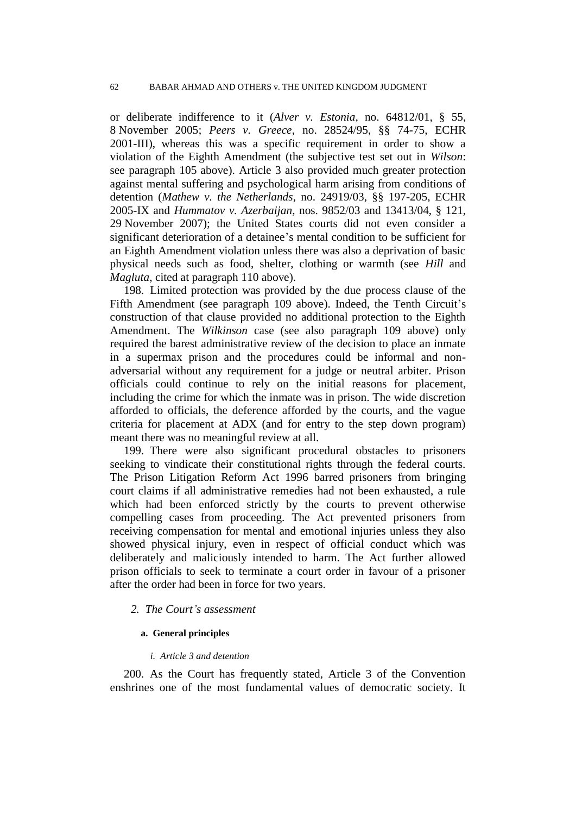or deliberate indifference to it (*Alver v. Estonia*, no. 64812/01, § 55, 8 November 2005; *Peers v. Greece*, no. 28524/95, §§ 74-75, ECHR 2001-III), whereas this was a specific requirement in order to show a violation of the Eighth Amendment (the subjective test set out in *Wilson*: see paragraph 105 above). Article 3 also provided much greater protection against mental suffering and psychological harm arising from conditions of detention (*Mathew v. the Netherlands*, no. 24919/03, §§ 197-205, ECHR 2005-IX and *Hummatov v. Azerbaijan*, nos. 9852/03 and 13413/04, § 121, 29 November 2007); the United States courts did not even consider a significant deterioration of a detainee's mental condition to be sufficient for an Eighth Amendment violation unless there was also a deprivation of basic physical needs such as food, shelter, clothing or warmth (see *Hill* and *Magluta*, cited at paragraph 110 above).

198. Limited protection was provided by the due process clause of the Fifth Amendment (see paragraph 109 above). Indeed, the Tenth Circuit's construction of that clause provided no additional protection to the Eighth Amendment. The *Wilkinson* case (see also paragraph 109 above) only required the barest administrative review of the decision to place an inmate in a supermax prison and the procedures could be informal and nonadversarial without any requirement for a judge or neutral arbiter. Prison officials could continue to rely on the initial reasons for placement, including the crime for which the inmate was in prison. The wide discretion afforded to officials, the deference afforded by the courts, and the vague criteria for placement at ADX (and for entry to the step down program) meant there was no meaningful review at all.

199. There were also significant procedural obstacles to prisoners seeking to vindicate their constitutional rights through the federal courts. The Prison Litigation Reform Act 1996 barred prisoners from bringing court claims if all administrative remedies had not been exhausted, a rule which had been enforced strictly by the courts to prevent otherwise compelling cases from proceeding. The Act prevented prisoners from receiving compensation for mental and emotional injuries unless they also showed physical injury, even in respect of official conduct which was deliberately and maliciously intended to harm. The Act further allowed prison officials to seek to terminate a court order in favour of a prisoner after the order had been in force for two years.

# *2. The Court's assessment*

## **a. General principles**

## *i. Article 3 and detention*

200. As the Court has frequently stated, Article 3 of the Convention enshrines one of the most fundamental values of democratic society. It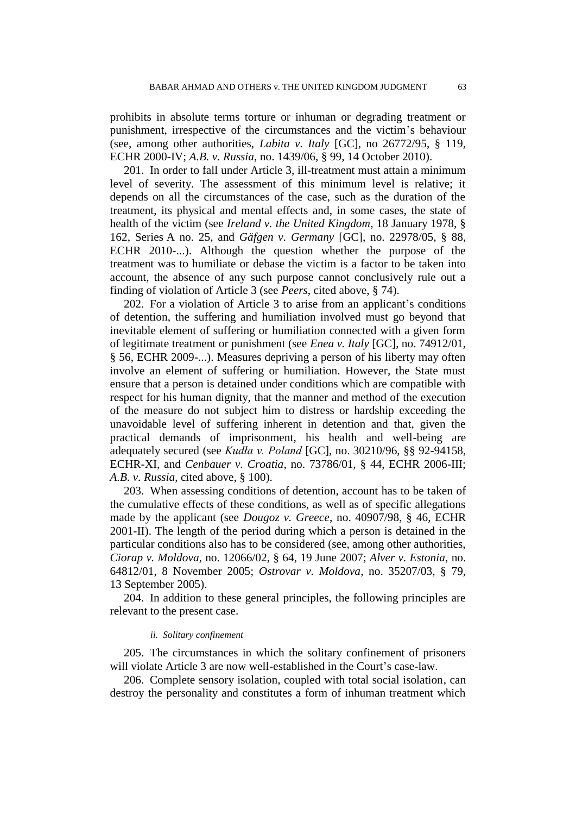prohibits in absolute terms torture or inhuman or degrading treatment or punishment, irrespective of the circumstances and the victim's behaviour (see, among other authorities, *Labita v. Italy* [GC], no 26772/95, § 119, ECHR 2000-IV; *A.B. v. Russia*, no. 1439/06, § 99, 14 October 2010).

201. In order to fall under Article 3, ill-treatment must attain a minimum level of severity. The assessment of this minimum level is relative; it depends on all the circumstances of the case, such as the duration of the treatment, its physical and mental effects and, in some cases, the state of health of the victim (see *Ireland v. the United Kingdom*, 18 January 1978, § 162, Series A no. 25, and *Gäfgen v. Germany* [GC], no. 22978/05, § 88, ECHR 2010-...). Although the question whether the purpose of the treatment was to humiliate or debase the victim is a factor to be taken into account, the absence of any such purpose cannot conclusively rule out a finding of violation of Article 3 (see *Peers*, cited above, § 74).

202. For a violation of Article 3 to arise from an applicant's conditions of detention, the suffering and humiliation involved must go beyond that inevitable element of suffering or humiliation connected with a given form of legitimate treatment or punishment (see *Enea v. Italy* [GC], no. 74912/01, § 56, ECHR 2009-...). Measures depriving a person of his liberty may often involve an element of suffering or humiliation. However, the State must ensure that a person is detained under conditions which are compatible with respect for his human dignity, that the manner and method of the execution of the measure do not subject him to distress or hardship exceeding the unavoidable level of suffering inherent in detention and that, given the practical demands of imprisonment, his health and well-being are adequately secured (see *Kudła v. Poland* [GC], no. 30210/96, §§ 92-94158, ECHR-XI, and *Cenbauer v. Croatia*, no. 73786/01, § 44, ECHR 2006-III; *A.B. v. Russia*, cited above, § 100).

203. When assessing conditions of detention, account has to be taken of the cumulative effects of these conditions, as well as of specific allegations made by the applicant (see *Dougoz v. Greece*, no. 40907/98, § 46, ECHR 2001-II). The length of the period during which a person is detained in the particular conditions also has to be considered (see, among other authorities, *Ciorap v. Moldova*, no. 12066/02, § 64, 19 June 2007; *Alver v. Estonia*, no. 64812/01, 8 November 2005; *Ostrovar v. Moldova*, no. 35207/03, § 79, 13 September 2005).

204. In addition to these general principles, the following principles are relevant to the present case.

#### *ii. Solitary confinement*

205. The circumstances in which the solitary confinement of prisoners will violate Article 3 are now well-established in the Court's case-law.

206. Complete sensory isolation, coupled with total social isolation, can destroy the personality and constitutes a form of inhuman treatment which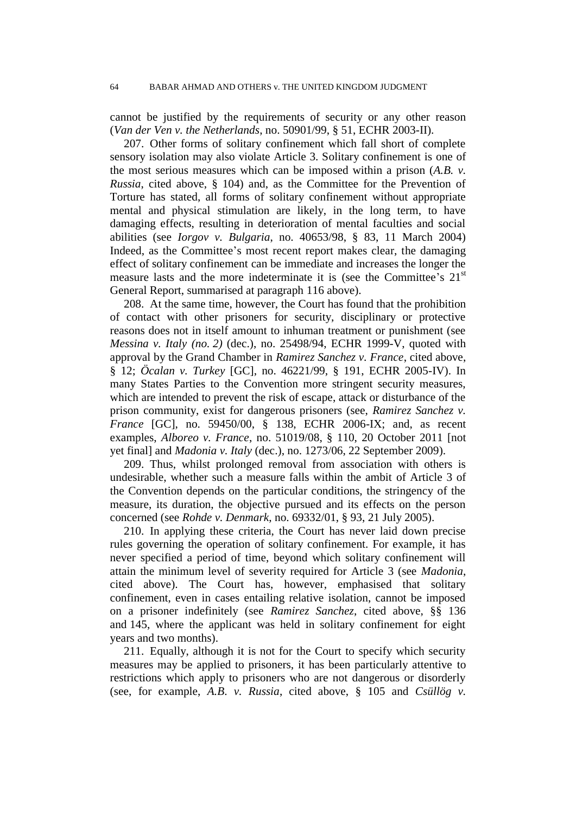cannot be justified by the requirements of security or any other reason (*Van der Ven v. the Netherlands*, no. 50901/99, § 51, ECHR 2003-II).

207. Other forms of solitary confinement which fall short of complete sensory isolation may also violate Article 3. Solitary confinement is one of the most serious measures which can be imposed within a prison (*A.B. v. Russia*, cited above, § 104) and, as the Committee for the Prevention of Torture has stated, all forms of solitary confinement without appropriate mental and physical stimulation are likely, in the long term, to have damaging effects, resulting in deterioration of mental faculties and social abilities (see *Iorgov v. Bulgaria*, no. 40653/98, § 83, 11 March 2004) Indeed, as the Committee's most recent report makes clear, the damaging effect of solitary confinement can be immediate and increases the longer the measure lasts and the more indeterminate it is (see the Committee's  $21<sup>st</sup>$ General Report, summarised at paragraph 116 above).

208. At the same time, however, the Court has found that the prohibition of contact with other prisoners for security, disciplinary or protective reasons does not in itself amount to inhuman treatment or punishment (see *Messina v. Italy (no. 2)* (dec.), no. 25498/94, ECHR 1999-V, quoted with approval by the Grand Chamber in *Ramirez Sanchez v. France*, cited above, § 12; *Öcalan v. Turkey* [GC], no. 46221/99, § 191, ECHR 2005-IV). In many States Parties to the Convention more stringent security measures, which are intended to prevent the risk of escape, attack or disturbance of the prison community, exist for dangerous prisoners (see, *Ramirez Sanchez v. France* [GC], no. 59450/00, § 138, ECHR 2006-IX; and, as recent examples, *Alboreo v. France*, no. 51019/08, § 110, 20 October 2011 [not yet final] and *Madonia v. Italy* (dec.), no. 1273/06, 22 September 2009).

209. Thus, whilst prolonged removal from association with others is undesirable, whether such a measure falls within the ambit of Article 3 of the Convention depends on the particular conditions, the stringency of the measure, its duration, the objective pursued and its effects on the person concerned (see *Rohde v. Denmark*, no. 69332/01, § 93, 21 July 2005).

210. In applying these criteria, the Court has never laid down precise rules governing the operation of solitary confinement. For example, it has never specified a period of time, beyond which solitary confinement will attain the minimum level of severity required for Article 3 (see *Madonia*, cited above). The Court has, however, emphasised that solitary confinement, even in cases entailing relative isolation, cannot be imposed on a prisoner indefinitely (see *Ramirez Sanchez*, cited above, §§ 136 and 145, where the applicant was held in solitary confinement for eight years and two months).

211. Equally, although it is not for the Court to specify which security measures may be applied to prisoners, it has been particularly attentive to restrictions which apply to prisoners who are not dangerous or disorderly (see, for example, *A.B*. *v. Russia*, cited above, § 105 and *Csüllög v.*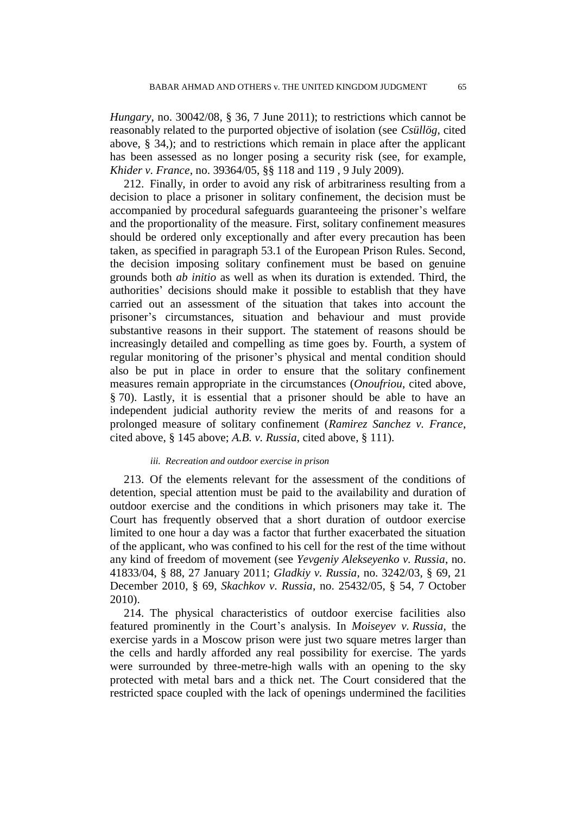*Hungary*, no. 30042/08, § 36, 7 June 2011); to restrictions which cannot be reasonably related to the purported objective of isolation (see *Csüllög*, cited above, § 34,); and to restrictions which remain in place after the applicant has been assessed as no longer posing a security risk (see, for example, *Khider v. France*, no. 39364/05, §§ 118 and 119 , 9 July 2009).

212. Finally, in order to avoid any risk of arbitrariness resulting from a decision to place a prisoner in solitary confinement, the decision must be accompanied by procedural safeguards guaranteeing the prisoner's welfare and the proportionality of the measure. First, solitary confinement measures should be ordered only exceptionally and after every precaution has been taken, as specified in paragraph 53.1 of the European Prison Rules. Second, the decision imposing solitary confinement must be based on genuine grounds both *ab initio* as well as when its duration is extended. Third, the authorities' decisions should make it possible to establish that they have carried out an assessment of the situation that takes into account the prisoner's circumstances, situation and behaviour and must provide substantive reasons in their support. The statement of reasons should be increasingly detailed and compelling as time goes by. Fourth, a system of regular monitoring of the prisoner's physical and mental condition should also be put in place in order to ensure that the solitary confinement measures remain appropriate in the circumstances (*Onoufriou*, cited above, § 70). Lastly, it is essential that a prisoner should be able to have an independent judicial authority review the merits of and reasons for a prolonged measure of solitary confinement (*Ramirez Sanchez v. France*, cited above, § 145 above; *A.B. v. Russia*, cited above, § 111).

### *iii. Recreation and outdoor exercise in prison*

213. Of the elements relevant for the assessment of the conditions of detention, special attention must be paid to the availability and duration of outdoor exercise and the conditions in which prisoners may take it. The Court has frequently observed that a short duration of outdoor exercise limited to one hour a day was a factor that further exacerbated the situation of the applicant, who was confined to his cell for the rest of the time without any kind of freedom of movement (see *Yevgeniy Alekseyenko v. Russia*, no. 41833/04, § 88, 27 January 2011; *Gladkiy v. Russia*, no. 3242/03, § 69, 21 December 2010, § 69, *Skachkov v. Russia*, no. 25432/05, § 54, 7 October 2010).

214. The physical characteristics of outdoor exercise facilities also featured prominently in the Court's analysis. In *Moiseyev v. Russia*, the exercise yards in a Moscow prison were just two square metres larger than the cells and hardly afforded any real possibility for exercise. The yards were surrounded by three-metre-high walls with an opening to the sky protected with metal bars and a thick net. The Court considered that the restricted space coupled with the lack of openings undermined the facilities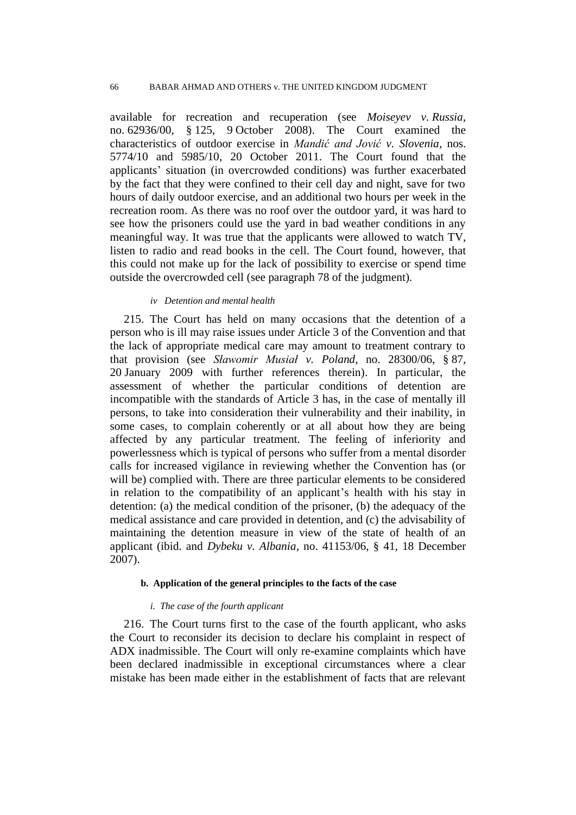available for recreation and recuperation (see *Moiseyev v. Russia*, no. 62936/00, § 125, 9 October 2008). The Court examined the characteristics of outdoor exercise in *Mandić and Jović v. Slovenia*, nos. 5774/10 and 5985/10, 20 October 2011. The Court found that the applicants' situation (in overcrowded conditions) was further exacerbated by the fact that they were confined to their cell day and night, save for two hours of daily outdoor exercise, and an additional two hours per week in the recreation room. As there was no roof over the outdoor yard, it was hard to see how the prisoners could use the yard in bad weather conditions in any meaningful way. It was true that the applicants were allowed to watch TV, listen to radio and read books in the cell. The Court found, however, that this could not make up for the lack of possibility to exercise or spend time outside the overcrowded cell (see paragraph 78 of the judgment).

### *iv Detention and mental health*

215. The Court has held on many occasions that the detention of a person who is ill may raise issues under Article 3 of the Convention and that the lack of appropriate medical care may amount to treatment contrary to that provision (see *Sławomir Musiał v. Poland*, no. 28300/06, § 87, 20 January 2009 with further references therein). In particular, the assessment of whether the particular conditions of detention are incompatible with the standards of Article 3 has, in the case of mentally ill persons, to take into consideration their vulnerability and their inability, in some cases, to complain coherently or at all about how they are being affected by any particular treatment. The feeling of inferiority and powerlessness which is typical of persons who suffer from a mental disorder calls for increased vigilance in reviewing whether the Convention has (or will be) complied with. There are three particular elements to be considered in relation to the compatibility of an applicant's health with his stay in detention: (a) the medical condition of the prisoner, (b) the adequacy of the medical assistance and care provided in detention, and (c) the advisability of maintaining the detention measure in view of the state of health of an applicant (ibid. and *Dybeku v. Albania*, no. 41153/06, § 41, 18 December 2007).

### **b. Application of the general principles to the facts of the case**

### *i. The case of the fourth applicant*

216. The Court turns first to the case of the fourth applicant, who asks the Court to reconsider its decision to declare his complaint in respect of ADX inadmissible. The Court will only re-examine complaints which have been declared inadmissible in exceptional circumstances where a clear mistake has been made either in the establishment of facts that are relevant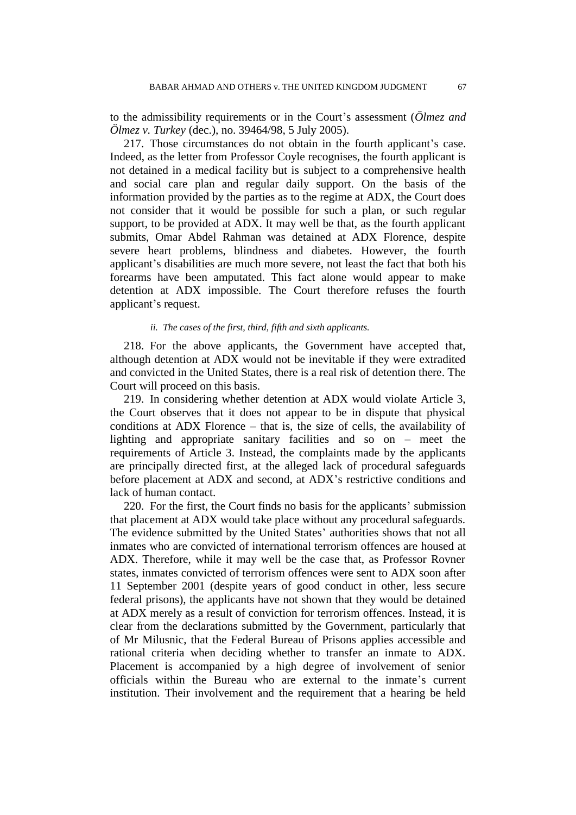to the admissibility requirements or in the Court's assessment (*Ölmez and Ölmez v. Turkey* (dec.), no. 39464/98, 5 July 2005).

217. Those circumstances do not obtain in the fourth applicant's case. Indeed, as the letter from Professor Coyle recognises, the fourth applicant is not detained in a medical facility but is subject to a comprehensive health and social care plan and regular daily support. On the basis of the information provided by the parties as to the regime at ADX, the Court does not consider that it would be possible for such a plan, or such regular support, to be provided at ADX. It may well be that, as the fourth applicant submits, Omar Abdel Rahman was detained at ADX Florence, despite severe heart problems, blindness and diabetes. However, the fourth applicant's disabilities are much more severe, not least the fact that both his forearms have been amputated. This fact alone would appear to make detention at ADX impossible. The Court therefore refuses the fourth applicant's request.

## *ii. The cases of the first, third, fifth and sixth applicants.*

218. For the above applicants, the Government have accepted that, although detention at ADX would not be inevitable if they were extradited and convicted in the United States, there is a real risk of detention there. The Court will proceed on this basis.

219. In considering whether detention at ADX would violate Article 3, the Court observes that it does not appear to be in dispute that physical conditions at ADX Florence – that is, the size of cells, the availability of lighting and appropriate sanitary facilities and so on – meet the requirements of Article 3. Instead, the complaints made by the applicants are principally directed first, at the alleged lack of procedural safeguards before placement at ADX and second, at ADX's restrictive conditions and lack of human contact.

220. For the first, the Court finds no basis for the applicants' submission that placement at ADX would take place without any procedural safeguards. The evidence submitted by the United States' authorities shows that not all inmates who are convicted of international terrorism offences are housed at ADX. Therefore, while it may well be the case that, as Professor Rovner states, inmates convicted of terrorism offences were sent to ADX soon after 11 September 2001 (despite years of good conduct in other, less secure federal prisons), the applicants have not shown that they would be detained at ADX merely as a result of conviction for terrorism offences. Instead, it is clear from the declarations submitted by the Government, particularly that of Mr Milusnic, that the Federal Bureau of Prisons applies accessible and rational criteria when deciding whether to transfer an inmate to ADX. Placement is accompanied by a high degree of involvement of senior officials within the Bureau who are external to the inmate's current institution. Their involvement and the requirement that a hearing be held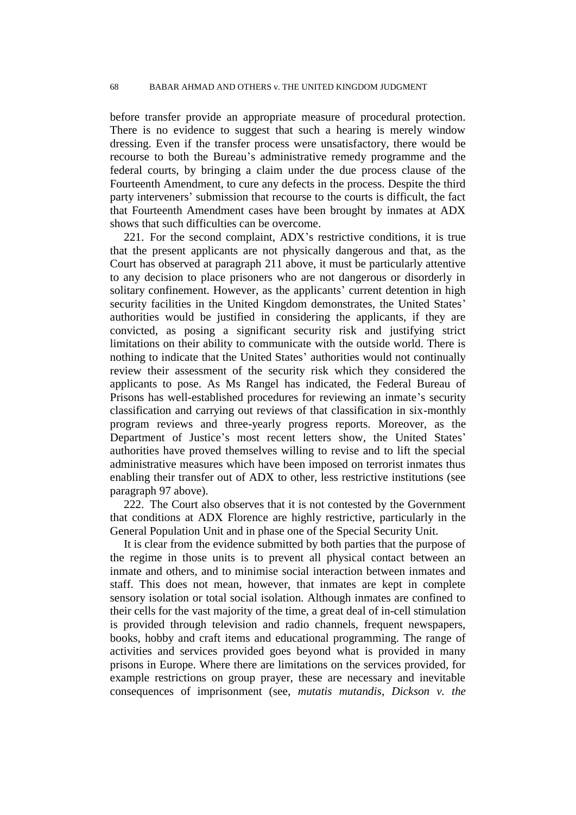before transfer provide an appropriate measure of procedural protection. There is no evidence to suggest that such a hearing is merely window dressing. Even if the transfer process were unsatisfactory, there would be recourse to both the Bureau's administrative remedy programme and the federal courts, by bringing a claim under the due process clause of the Fourteenth Amendment, to cure any defects in the process. Despite the third party interveners' submission that recourse to the courts is difficult, the fact that Fourteenth Amendment cases have been brought by inmates at ADX shows that such difficulties can be overcome.

221. For the second complaint, ADX's restrictive conditions, it is true that the present applicants are not physically dangerous and that, as the Court has observed at paragraph 211 above, it must be particularly attentive to any decision to place prisoners who are not dangerous or disorderly in solitary confinement. However, as the applicants' current detention in high security facilities in the United Kingdom demonstrates, the United States' authorities would be justified in considering the applicants, if they are convicted, as posing a significant security risk and justifying strict limitations on their ability to communicate with the outside world. There is nothing to indicate that the United States' authorities would not continually review their assessment of the security risk which they considered the applicants to pose. As Ms Rangel has indicated, the Federal Bureau of Prisons has well-established procedures for reviewing an inmate's security classification and carrying out reviews of that classification in six-monthly program reviews and three-yearly progress reports. Moreover, as the Department of Justice's most recent letters show, the United States' authorities have proved themselves willing to revise and to lift the special administrative measures which have been imposed on terrorist inmates thus enabling their transfer out of ADX to other, less restrictive institutions (see paragraph 97 above).

222. The Court also observes that it is not contested by the Government that conditions at ADX Florence are highly restrictive, particularly in the General Population Unit and in phase one of the Special Security Unit.

It is clear from the evidence submitted by both parties that the purpose of the regime in those units is to prevent all physical contact between an inmate and others, and to minimise social interaction between inmates and staff. This does not mean, however, that inmates are kept in complete sensory isolation or total social isolation. Although inmates are confined to their cells for the vast majority of the time, a great deal of in-cell stimulation is provided through television and radio channels, frequent newspapers, books, hobby and craft items and educational programming. The range of activities and services provided goes beyond what is provided in many prisons in Europe. Where there are limitations on the services provided, for example restrictions on group prayer, these are necessary and inevitable consequences of imprisonment (see, *mutatis mutandis*, *Dickson v. the*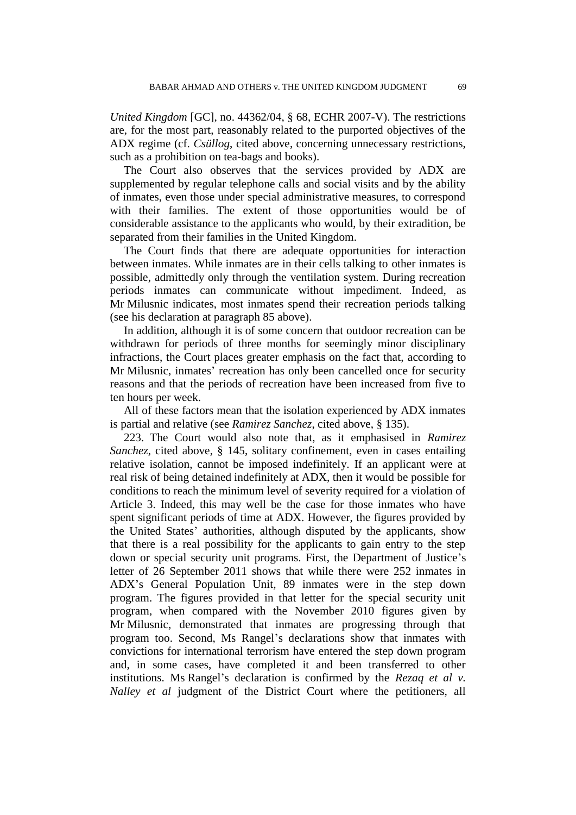*United Kingdom* [GC], no. 44362/04, § 68, ECHR 2007-V). The restrictions are, for the most part, reasonably related to the purported objectives of the ADX regime (cf. *Csüllog*, cited above, concerning unnecessary restrictions, such as a prohibition on tea-bags and books).

The Court also observes that the services provided by ADX are supplemented by regular telephone calls and social visits and by the ability of inmates, even those under special administrative measures, to correspond with their families. The extent of those opportunities would be of considerable assistance to the applicants who would, by their extradition, be separated from their families in the United Kingdom.

The Court finds that there are adequate opportunities for interaction between inmates. While inmates are in their cells talking to other inmates is possible, admittedly only through the ventilation system. During recreation periods inmates can communicate without impediment. Indeed, as Mr Milusnic indicates, most inmates spend their recreation periods talking (see his declaration at paragraph 85 above).

In addition, although it is of some concern that outdoor recreation can be withdrawn for periods of three months for seemingly minor disciplinary infractions, the Court places greater emphasis on the fact that, according to Mr Milusnic, inmates' recreation has only been cancelled once for security reasons and that the periods of recreation have been increased from five to ten hours per week.

All of these factors mean that the isolation experienced by ADX inmates is partial and relative (see *Ramirez Sanchez*, cited above, § 135).

223. The Court would also note that, as it emphasised in *Ramirez Sanchez*, cited above, § 145, solitary confinement, even in cases entailing relative isolation, cannot be imposed indefinitely. If an applicant were at real risk of being detained indefinitely at ADX, then it would be possible for conditions to reach the minimum level of severity required for a violation of Article 3. Indeed, this may well be the case for those inmates who have spent significant periods of time at ADX. However, the figures provided by the United States' authorities, although disputed by the applicants, show that there is a real possibility for the applicants to gain entry to the step down or special security unit programs. First, the Department of Justice's letter of 26 September 2011 shows that while there were 252 inmates in ADX's General Population Unit, 89 inmates were in the step down program. The figures provided in that letter for the special security unit program, when compared with the November 2010 figures given by Mr Milusnic, demonstrated that inmates are progressing through that program too. Second, Ms Rangel's declarations show that inmates with convictions for international terrorism have entered the step down program and, in some cases, have completed it and been transferred to other institutions. Ms Rangel's declaration is confirmed by the *Rezaq et al v. Nalley et al* judgment of the District Court where the petitioners, all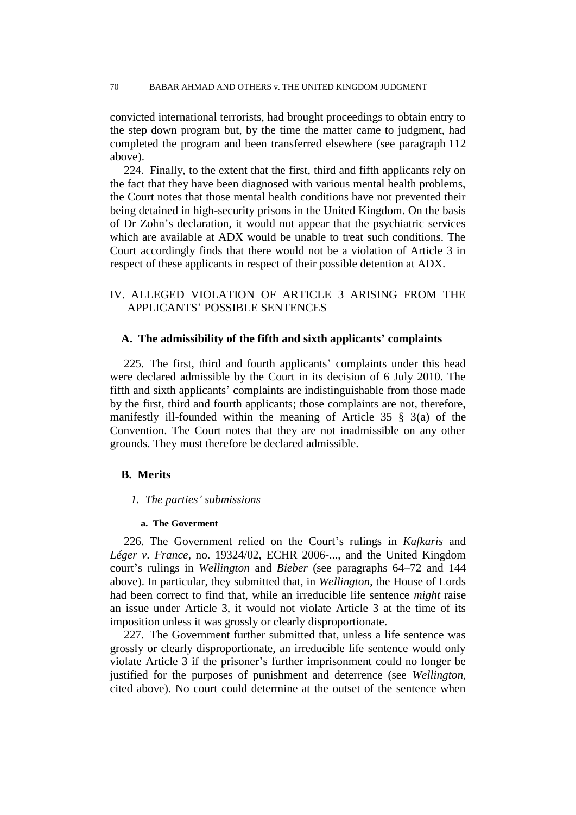convicted international terrorists, had brought proceedings to obtain entry to the step down program but, by the time the matter came to judgment, had completed the program and been transferred elsewhere (see paragraph 112 above).

224. Finally, to the extent that the first, third and fifth applicants rely on the fact that they have been diagnosed with various mental health problems, the Court notes that those mental health conditions have not prevented their being detained in high-security prisons in the United Kingdom. On the basis of Dr Zohn's declaration, it would not appear that the psychiatric services which are available at ADX would be unable to treat such conditions. The Court accordingly finds that there would not be a violation of Article 3 in respect of these applicants in respect of their possible detention at ADX.

# IV. ALLEGED VIOLATION OF ARTICLE 3 ARISING FROM THE APPLICANTS' POSSIBLE SENTENCES

## **A. The admissibility of the fifth and sixth applicants' complaints**

225. The first, third and fourth applicants' complaints under this head were declared admissible by the Court in its decision of 6 July 2010. The fifth and sixth applicants' complaints are indistinguishable from those made by the first, third and fourth applicants; those complaints are not, therefore, manifestly ill-founded within the meaning of Article 35 § 3(a) of the Convention. The Court notes that they are not inadmissible on any other grounds. They must therefore be declared admissible.

## **B. Merits**

### *1. The parties' submissions*

### **a. The Goverment**

226. The Government relied on the Court's rulings in *Kafkaris* and *Léger v. France*, no. 19324/02, ECHR 2006-..., and the United Kingdom court's rulings in *Wellington* and *Bieber* (see paragraphs 64–72 and 144 above). In particular, they submitted that, in *Wellington*, the House of Lords had been correct to find that, while an irreducible life sentence *might* raise an issue under Article 3, it would not violate Article 3 at the time of its imposition unless it was grossly or clearly disproportionate.

227. The Government further submitted that, unless a life sentence was grossly or clearly disproportionate, an irreducible life sentence would only violate Article 3 if the prisoner's further imprisonment could no longer be justified for the purposes of punishment and deterrence (see *Wellington*, cited above). No court could determine at the outset of the sentence when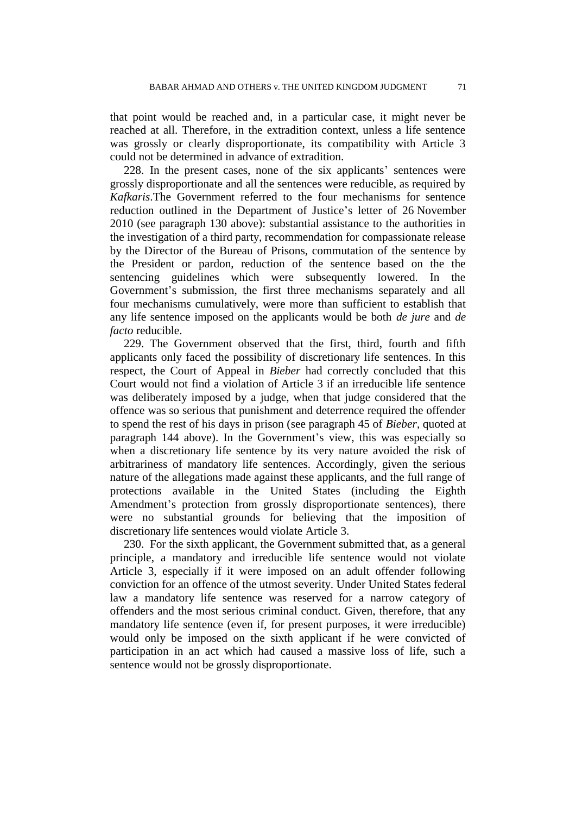that point would be reached and, in a particular case, it might never be reached at all. Therefore, in the extradition context, unless a life sentence was grossly or clearly disproportionate, its compatibility with Article 3 could not be determined in advance of extradition.

228. In the present cases, none of the six applicants' sentences were grossly disproportionate and all the sentences were reducible, as required by *Kafkaris*.The Government referred to the four mechanisms for sentence reduction outlined in the Department of Justice's letter of 26 November 2010 (see paragraph 130 above): substantial assistance to the authorities in the investigation of a third party, recommendation for compassionate release by the Director of the Bureau of Prisons, commutation of the sentence by the President or pardon, reduction of the sentence based on the the sentencing guidelines which were subsequently lowered. In the Government's submission, the first three mechanisms separately and all four mechanisms cumulatively, were more than sufficient to establish that any life sentence imposed on the applicants would be both *de jure* and *de facto* reducible.

229. The Government observed that the first, third, fourth and fifth applicants only faced the possibility of discretionary life sentences. In this respect, the Court of Appeal in *Bieber* had correctly concluded that this Court would not find a violation of Article 3 if an irreducible life sentence was deliberately imposed by a judge, when that judge considered that the offence was so serious that punishment and deterrence required the offender to spend the rest of his days in prison (see paragraph 45 of *Bieber*, quoted at paragraph 144 above). In the Government's view, this was especially so when a discretionary life sentence by its very nature avoided the risk of arbitrariness of mandatory life sentences. Accordingly, given the serious nature of the allegations made against these applicants, and the full range of protections available in the United States (including the Eighth Amendment's protection from grossly disproportionate sentences), there were no substantial grounds for believing that the imposition of discretionary life sentences would violate Article 3.

230. For the sixth applicant, the Government submitted that, as a general principle, a mandatory and irreducible life sentence would not violate Article 3, especially if it were imposed on an adult offender following conviction for an offence of the utmost severity. Under United States federal law a mandatory life sentence was reserved for a narrow category of offenders and the most serious criminal conduct. Given, therefore, that any mandatory life sentence (even if, for present purposes, it were irreducible) would only be imposed on the sixth applicant if he were convicted of participation in an act which had caused a massive loss of life, such a sentence would not be grossly disproportionate.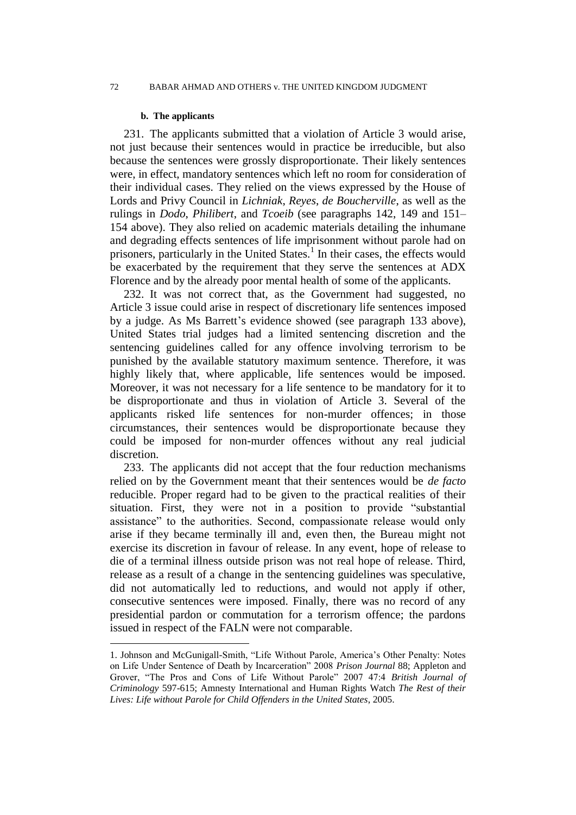#### 72 BABAR AHMAD AND OTHERS v. THE UNITED KINGDOM JUDGMENT

#### **b. The applicants**

 $\overline{a}$ 

231. The applicants submitted that a violation of Article 3 would arise, not just because their sentences would in practice be irreducible, but also because the sentences were grossly disproportionate. Their likely sentences were, in effect, mandatory sentences which left no room for consideration of their individual cases. They relied on the views expressed by the House of Lords and Privy Council in *Lichniak*, *Reyes*, *de Boucherville*, as well as the rulings in *Dodo*, *Philibert*, and *Tcoeib* (see paragraphs 142, 149 and 151– 154 above). They also relied on academic materials detailing the inhumane and degrading effects sentences of life imprisonment without parole had on prisoners, particularly in the United States.<sup>1</sup> In their cases, the effects would be exacerbated by the requirement that they serve the sentences at ADX Florence and by the already poor mental health of some of the applicants.

232. It was not correct that, as the Government had suggested, no Article 3 issue could arise in respect of discretionary life sentences imposed by a judge. As Ms Barrett's evidence showed (see paragraph 133 above), United States trial judges had a limited sentencing discretion and the sentencing guidelines called for any offence involving terrorism to be punished by the available statutory maximum sentence. Therefore, it was highly likely that, where applicable, life sentences would be imposed. Moreover, it was not necessary for a life sentence to be mandatory for it to be disproportionate and thus in violation of Article 3. Several of the applicants risked life sentences for non-murder offences; in those circumstances, their sentences would be disproportionate because they could be imposed for non-murder offences without any real judicial discretion.

233. The applicants did not accept that the four reduction mechanisms relied on by the Government meant that their sentences would be *de facto* reducible. Proper regard had to be given to the practical realities of their situation. First, they were not in a position to provide "substantial assistance" to the authorities. Second, compassionate release would only arise if they became terminally ill and, even then, the Bureau might not exercise its discretion in favour of release. In any event, hope of release to die of a terminal illness outside prison was not real hope of release. Third, release as a result of a change in the sentencing guidelines was speculative, did not automatically led to reductions, and would not apply if other, consecutive sentences were imposed. Finally, there was no record of any presidential pardon or commutation for a terrorism offence; the pardons issued in respect of the FALN were not comparable.

<sup>1.</sup> Johnson and McGunigall-Smith, "Life Without Parole, America's Other Penalty: Notes on Life Under Sentence of Death by Incarceration" 2008 *Prison Journal* 88; Appleton and Grover, "The Pros and Cons of Life Without Parole" 2007 47:4 *British Journal of Criminology* 597-615; Amnesty International and Human Rights Watch *The Rest of their Lives: Life without Parole for Child Offenders in the United States*, 2005.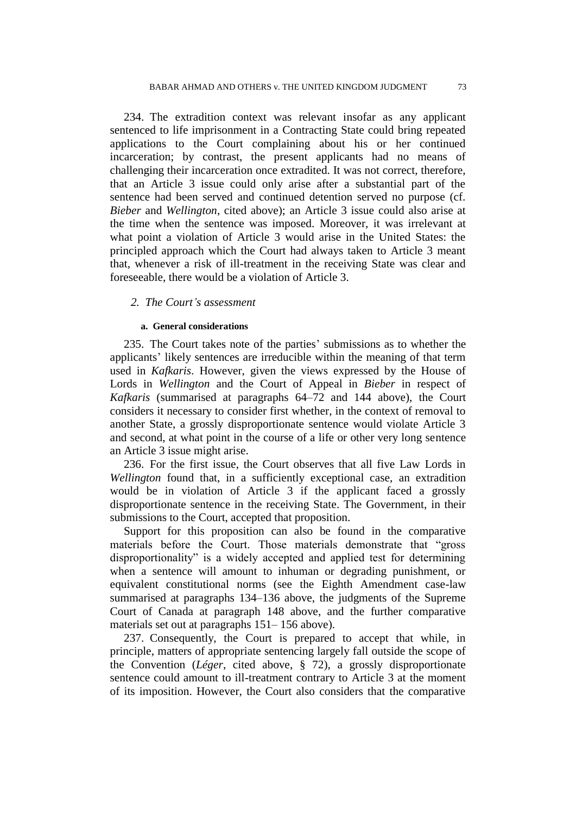234. The extradition context was relevant insofar as any applicant sentenced to life imprisonment in a Contracting State could bring repeated applications to the Court complaining about his or her continued incarceration; by contrast, the present applicants had no means of challenging their incarceration once extradited. It was not correct, therefore, that an Article 3 issue could only arise after a substantial part of the sentence had been served and continued detention served no purpose (cf. *Bieber* and *Wellington*, cited above); an Article 3 issue could also arise at the time when the sentence was imposed. Moreover, it was irrelevant at what point a violation of Article 3 would arise in the United States: the principled approach which the Court had always taken to Article 3 meant that, whenever a risk of ill-treatment in the receiving State was clear and foreseeable, there would be a violation of Article 3.

### *2. The Court's assessment*

#### **a. General considerations**

235. The Court takes note of the parties' submissions as to whether the applicants' likely sentences are irreducible within the meaning of that term used in *Kafkaris*. However, given the views expressed by the House of Lords in *Wellington* and the Court of Appeal in *Bieber* in respect of *Kafkaris* (summarised at paragraphs 64–72 and 144 above), the Court considers it necessary to consider first whether, in the context of removal to another State, a grossly disproportionate sentence would violate Article 3 and second, at what point in the course of a life or other very long sentence an Article 3 issue might arise.

236. For the first issue, the Court observes that all five Law Lords in *Wellington* found that, in a sufficiently exceptional case, an extradition would be in violation of Article 3 if the applicant faced a grossly disproportionate sentence in the receiving State. The Government, in their submissions to the Court, accepted that proposition.

Support for this proposition can also be found in the comparative materials before the Court. Those materials demonstrate that "gross disproportionality" is a widely accepted and applied test for determining when a sentence will amount to inhuman or degrading punishment, or equivalent constitutional norms (see the Eighth Amendment case-law summarised at paragraphs 134–136 above, the judgments of the Supreme Court of Canada at paragraph 148 above, and the further comparative materials set out at paragraphs 151– 156 above).

237. Consequently, the Court is prepared to accept that while, in principle, matters of appropriate sentencing largely fall outside the scope of the Convention (*Léger*, cited above, § 72), a grossly disproportionate sentence could amount to ill-treatment contrary to Article 3 at the moment of its imposition. However, the Court also considers that the comparative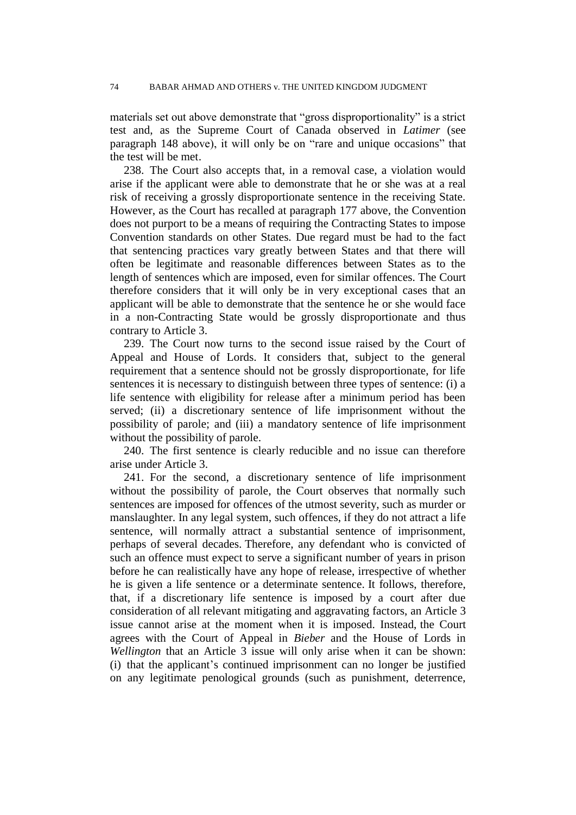materials set out above demonstrate that "gross disproportionality" is a strict test and, as the Supreme Court of Canada observed in *Latimer* (see paragraph 148 above), it will only be on "rare and unique occasions" that the test will be met.

238. The Court also accepts that, in a removal case, a violation would arise if the applicant were able to demonstrate that he or she was at a real risk of receiving a grossly disproportionate sentence in the receiving State. However, as the Court has recalled at paragraph 177 above, the Convention does not purport to be a means of requiring the Contracting States to impose Convention standards on other States. Due regard must be had to the fact that sentencing practices vary greatly between States and that there will often be legitimate and reasonable differences between States as to the length of sentences which are imposed, even for similar offences. The Court therefore considers that it will only be in very exceptional cases that an applicant will be able to demonstrate that the sentence he or she would face in a non-Contracting State would be grossly disproportionate and thus contrary to Article 3.

239. The Court now turns to the second issue raised by the Court of Appeal and House of Lords. It considers that, subject to the general requirement that a sentence should not be grossly disproportionate, for life sentences it is necessary to distinguish between three types of sentence: (i) a life sentence with eligibility for release after a minimum period has been served; (ii) a discretionary sentence of life imprisonment without the possibility of parole; and (iii) a mandatory sentence of life imprisonment without the possibility of parole.

240. The first sentence is clearly reducible and no issue can therefore arise under Article 3.

241. For the second, a discretionary sentence of life imprisonment without the possibility of parole, the Court observes that normally such sentences are imposed for offences of the utmost severity, such as murder or manslaughter. In any legal system, such offences, if they do not attract a life sentence, will normally attract a substantial sentence of imprisonment, perhaps of several decades. Therefore, any defendant who is convicted of such an offence must expect to serve a significant number of years in prison before he can realistically have any hope of release, irrespective of whether he is given a life sentence or a determinate sentence. It follows, therefore, that, if a discretionary life sentence is imposed by a court after due consideration of all relevant mitigating and aggravating factors, an Article 3 issue cannot arise at the moment when it is imposed. Instead, the Court agrees with the Court of Appeal in *Bieber* and the House of Lords in *Wellington* that an Article 3 issue will only arise when it can be shown: (i) that the applicant's continued imprisonment can no longer be justified on any legitimate penological grounds (such as punishment, deterrence,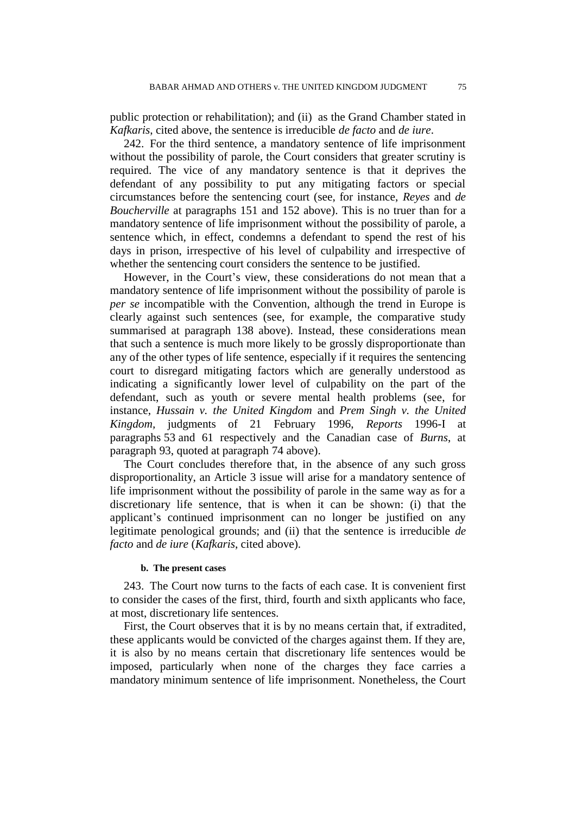public protection or rehabilitation); and (ii) as the Grand Chamber stated in *Kafkaris*, cited above, the sentence is irreducible *de facto* and *de iure*.

242. For the third sentence, a mandatory sentence of life imprisonment without the possibility of parole, the Court considers that greater scrutiny is required. The vice of any mandatory sentence is that it deprives the defendant of any possibility to put any mitigating factors or special circumstances before the sentencing court (see, for instance, *Reyes* and *de Boucherville* at paragraphs 151 and 152 above). This is no truer than for a mandatory sentence of life imprisonment without the possibility of parole, a sentence which, in effect, condemns a defendant to spend the rest of his days in prison, irrespective of his level of culpability and irrespective of whether the sentencing court considers the sentence to be justified.

However, in the Court's view, these considerations do not mean that a mandatory sentence of life imprisonment without the possibility of parole is *per se* incompatible with the Convention, although the trend in Europe is clearly against such sentences (see, for example, the comparative study summarised at paragraph 138 above). Instead, these considerations mean that such a sentence is much more likely to be grossly disproportionate than any of the other types of life sentence, especially if it requires the sentencing court to disregard mitigating factors which are generally understood as indicating a significantly lower level of culpability on the part of the defendant, such as youth or severe mental health problems (see, for instance, *Hussain v. the United Kingdom* and *Prem Singh v. the United Kingdom,* judgments of 21 February 1996, *Reports* 1996-I at paragraphs 53 and 61 respectively and the Canadian case of *Burns*, at paragraph 93, quoted at paragraph 74 above).

The Court concludes therefore that, in the absence of any such gross disproportionality, an Article 3 issue will arise for a mandatory sentence of life imprisonment without the possibility of parole in the same way as for a discretionary life sentence, that is when it can be shown: (i) that the applicant's continued imprisonment can no longer be justified on any legitimate penological grounds; and (ii) that the sentence is irreducible *de facto* and *de iure* (*Kafkaris*, cited above).

#### **b. The present cases**

243. The Court now turns to the facts of each case. It is convenient first to consider the cases of the first, third, fourth and sixth applicants who face, at most, discretionary life sentences.

First, the Court observes that it is by no means certain that, if extradited, these applicants would be convicted of the charges against them. If they are, it is also by no means certain that discretionary life sentences would be imposed, particularly when none of the charges they face carries a mandatory minimum sentence of life imprisonment. Nonetheless, the Court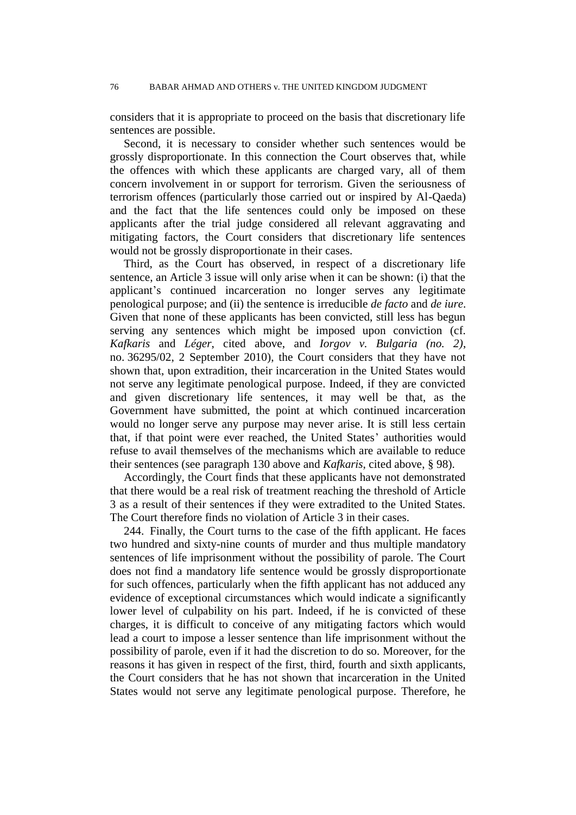considers that it is appropriate to proceed on the basis that discretionary life sentences are possible.

Second, it is necessary to consider whether such sentences would be grossly disproportionate. In this connection the Court observes that, while the offences with which these applicants are charged vary, all of them concern involvement in or support for terrorism. Given the seriousness of terrorism offences (particularly those carried out or inspired by Al-Qaeda) and the fact that the life sentences could only be imposed on these applicants after the trial judge considered all relevant aggravating and mitigating factors, the Court considers that discretionary life sentences would not be grossly disproportionate in their cases.

Third, as the Court has observed, in respect of a discretionary life sentence, an Article 3 issue will only arise when it can be shown: (i) that the applicant's continued incarceration no longer serves any legitimate penological purpose; and (ii) the sentence is irreducible *de facto* and *de iure*. Given that none of these applicants has been convicted, still less has begun serving any sentences which might be imposed upon conviction (cf. *Kafkaris* and *Léger*, cited above, and *Iorgov v. Bulgaria (no. 2)*, no. 36295/02, 2 September 2010), the Court considers that they have not shown that, upon extradition, their incarceration in the United States would not serve any legitimate penological purpose. Indeed, if they are convicted and given discretionary life sentences, it may well be that, as the Government have submitted, the point at which continued incarceration would no longer serve any purpose may never arise. It is still less certain that, if that point were ever reached, the United States' authorities would refuse to avail themselves of the mechanisms which are available to reduce their sentences (see paragraph 130 above and *Kafkaris*, cited above, § 98).

Accordingly, the Court finds that these applicants have not demonstrated that there would be a real risk of treatment reaching the threshold of Article 3 as a result of their sentences if they were extradited to the United States. The Court therefore finds no violation of Article 3 in their cases.

244. Finally, the Court turns to the case of the fifth applicant. He faces two hundred and sixty-nine counts of murder and thus multiple mandatory sentences of life imprisonment without the possibility of parole. The Court does not find a mandatory life sentence would be grossly disproportionate for such offences, particularly when the fifth applicant has not adduced any evidence of exceptional circumstances which would indicate a significantly lower level of culpability on his part. Indeed, if he is convicted of these charges, it is difficult to conceive of any mitigating factors which would lead a court to impose a lesser sentence than life imprisonment without the possibility of parole, even if it had the discretion to do so. Moreover, for the reasons it has given in respect of the first, third, fourth and sixth applicants, the Court considers that he has not shown that incarceration in the United States would not serve any legitimate penological purpose. Therefore, he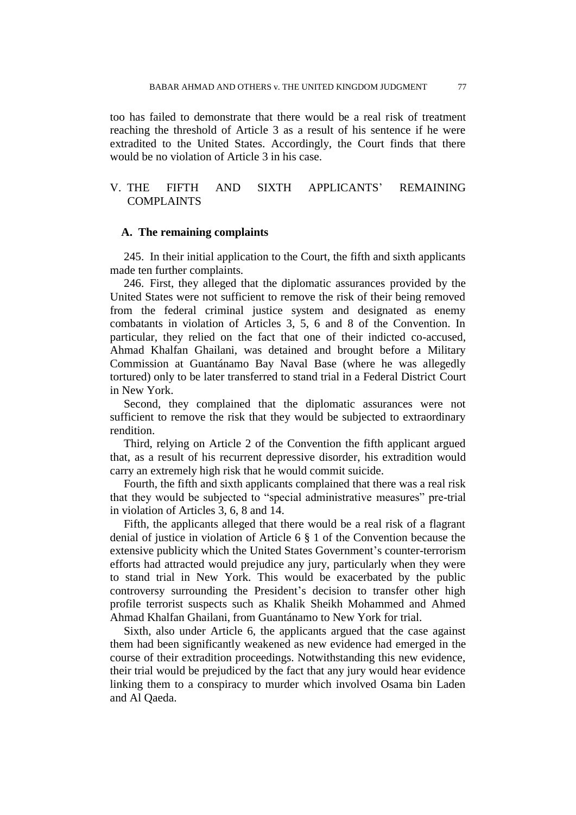too has failed to demonstrate that there would be a real risk of treatment reaching the threshold of Article 3 as a result of his sentence if he were extradited to the United States. Accordingly, the Court finds that there would be no violation of Article 3 in his case.

## V. THE FIFTH AND SIXTH APPLICANTS' REMAINING COMPLAINTS

### **A. The remaining complaints**

245. In their initial application to the Court, the fifth and sixth applicants made ten further complaints.

246. First, they alleged that the diplomatic assurances provided by the United States were not sufficient to remove the risk of their being removed from the federal criminal justice system and designated as enemy combatants in violation of Articles 3, 5, 6 and 8 of the Convention. In particular, they relied on the fact that one of their indicted co-accused, Ahmad Khalfan Ghailani, was detained and brought before a Military Commission at Guantánamo Bay Naval Base (where he was allegedly tortured) only to be later transferred to stand trial in a Federal District Court in New York.

Second, they complained that the diplomatic assurances were not sufficient to remove the risk that they would be subjected to extraordinary rendition.

Third, relying on Article 2 of the Convention the fifth applicant argued that, as a result of his recurrent depressive disorder, his extradition would carry an extremely high risk that he would commit suicide.

Fourth, the fifth and sixth applicants complained that there was a real risk that they would be subjected to "special administrative measures" pre-trial in violation of Articles 3, 6, 8 and 14.

Fifth, the applicants alleged that there would be a real risk of a flagrant denial of justice in violation of Article 6 § 1 of the Convention because the extensive publicity which the United States Government's counter-terrorism efforts had attracted would prejudice any jury, particularly when they were to stand trial in New York. This would be exacerbated by the public controversy surrounding the President's decision to transfer other high profile terrorist suspects such as Khalik Sheikh Mohammed and Ahmed Ahmad Khalfan Ghailani, from Guantánamo to New York for trial.

Sixth, also under Article 6, the applicants argued that the case against them had been significantly weakened as new evidence had emerged in the course of their extradition proceedings. Notwithstanding this new evidence, their trial would be prejudiced by the fact that any jury would hear evidence linking them to a conspiracy to murder which involved Osama bin Laden and Al Qaeda.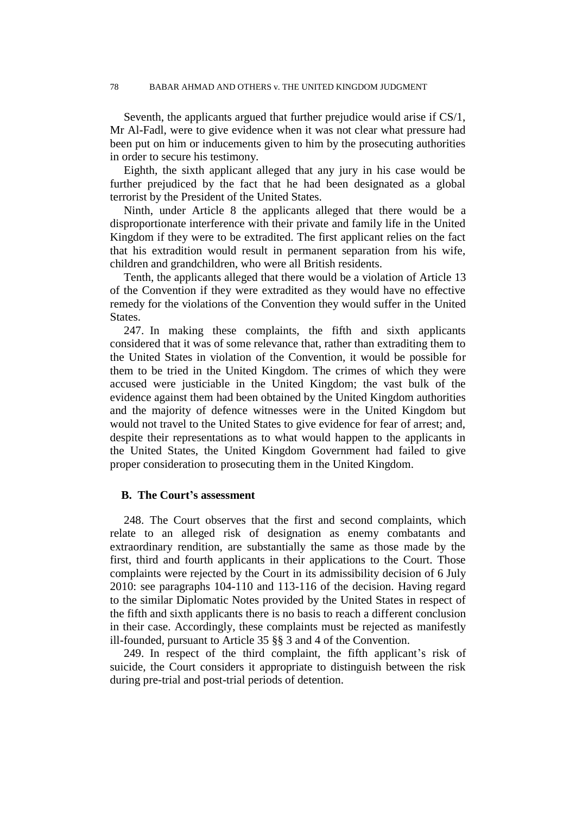Seventh, the applicants argued that further prejudice would arise if CS/1, Mr Al-Fadl, were to give evidence when it was not clear what pressure had been put on him or inducements given to him by the prosecuting authorities in order to secure his testimony.

Eighth, the sixth applicant alleged that any jury in his case would be further prejudiced by the fact that he had been designated as a global terrorist by the President of the United States.

Ninth, under Article 8 the applicants alleged that there would be a disproportionate interference with their private and family life in the United Kingdom if they were to be extradited. The first applicant relies on the fact that his extradition would result in permanent separation from his wife, children and grandchildren, who were all British residents.

Tenth, the applicants alleged that there would be a violation of Article 13 of the Convention if they were extradited as they would have no effective remedy for the violations of the Convention they would suffer in the United States.

247. In making these complaints, the fifth and sixth applicants considered that it was of some relevance that, rather than extraditing them to the United States in violation of the Convention, it would be possible for them to be tried in the United Kingdom. The crimes of which they were accused were justiciable in the United Kingdom; the vast bulk of the evidence against them had been obtained by the United Kingdom authorities and the majority of defence witnesses were in the United Kingdom but would not travel to the United States to give evidence for fear of arrest; and, despite their representations as to what would happen to the applicants in the United States, the United Kingdom Government had failed to give proper consideration to prosecuting them in the United Kingdom.

## **B. The Court's assessment**

248. The Court observes that the first and second complaints, which relate to an alleged risk of designation as enemy combatants and extraordinary rendition, are substantially the same as those made by the first, third and fourth applicants in their applications to the Court. Those complaints were rejected by the Court in its admissibility decision of 6 July 2010: see paragraphs 104-110 and 113-116 of the decision. Having regard to the similar Diplomatic Notes provided by the United States in respect of the fifth and sixth applicants there is no basis to reach a different conclusion in their case. Accordingly, these complaints must be rejected as manifestly ill-founded, pursuant to Article 35 §§ 3 and 4 of the Convention.

249. In respect of the third complaint, the fifth applicant's risk of suicide, the Court considers it appropriate to distinguish between the risk during pre-trial and post-trial periods of detention.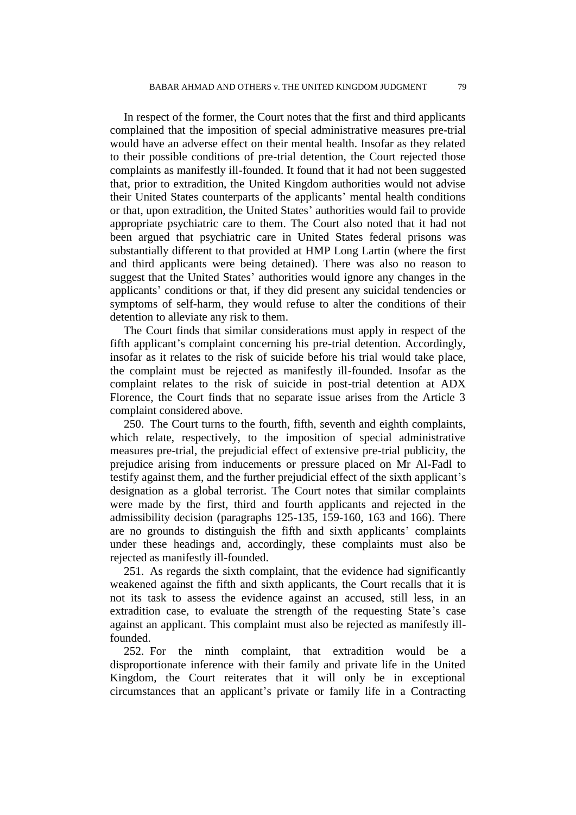In respect of the former, the Court notes that the first and third applicants complained that the imposition of special administrative measures pre-trial would have an adverse effect on their mental health. Insofar as they related to their possible conditions of pre-trial detention, the Court rejected those complaints as manifestly ill-founded. It found that it had not been suggested that, prior to extradition, the United Kingdom authorities would not advise their United States counterparts of the applicants' mental health conditions or that, upon extradition, the United States' authorities would fail to provide appropriate psychiatric care to them. The Court also noted that it had not been argued that psychiatric care in United States federal prisons was substantially different to that provided at HMP Long Lartin (where the first and third applicants were being detained). There was also no reason to suggest that the United States' authorities would ignore any changes in the applicants' conditions or that, if they did present any suicidal tendencies or symptoms of self-harm, they would refuse to alter the conditions of their detention to alleviate any risk to them.

The Court finds that similar considerations must apply in respect of the fifth applicant's complaint concerning his pre-trial detention. Accordingly, insofar as it relates to the risk of suicide before his trial would take place, the complaint must be rejected as manifestly ill-founded. Insofar as the complaint relates to the risk of suicide in post-trial detention at ADX Florence, the Court finds that no separate issue arises from the Article 3 complaint considered above.

250. The Court turns to the fourth, fifth, seventh and eighth complaints, which relate, respectively, to the imposition of special administrative measures pre-trial, the prejudicial effect of extensive pre-trial publicity, the prejudice arising from inducements or pressure placed on Mr Al-Fadl to testify against them, and the further prejudicial effect of the sixth applicant's designation as a global terrorist. The Court notes that similar complaints were made by the first, third and fourth applicants and rejected in the admissibility decision (paragraphs 125-135, 159-160, 163 and 166). There are no grounds to distinguish the fifth and sixth applicants' complaints under these headings and, accordingly, these complaints must also be rejected as manifestly ill-founded.

251. As regards the sixth complaint, that the evidence had significantly weakened against the fifth and sixth applicants, the Court recalls that it is not its task to assess the evidence against an accused, still less, in an extradition case, to evaluate the strength of the requesting State's case against an applicant. This complaint must also be rejected as manifestly illfounded.

252. For the ninth complaint, that extradition would be a disproportionate inference with their family and private life in the United Kingdom, the Court reiterates that it will only be in exceptional circumstances that an applicant's private or family life in a Contracting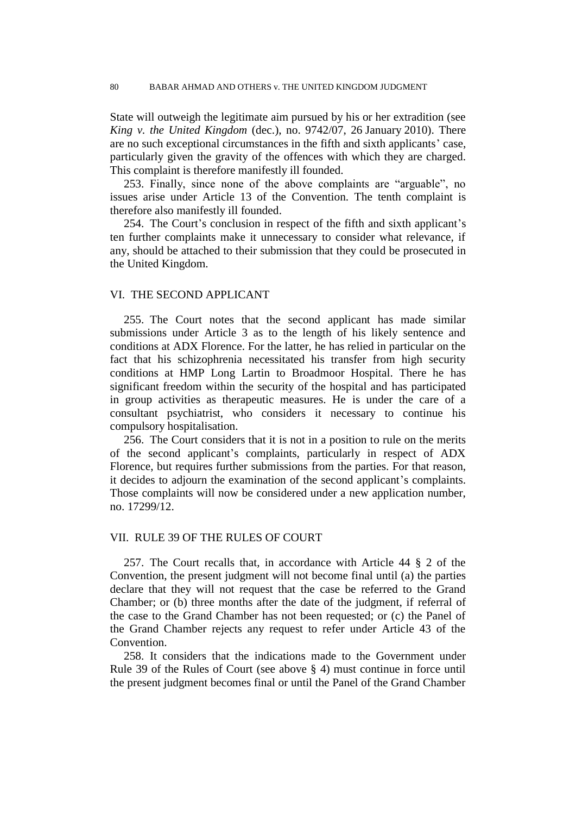State will outweigh the legitimate aim pursued by his or her extradition (see *King v. the United Kingdom* (dec.), no. 9742/07, 26 January 2010). There are no such exceptional circumstances in the fifth and sixth applicants' case, particularly given the gravity of the offences with which they are charged. This complaint is therefore manifestly ill founded.

253. Finally, since none of the above complaints are "arguable", no issues arise under Article 13 of the Convention. The tenth complaint is therefore also manifestly ill founded.

254. The Court's conclusion in respect of the fifth and sixth applicant's ten further complaints make it unnecessary to consider what relevance, if any, should be attached to their submission that they could be prosecuted in the United Kingdom.

## VI. THE SECOND APPLICANT

255. The Court notes that the second applicant has made similar submissions under Article 3 as to the length of his likely sentence and conditions at ADX Florence. For the latter, he has relied in particular on the fact that his schizophrenia necessitated his transfer from high security conditions at HMP Long Lartin to Broadmoor Hospital. There he has significant freedom within the security of the hospital and has participated in group activities as therapeutic measures. He is under the care of a consultant psychiatrist, who considers it necessary to continue his compulsory hospitalisation.

256. The Court considers that it is not in a position to rule on the merits of the second applicant's complaints, particularly in respect of ADX Florence, but requires further submissions from the parties. For that reason, it decides to adjourn the examination of the second applicant's complaints. Those complaints will now be considered under a new application number, no. 17299/12.

# VII. RULE 39 OF THE RULES OF COURT

257. The Court recalls that, in accordance with Article 44 § 2 of the Convention, the present judgment will not become final until (a) the parties declare that they will not request that the case be referred to the Grand Chamber; or (b) three months after the date of the judgment, if referral of the case to the Grand Chamber has not been requested; or (c) the Panel of the Grand Chamber rejects any request to refer under Article 43 of the Convention.

258. It considers that the indications made to the Government under Rule 39 of the Rules of Court (see above § 4) must continue in force until the present judgment becomes final or until the Panel of the Grand Chamber